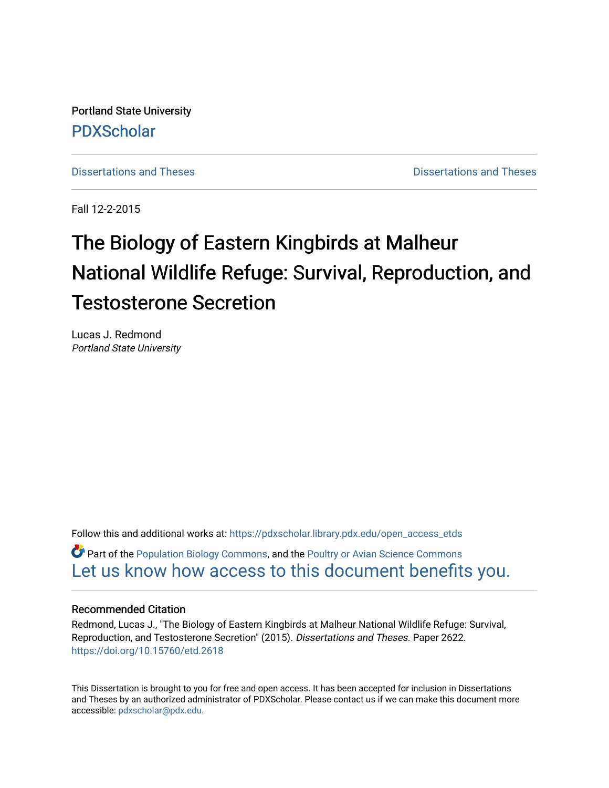Portland State University [PDXScholar](https://pdxscholar.library.pdx.edu/)

[Dissertations and Theses](https://pdxscholar.library.pdx.edu/open_access_etds) **Distributions** and Theses **Distributions** and Theses

Fall 12-2-2015

# The Biology of Eastern Kingbirds at Malheur National Wildlife Refuge: Survival, Reproduction, and Testosterone Secretion

Lucas J. Redmond Portland State University

Follow this and additional works at: [https://pdxscholar.library.pdx.edu/open\\_access\\_etds](https://pdxscholar.library.pdx.edu/open_access_etds?utm_source=pdxscholar.library.pdx.edu%2Fopen_access_etds%2F2622&utm_medium=PDF&utm_campaign=PDFCoverPages)

 $\bullet$  Part of the [Population Biology Commons,](http://network.bepress.com/hgg/discipline/19?utm_source=pdxscholar.library.pdx.edu%2Fopen_access_etds%2F2622&utm_medium=PDF&utm_campaign=PDFCoverPages) and the Poultry or Avian Science Commons [Let us know how access to this document benefits you.](http://library.pdx.edu/services/pdxscholar-services/pdxscholar-feedback/) 

#### Recommended Citation

Redmond, Lucas J., "The Biology of Eastern Kingbirds at Malheur National Wildlife Refuge: Survival, Reproduction, and Testosterone Secretion" (2015). Dissertations and Theses. Paper 2622. <https://doi.org/10.15760/etd.2618>

This Dissertation is brought to you for free and open access. It has been accepted for inclusion in Dissertations and Theses by an authorized administrator of PDXScholar. Please contact us if we can make this document more accessible: [pdxscholar@pdx.edu.](mailto:pdxscholar@pdx.edu)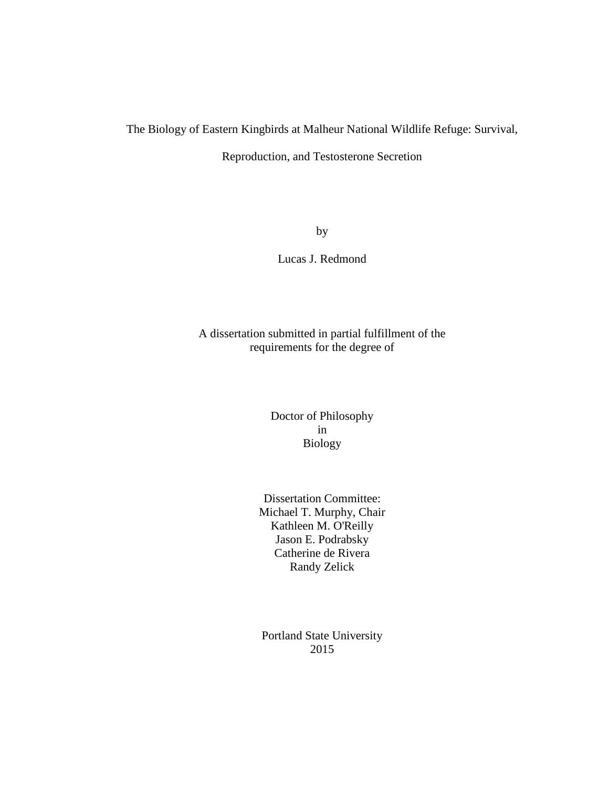### The Biology of Eastern Kingbirds at Malheur National Wildlife Refuge: Survival,

Reproduction, and Testosterone Secretion

by

Lucas J. Redmond

A dissertation submitted in partial fulfillment of the requirements for the degree of

> Doctor of Philosophy in Biology

Dissertation Committee: Michael T. Murphy, Chair Kathleen M. O'Reilly Jason E. Podrabsky Catherine de Rivera Randy Zelick

Portland State University 2015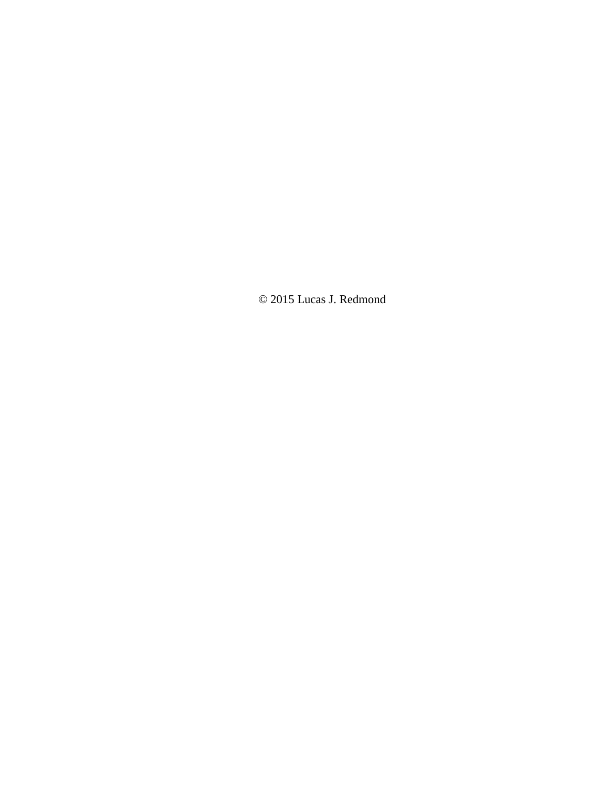© 2015 Lucas J. Redmond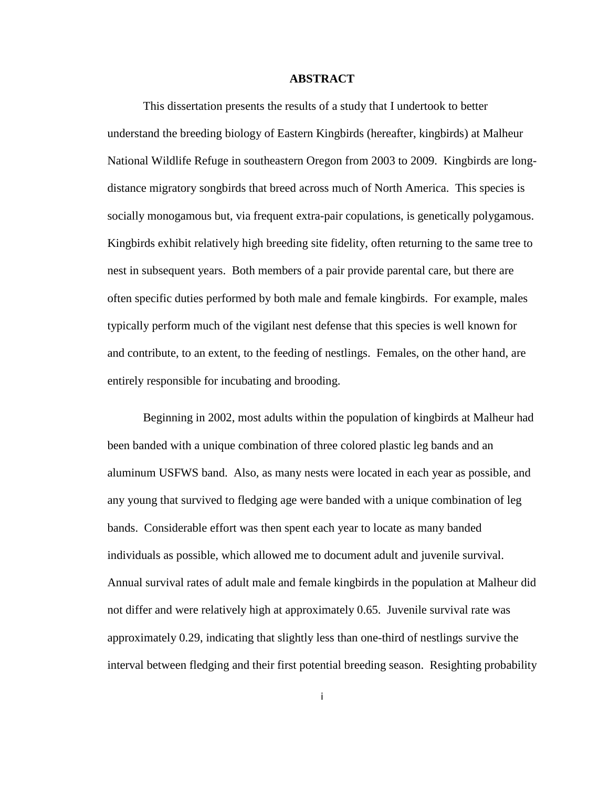#### **ABSTRACT**

This dissertation presents the results of a study that I undertook to better understand the breeding biology of Eastern Kingbirds (hereafter, kingbirds) at Malheur National Wildlife Refuge in southeastern Oregon from 2003 to 2009. Kingbirds are longdistance migratory songbirds that breed across much of North America. This species is socially monogamous but, via frequent extra-pair copulations, is genetically polygamous. Kingbirds exhibit relatively high breeding site fidelity, often returning to the same tree to nest in subsequent years. Both members of a pair provide parental care, but there are often specific duties performed by both male and female kingbirds. For example, males typically perform much of the vigilant nest defense that this species is well known for and contribute, to an extent, to the feeding of nestlings. Females, on the other hand, are entirely responsible for incubating and brooding.

Beginning in 2002, most adults within the population of kingbirds at Malheur had been banded with a unique combination of three colored plastic leg bands and an aluminum USFWS band. Also, as many nests were located in each year as possible, and any young that survived to fledging age were banded with a unique combination of leg bands. Considerable effort was then spent each year to locate as many banded individuals as possible, which allowed me to document adult and juvenile survival. Annual survival rates of adult male and female kingbirds in the population at Malheur did not differ and were relatively high at approximately 0.65. Juvenile survival rate was approximately 0.29, indicating that slightly less than one-third of nestlings survive the interval between fledging and their first potential breeding season. Resighting probability

i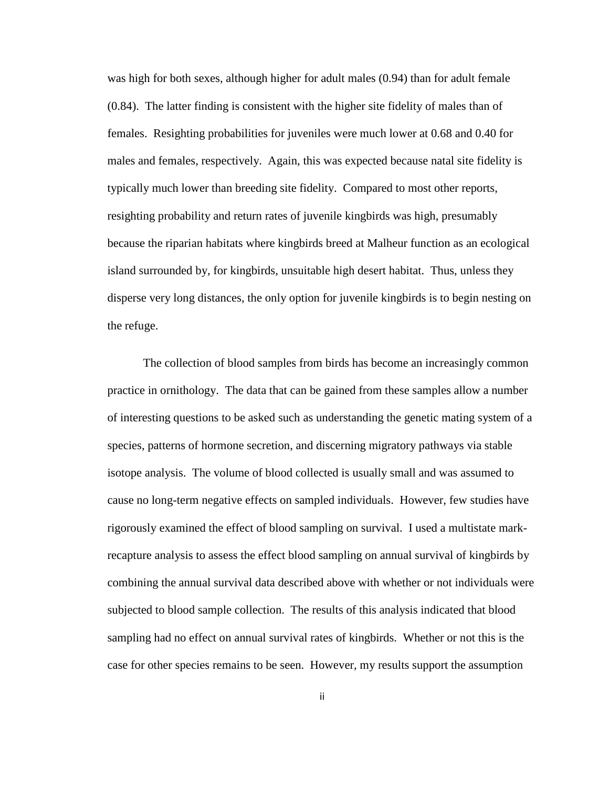was high for both sexes, although higher for adult males (0.94) than for adult female (0.84). The latter finding is consistent with the higher site fidelity of males than of females. Resighting probabilities for juveniles were much lower at 0.68 and 0.40 for males and females, respectively. Again, this was expected because natal site fidelity is typically much lower than breeding site fidelity. Compared to most other reports, resighting probability and return rates of juvenile kingbirds was high, presumably because the riparian habitats where kingbirds breed at Malheur function as an ecological island surrounded by, for kingbirds, unsuitable high desert habitat. Thus, unless they disperse very long distances, the only option for juvenile kingbirds is to begin nesting on the refuge.

The collection of blood samples from birds has become an increasingly common practice in ornithology. The data that can be gained from these samples allow a number of interesting questions to be asked such as understanding the genetic mating system of a species, patterns of hormone secretion, and discerning migratory pathways via stable isotope analysis. The volume of blood collected is usually small and was assumed to cause no long-term negative effects on sampled individuals. However, few studies have rigorously examined the effect of blood sampling on survival. I used a multistate markrecapture analysis to assess the effect blood sampling on annual survival of kingbirds by combining the annual survival data described above with whether or not individuals were subjected to blood sample collection. The results of this analysis indicated that blood sampling had no effect on annual survival rates of kingbirds. Whether or not this is the case for other species remains to be seen. However, my results support the assumption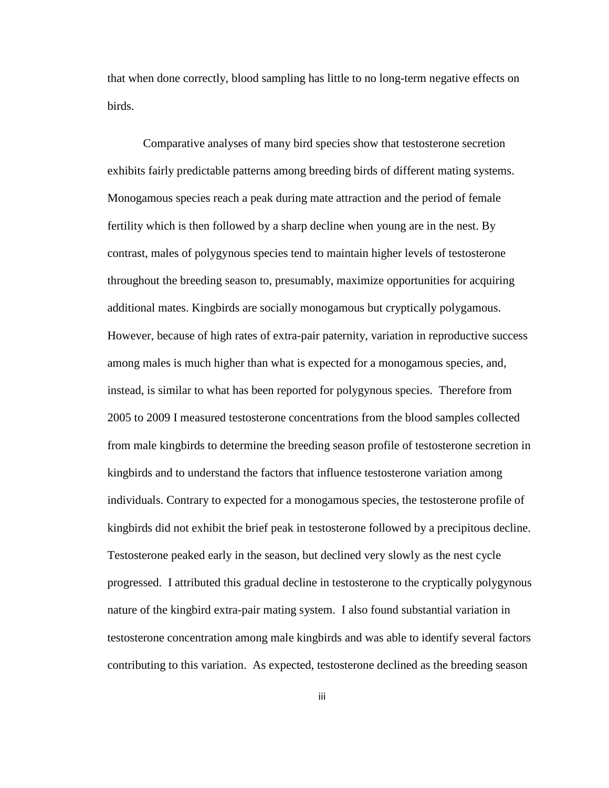that when done correctly, blood sampling has little to no long-term negative effects on birds.

Comparative analyses of many bird species show that testosterone secretion exhibits fairly predictable patterns among breeding birds of different mating systems. Monogamous species reach a peak during mate attraction and the period of female fertility which is then followed by a sharp decline when young are in the nest. By contrast, males of polygynous species tend to maintain higher levels of testosterone throughout the breeding season to, presumably, maximize opportunities for acquiring additional mates. Kingbirds are socially monogamous but cryptically polygamous. However, because of high rates of extra-pair paternity, variation in reproductive success among males is much higher than what is expected for a monogamous species, and, instead, is similar to what has been reported for polygynous species. Therefore from 2005 to 2009 I measured testosterone concentrations from the blood samples collected from male kingbirds to determine the breeding season profile of testosterone secretion in kingbirds and to understand the factors that influence testosterone variation among individuals. Contrary to expected for a monogamous species, the testosterone profile of kingbirds did not exhibit the brief peak in testosterone followed by a precipitous decline. Testosterone peaked early in the season, but declined very slowly as the nest cycle progressed. I attributed this gradual decline in testosterone to the cryptically polygynous nature of the kingbird extra-pair mating system. I also found substantial variation in testosterone concentration among male kingbirds and was able to identify several factors contributing to this variation. As expected, testosterone declined as the breeding season

iii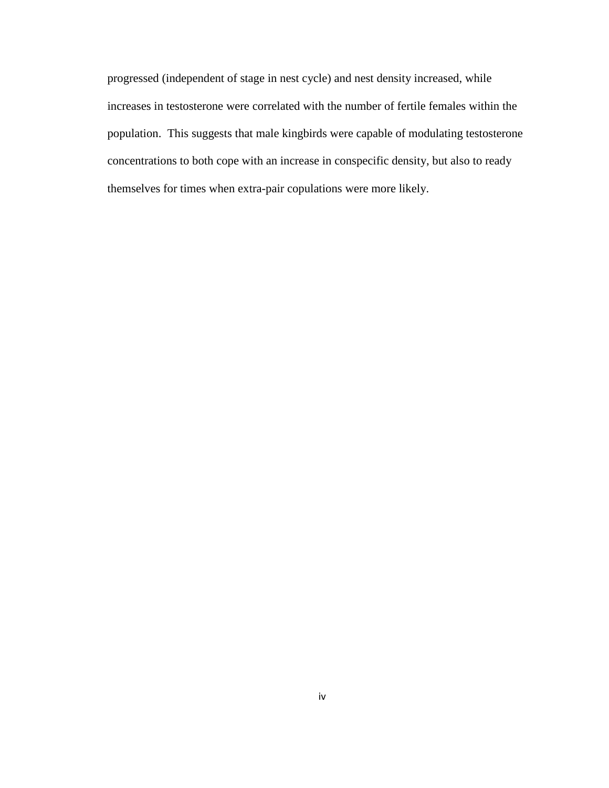progressed (independent of stage in nest cycle) and nest density increased, while increases in testosterone were correlated with the number of fertile females within the population. This suggests that male kingbirds were capable of modulating testosterone concentrations to both cope with an increase in conspecific density, but also to ready themselves for times when extra-pair copulations were more likely.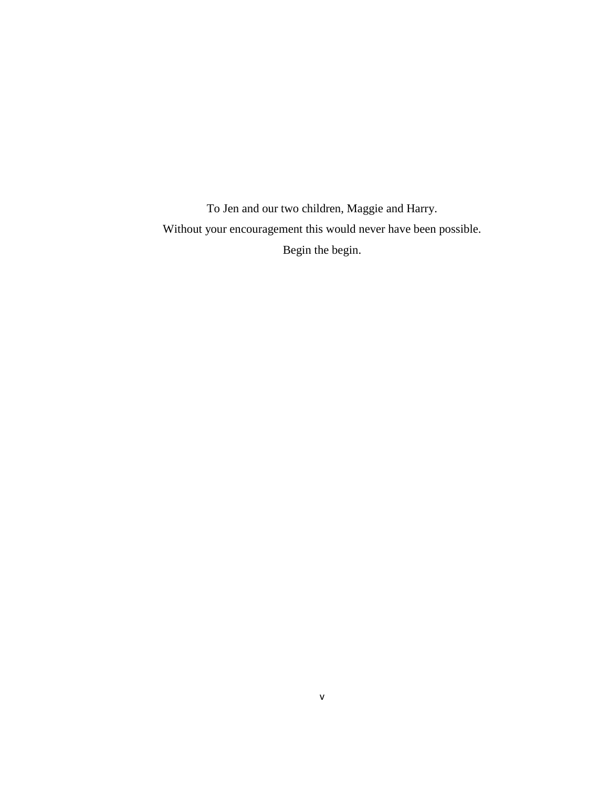To Jen and our two children, Maggie and Harry. Without your encouragement this would never have been possible. Begin the begin.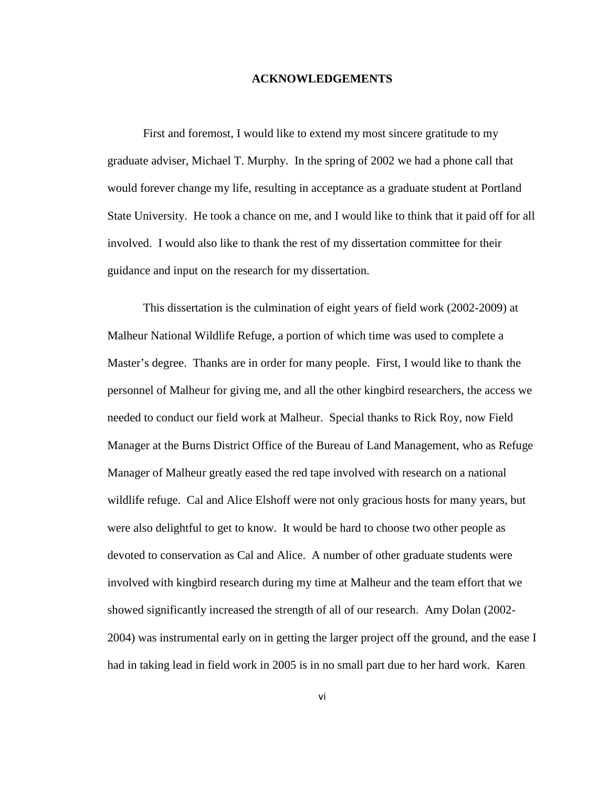#### **ACKNOWLEDGEMENTS**

First and foremost, I would like to extend my most sincere gratitude to my graduate adviser, Michael T. Murphy. In the spring of 2002 we had a phone call that would forever change my life, resulting in acceptance as a graduate student at Portland State University. He took a chance on me, and I would like to think that it paid off for all involved. I would also like to thank the rest of my dissertation committee for their guidance and input on the research for my dissertation.

This dissertation is the culmination of eight years of field work (2002-2009) at Malheur National Wildlife Refuge, a portion of which time was used to complete a Master's degree. Thanks are in order for many people. First, I would like to thank the personnel of Malheur for giving me, and all the other kingbird researchers, the access we needed to conduct our field work at Malheur. Special thanks to Rick Roy, now Field Manager at the Burns District Office of the Bureau of Land Management, who as Refuge Manager of Malheur greatly eased the red tape involved with research on a national wildlife refuge. Cal and Alice Elshoff were not only gracious hosts for many years, but were also delightful to get to know. It would be hard to choose two other people as devoted to conservation as Cal and Alice. A number of other graduate students were involved with kingbird research during my time at Malheur and the team effort that we showed significantly increased the strength of all of our research. Amy Dolan (2002- 2004) was instrumental early on in getting the larger project off the ground, and the ease I had in taking lead in field work in 2005 is in no small part due to her hard work. Karen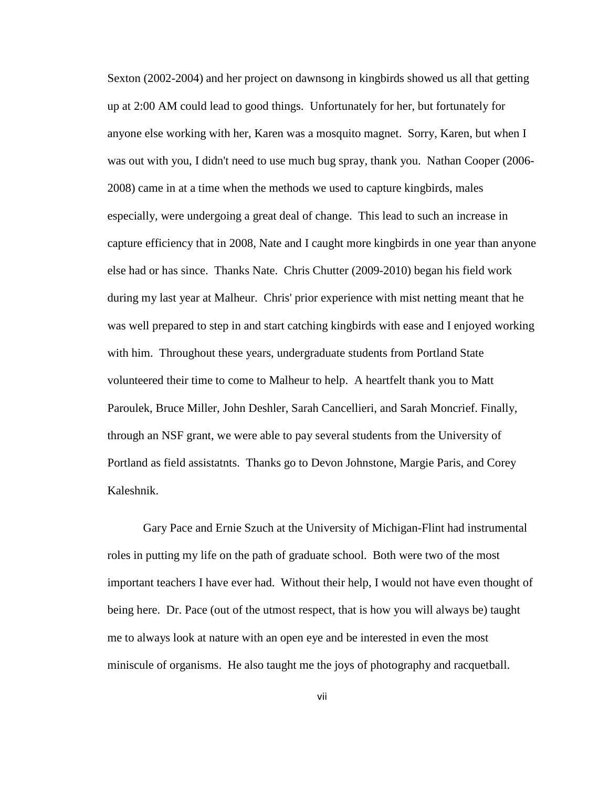Sexton (2002-2004) and her project on dawnsong in kingbirds showed us all that getting up at 2:00 AM could lead to good things. Unfortunately for her, but fortunately for anyone else working with her, Karen was a mosquito magnet. Sorry, Karen, but when I was out with you, I didn't need to use much bug spray, thank you. Nathan Cooper (2006- 2008) came in at a time when the methods we used to capture kingbirds, males especially, were undergoing a great deal of change. This lead to such an increase in capture efficiency that in 2008, Nate and I caught more kingbirds in one year than anyone else had or has since. Thanks Nate. Chris Chutter (2009-2010) began his field work during my last year at Malheur. Chris' prior experience with mist netting meant that he was well prepared to step in and start catching kingbirds with ease and I enjoyed working with him. Throughout these years, undergraduate students from Portland State volunteered their time to come to Malheur to help. A heartfelt thank you to Matt Paroulek, Bruce Miller, John Deshler, Sarah Cancellieri, and Sarah Moncrief. Finally, through an NSF grant, we were able to pay several students from the University of Portland as field assistatnts. Thanks go to Devon Johnstone, Margie Paris, and Corey Kaleshnik.

Gary Pace and Ernie Szuch at the University of Michigan-Flint had instrumental roles in putting my life on the path of graduate school. Both were two of the most important teachers I have ever had. Without their help, I would not have even thought of being here. Dr. Pace (out of the utmost respect, that is how you will always be) taught me to always look at nature with an open eye and be interested in even the most miniscule of organisms. He also taught me the joys of photography and racquetball.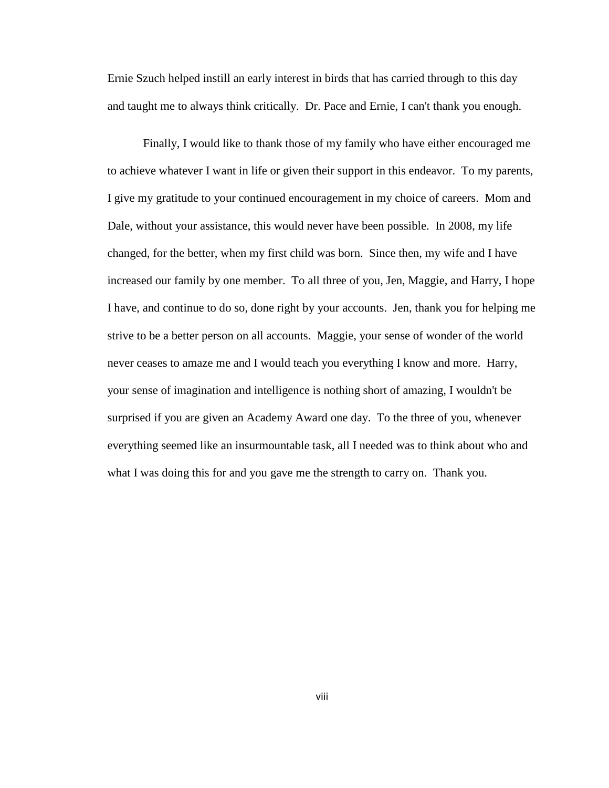Ernie Szuch helped instill an early interest in birds that has carried through to this day and taught me to always think critically. Dr. Pace and Ernie, I can't thank you enough.

Finally, I would like to thank those of my family who have either encouraged me to achieve whatever I want in life or given their support in this endeavor. To my parents, I give my gratitude to your continued encouragement in my choice of careers. Mom and Dale, without your assistance, this would never have been possible. In 2008, my life changed, for the better, when my first child was born. Since then, my wife and I have increased our family by one member. To all three of you, Jen, Maggie, and Harry, I hope I have, and continue to do so, done right by your accounts. Jen, thank you for helping me strive to be a better person on all accounts. Maggie, your sense of wonder of the world never ceases to amaze me and I would teach you everything I know and more. Harry, your sense of imagination and intelligence is nothing short of amazing, I wouldn't be surprised if you are given an Academy Award one day. To the three of you, whenever everything seemed like an insurmountable task, all I needed was to think about who and what I was doing this for and you gave me the strength to carry on. Thank you.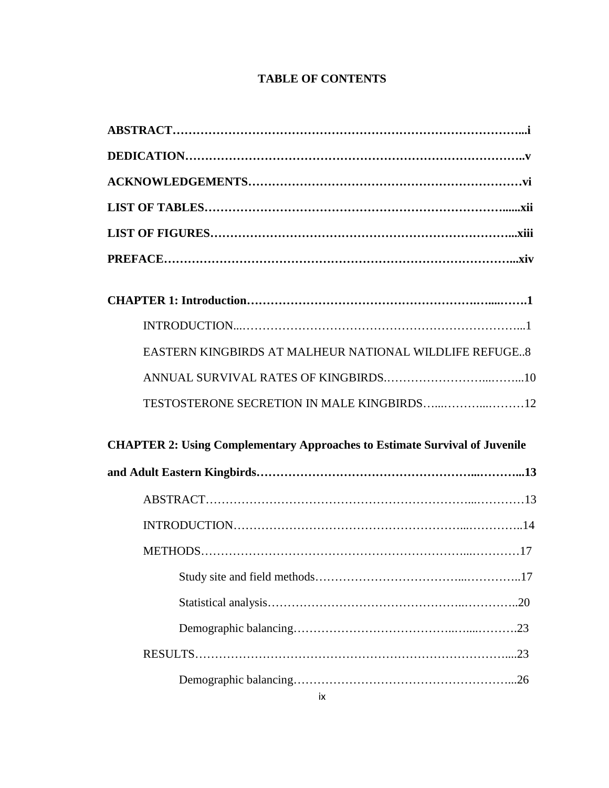### **TABLE OF CONTENTS**

| EASTERN KINGBIRDS AT MALHEUR NATIONAL WILDLIFE REFUGE8                            |
|-----------------------------------------------------------------------------------|
|                                                                                   |
|                                                                                   |
| <b>CHAPTER 2: Using Complementary Approaches to Estimate Survival of Juvenile</b> |
|                                                                                   |
|                                                                                   |
|                                                                                   |
|                                                                                   |
|                                                                                   |
|                                                                                   |
|                                                                                   |
|                                                                                   |
|                                                                                   |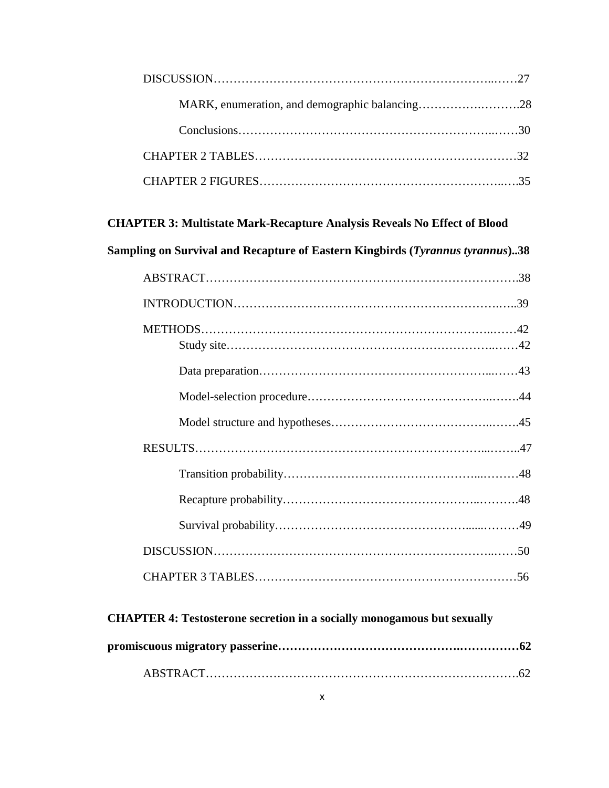| MARK, enumeration, and demographic balancing28 |  |
|------------------------------------------------|--|
|                                                |  |
|                                                |  |
|                                                |  |

### **CHAPTER 3: Multistate Mark-Recapture Analysis Reveals No Effect of Blood**

**Sampling on Survival and Recapture of Eastern Kingbirds (***Tyrannus tyrannus***)..38**

### **CHAPTER 4: Testosterone secretion in a socially monogamous but sexually**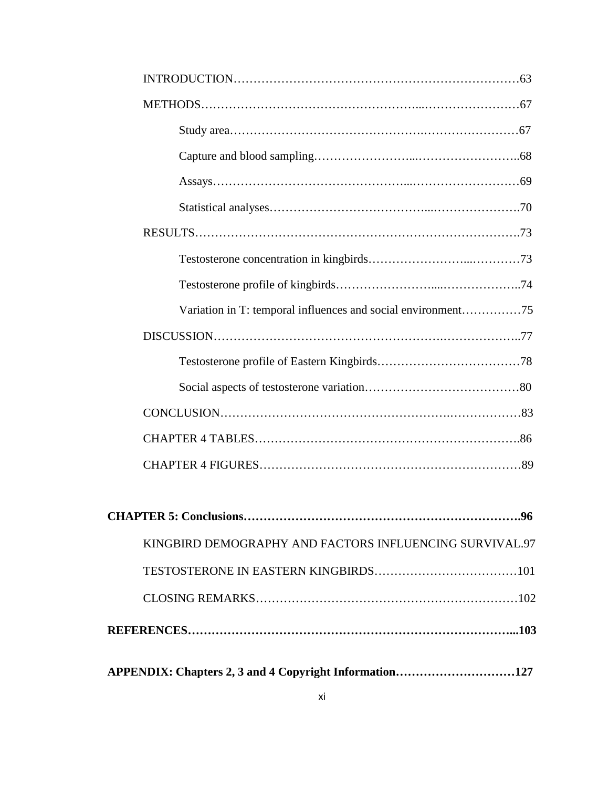| Variation in T: temporal influences and social environment75 |    |
|--------------------------------------------------------------|----|
|                                                              |    |
|                                                              |    |
|                                                              |    |
|                                                              |    |
|                                                              |    |
|                                                              |    |
| <b>CHAPTER 5: Conclusions</b>                                | 96 |
| KINGBIRD DEMOGRAPHY AND FACTORS INFLUENCING SURVIVAL.97      |    |
|                                                              |    |
|                                                              |    |
|                                                              |    |
| APPENDIX: Chapters 2, 3 and 4 Copyright Information127       |    |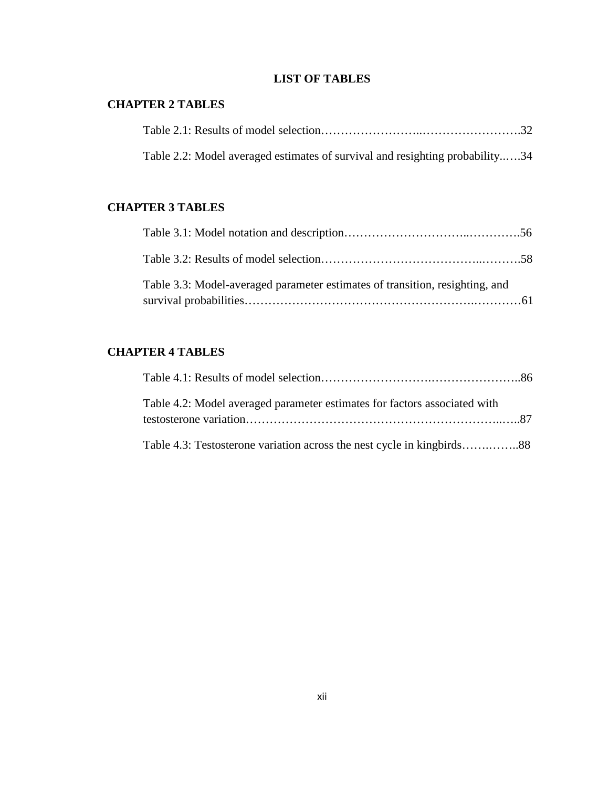### **LIST OF TABLES**

### **CHAPTER 2 TABLES**

| Table 2.2: Model averaged estimates of survival and resighting probability34 |  |
|------------------------------------------------------------------------------|--|

### **CHAPTER 3 TABLES**

| Table 3.3: Model-averaged parameter estimates of transition, resighting, and |  |
|------------------------------------------------------------------------------|--|

### **CHAPTER 4 TABLES**

| Table 4.2: Model averaged parameter estimates for factors associated with |  |
|---------------------------------------------------------------------------|--|
|                                                                           |  |
|                                                                           |  |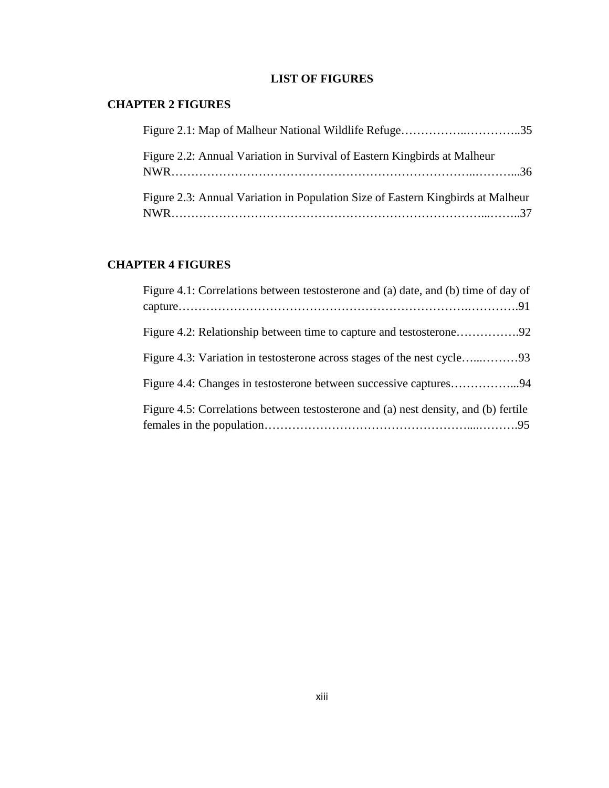### **LIST OF FIGURES**

### **CHAPTER 2 FIGURES**

| Figure 2.2: Annual Variation in Survival of Eastern Kingbirds at Malheur        |  |
|---------------------------------------------------------------------------------|--|
| Figure 2.3: Annual Variation in Population Size of Eastern Kingbirds at Malheur |  |

### **CHAPTER 4 FIGURES**

| Figure 4.1: Correlations between testosterone and (a) date, and (b) time of day of  |
|-------------------------------------------------------------------------------------|
|                                                                                     |
|                                                                                     |
|                                                                                     |
| Figure 4.5: Correlations between testosterone and (a) nest density, and (b) fertile |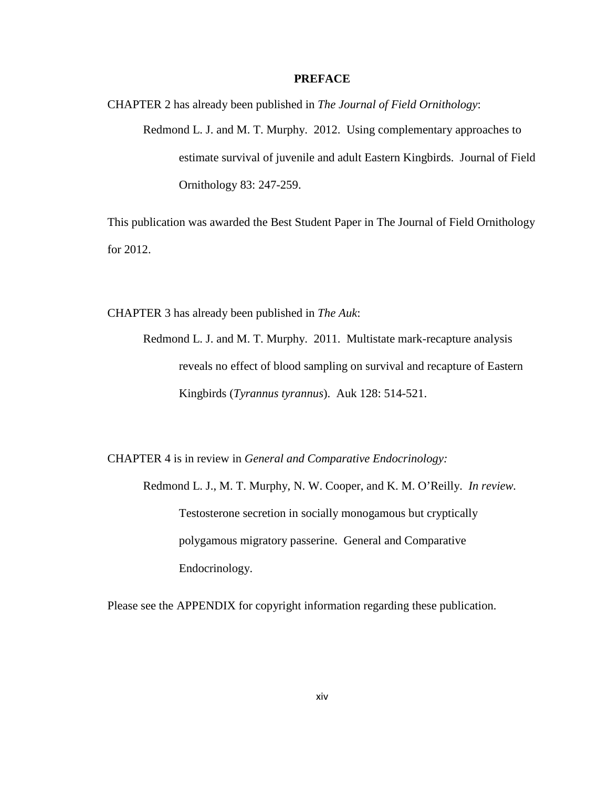#### **PREFACE**

CHAPTER 2 has already been published in *The Journal of Field Ornithology*: Redmond L. J. and M. T. Murphy. 2012. Using complementary approaches to estimate survival of juvenile and adult Eastern Kingbirds. Journal of Field Ornithology 83: 247-259.

This publication was awarded the Best Student Paper in The Journal of Field Ornithology for 2012.

CHAPTER 3 has already been published in *The Auk*:

Redmond L. J. and M. T. Murphy. 2011. Multistate mark-recapture analysis reveals no effect of blood sampling on survival and recapture of Eastern Kingbirds (*Tyrannus tyrannus*). Auk 128: 514-521.

CHAPTER 4 is in review in *General and Comparative Endocrinology:*

Redmond L. J., M. T. Murphy, N. W. Cooper, and K. M. O'Reilly. *In review.* Testosterone secretion in socially monogamous but cryptically polygamous migratory passerine. General and Comparative Endocrinology.

Please see the APPENDIX for copyright information regarding these publication.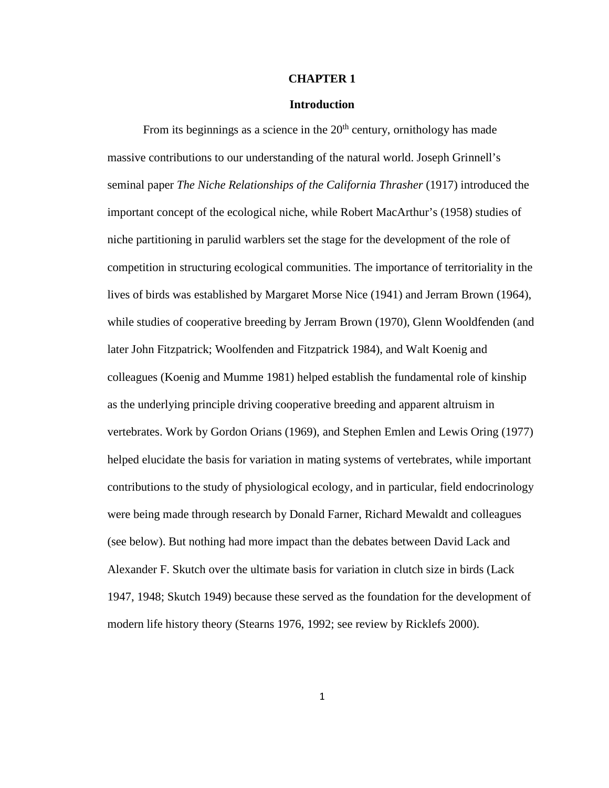#### **CHAPTER 1**

#### **Introduction**

From its beginnings as a science in the  $20<sup>th</sup>$  century, ornithology has made massive contributions to our understanding of the natural world. Joseph Grinnell's seminal paper *The Niche Relationships of the California Thrasher* (1917) introduced the important concept of the ecological niche, while Robert MacArthur's (1958) studies of niche partitioning in parulid warblers set the stage for the development of the role of competition in structuring ecological communities. The importance of territoriality in the lives of birds was established by Margaret Morse Nice (1941) and Jerram Brown (1964), while studies of cooperative breeding by Jerram Brown (1970), Glenn Wooldfenden (and later John Fitzpatrick; Woolfenden and Fitzpatrick 1984), and Walt Koenig and colleagues (Koenig and Mumme 1981) helped establish the fundamental role of kinship as the underlying principle driving cooperative breeding and apparent altruism in vertebrates. Work by Gordon Orians (1969), and Stephen Emlen and Lewis Oring (1977) helped elucidate the basis for variation in mating systems of vertebrates, while important contributions to the study of physiological ecology, and in particular, field endocrinology were being made through research by Donald Farner, Richard Mewaldt and colleagues (see below). But nothing had more impact than the debates between David Lack and Alexander F. Skutch over the ultimate basis for variation in clutch size in birds (Lack 1947, 1948; Skutch 1949) because these served as the foundation for the development of modern life history theory (Stearns 1976, 1992; see review by Ricklefs 2000).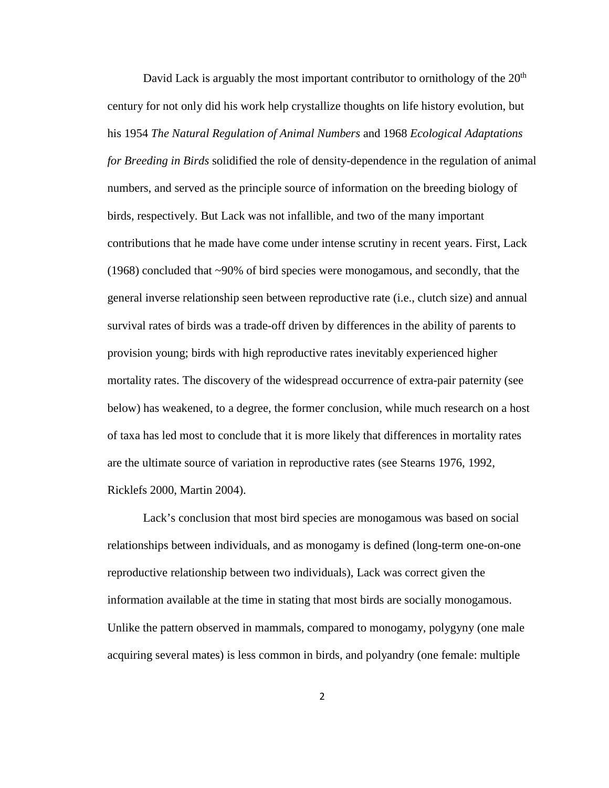David Lack is arguably the most important contributor to ornithology of the  $20<sup>th</sup>$ century for not only did his work help crystallize thoughts on life history evolution, but his 1954 *The Natural Regulation of Animal Numbers* and 1968 *Ecological Adaptations for Breeding in Birds* solidified the role of density-dependence in the regulation of animal numbers, and served as the principle source of information on the breeding biology of birds, respectively. But Lack was not infallible, and two of the many important contributions that he made have come under intense scrutiny in recent years. First, Lack (1968) concluded that ~90% of bird species were monogamous, and secondly, that the general inverse relationship seen between reproductive rate (i.e., clutch size) and annual survival rates of birds was a trade-off driven by differences in the ability of parents to provision young; birds with high reproductive rates inevitably experienced higher mortality rates. The discovery of the widespread occurrence of extra-pair paternity (see below) has weakened, to a degree, the former conclusion, while much research on a host of taxa has led most to conclude that it is more likely that differences in mortality rates are the ultimate source of variation in reproductive rates (see Stearns 1976, 1992, Ricklefs 2000, Martin 2004).

Lack's conclusion that most bird species are monogamous was based on social relationships between individuals, and as monogamy is defined (long-term one-on-one reproductive relationship between two individuals), Lack was correct given the information available at the time in stating that most birds are socially monogamous. Unlike the pattern observed in mammals, compared to monogamy, polygyny (one male acquiring several mates) is less common in birds, and polyandry (one female: multiple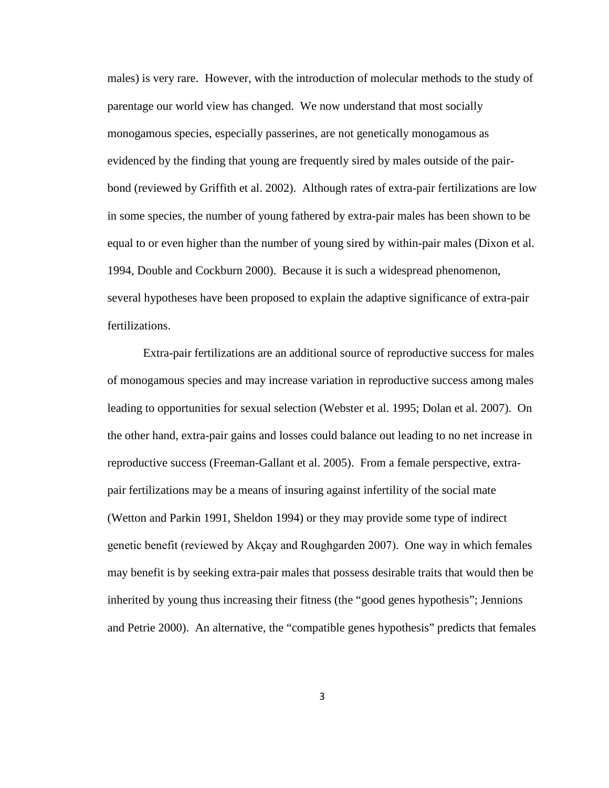males) is very rare. However, with the introduction of molecular methods to the study of parentage our world view has changed. We now understand that most socially monogamous species, especially passerines, are not genetically monogamous as evidenced by the finding that young are frequently sired by males outside of the pairbond (reviewed by Griffith et al. 2002). Although rates of extra-pair fertilizations are low in some species, the number of young fathered by extra-pair males has been shown to be equal to or even higher than the number of young sired by within-pair males (Dixon et al. 1994, Double and Cockburn 2000). Because it is such a widespread phenomenon, several hypotheses have been proposed to explain the adaptive significance of extra-pair fertilizations.

Extra-pair fertilizations are an additional source of reproductive success for males of monogamous species and may increase variation in reproductive success among males leading to opportunities for sexual selection (Webster et al. 1995; Dolan et al. 2007). On the other hand, extra-pair gains and losses could balance out leading to no net increase in reproductive success (Freeman-Gallant et al. 2005). From a female perspective, extrapair fertilizations may be a means of insuring against infertility of the social mate (Wetton and Parkin 1991, Sheldon 1994) or they may provide some type of indirect genetic benefit (reviewed by Akçay and Roughgarden 2007). One way in which females may benefit is by seeking extra-pair males that possess desirable traits that would then be inherited by young thus increasing their fitness (the "good genes hypothesis"; Jennions and Petrie 2000). An alternative, the "compatible genes hypothesis" predicts that females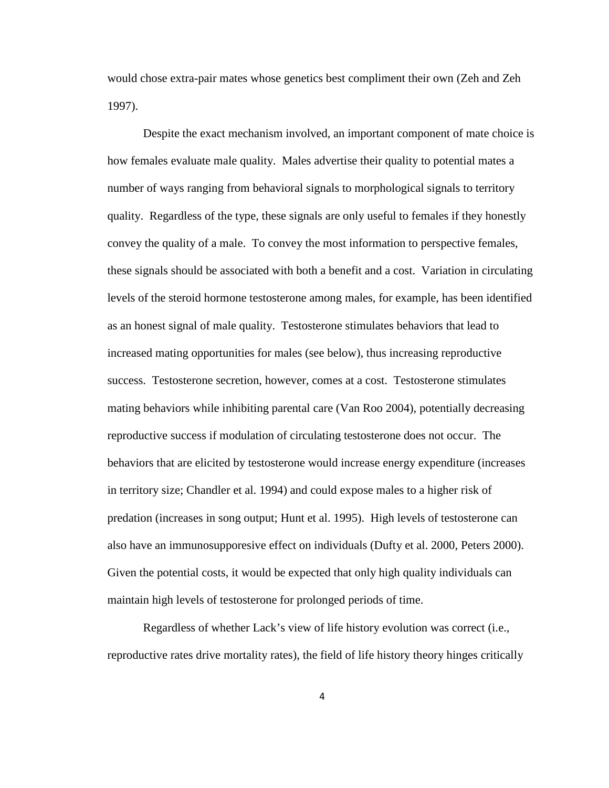would chose extra-pair mates whose genetics best compliment their own (Zeh and Zeh 1997).

Despite the exact mechanism involved, an important component of mate choice is how females evaluate male quality. Males advertise their quality to potential mates a number of ways ranging from behavioral signals to morphological signals to territory quality. Regardless of the type, these signals are only useful to females if they honestly convey the quality of a male. To convey the most information to perspective females, these signals should be associated with both a benefit and a cost. Variation in circulating levels of the steroid hormone testosterone among males, for example, has been identified as an honest signal of male quality. Testosterone stimulates behaviors that lead to increased mating opportunities for males (see below), thus increasing reproductive success. Testosterone secretion, however, comes at a cost. Testosterone stimulates mating behaviors while inhibiting parental care (Van Roo 2004), potentially decreasing reproductive success if modulation of circulating testosterone does not occur. The behaviors that are elicited by testosterone would increase energy expenditure (increases in territory size; Chandler et al. 1994) and could expose males to a higher risk of predation (increases in song output; Hunt et al. 1995). High levels of testosterone can also have an immunosupporesive effect on individuals (Dufty et al. 2000, Peters 2000). Given the potential costs, it would be expected that only high quality individuals can maintain high levels of testosterone for prolonged periods of time.

Regardless of whether Lack's view of life history evolution was correct (i.e., reproductive rates drive mortality rates), the field of life history theory hinges critically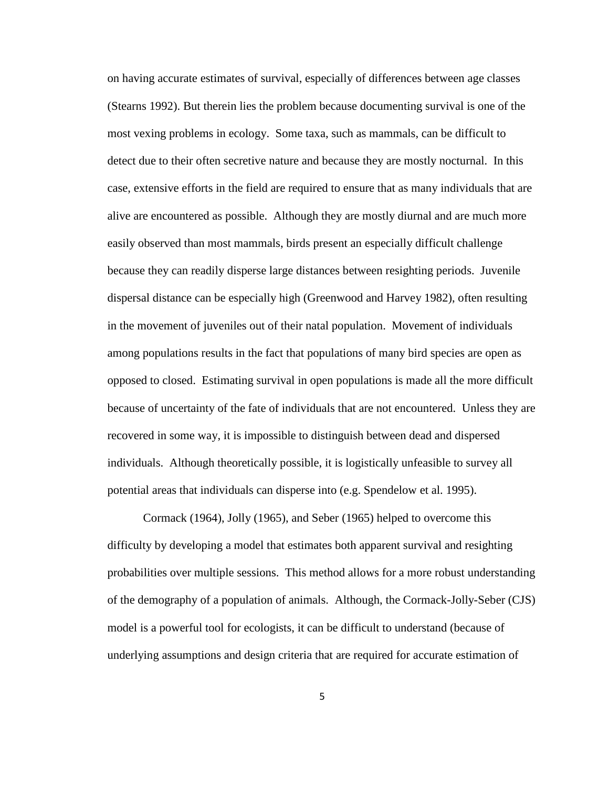on having accurate estimates of survival, especially of differences between age classes (Stearns 1992). But therein lies the problem because documenting survival is one of the most vexing problems in ecology. Some taxa, such as mammals, can be difficult to detect due to their often secretive nature and because they are mostly nocturnal. In this case, extensive efforts in the field are required to ensure that as many individuals that are alive are encountered as possible. Although they are mostly diurnal and are much more easily observed than most mammals, birds present an especially difficult challenge because they can readily disperse large distances between resighting periods. Juvenile dispersal distance can be especially high (Greenwood and Harvey 1982), often resulting in the movement of juveniles out of their natal population. Movement of individuals among populations results in the fact that populations of many bird species are open as opposed to closed. Estimating survival in open populations is made all the more difficult because of uncertainty of the fate of individuals that are not encountered. Unless they are recovered in some way, it is impossible to distinguish between dead and dispersed individuals. Although theoretically possible, it is logistically unfeasible to survey all potential areas that individuals can disperse into (e.g. Spendelow et al. 1995).

Cormack (1964), Jolly (1965), and Seber (1965) helped to overcome this difficulty by developing a model that estimates both apparent survival and resighting probabilities over multiple sessions. This method allows for a more robust understanding of the demography of a population of animals. Although, the Cormack-Jolly-Seber (CJS) model is a powerful tool for ecologists, it can be difficult to understand (because of underlying assumptions and design criteria that are required for accurate estimation of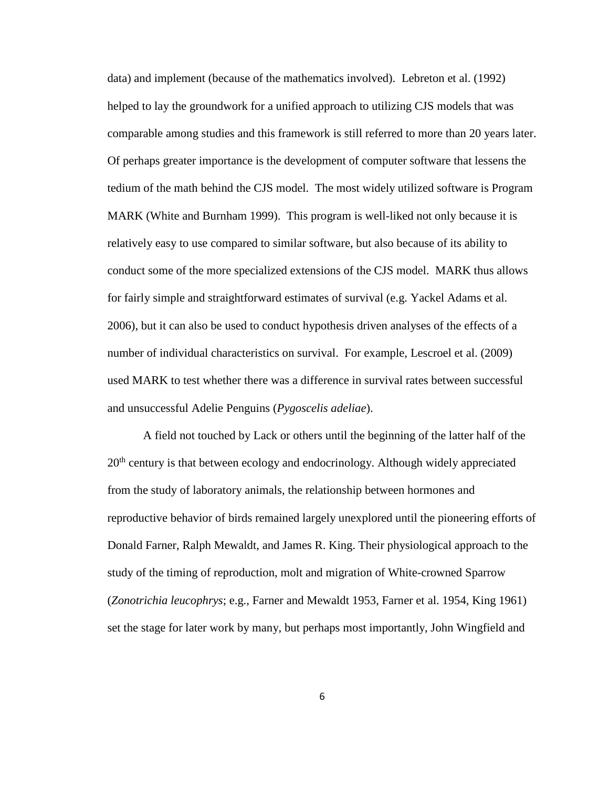data) and implement (because of the mathematics involved). Lebreton et al. (1992) helped to lay the groundwork for a unified approach to utilizing CJS models that was comparable among studies and this framework is still referred to more than 20 years later. Of perhaps greater importance is the development of computer software that lessens the tedium of the math behind the CJS model. The most widely utilized software is Program MARK (White and Burnham 1999). This program is well-liked not only because it is relatively easy to use compared to similar software, but also because of its ability to conduct some of the more specialized extensions of the CJS model. MARK thus allows for fairly simple and straightforward estimates of survival (e.g. Yackel Adams et al. 2006), but it can also be used to conduct hypothesis driven analyses of the effects of a number of individual characteristics on survival. For example, Lescroel et al. (2009) used MARK to test whether there was a difference in survival rates between successful and unsuccessful Adelie Penguins (*Pygoscelis adeliae*).

A field not touched by Lack or others until the beginning of the latter half of the  $20<sup>th</sup>$  century is that between ecology and endocrinology. Although widely appreciated from the study of laboratory animals, the relationship between hormones and reproductive behavior of birds remained largely unexplored until the pioneering efforts of Donald Farner, Ralph Mewaldt, and James R. King. Their physiological approach to the study of the timing of reproduction, molt and migration of White-crowned Sparrow (*Zonotrichia leucophrys*; e.g., Farner and Mewaldt 1953, Farner et al. 1954, King 1961) set the stage for later work by many, but perhaps most importantly, John Wingfield and

6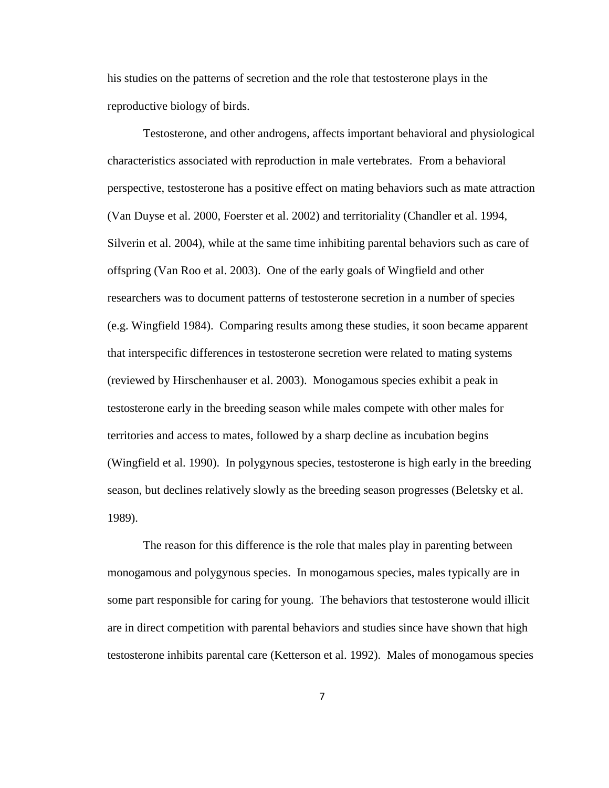his studies on the patterns of secretion and the role that testosterone plays in the reproductive biology of birds.

Testosterone, and other androgens, affects important behavioral and physiological characteristics associated with reproduction in male vertebrates. From a behavioral perspective, testosterone has a positive effect on mating behaviors such as mate attraction (Van Duyse et al. 2000, Foerster et al. 2002) and territoriality (Chandler et al. 1994, Silverin et al. 2004), while at the same time inhibiting parental behaviors such as care of offspring (Van Roo et al. 2003). One of the early goals of Wingfield and other researchers was to document patterns of testosterone secretion in a number of species (e.g. Wingfield 1984). Comparing results among these studies, it soon became apparent that interspecific differences in testosterone secretion were related to mating systems (reviewed by Hirschenhauser et al. 2003). Monogamous species exhibit a peak in testosterone early in the breeding season while males compete with other males for territories and access to mates, followed by a sharp decline as incubation begins (Wingfield et al. 1990). In polygynous species, testosterone is high early in the breeding season, but declines relatively slowly as the breeding season progresses (Beletsky et al. 1989).

The reason for this difference is the role that males play in parenting between monogamous and polygynous species. In monogamous species, males typically are in some part responsible for caring for young. The behaviors that testosterone would illicit are in direct competition with parental behaviors and studies since have shown that high testosterone inhibits parental care (Ketterson et al. 1992). Males of monogamous species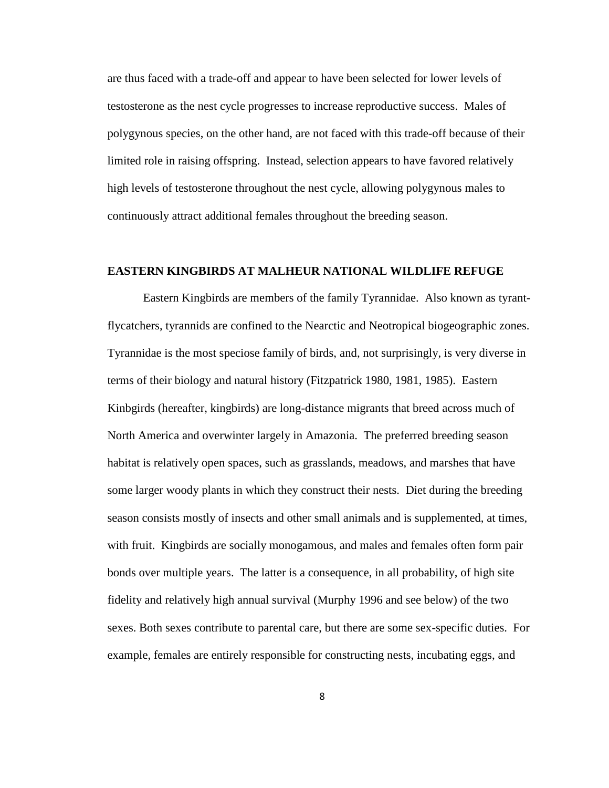are thus faced with a trade-off and appear to have been selected for lower levels of testosterone as the nest cycle progresses to increase reproductive success. Males of polygynous species, on the other hand, are not faced with this trade-off because of their limited role in raising offspring. Instead, selection appears to have favored relatively high levels of testosterone throughout the nest cycle, allowing polygynous males to continuously attract additional females throughout the breeding season.

#### **EASTERN KINGBIRDS AT MALHEUR NATIONAL WILDLIFE REFUGE**

Eastern Kingbirds are members of the family Tyrannidae. Also known as tyrantflycatchers, tyrannids are confined to the Nearctic and Neotropical biogeographic zones. Tyrannidae is the most speciose family of birds, and, not surprisingly, is very diverse in terms of their biology and natural history (Fitzpatrick 1980, 1981, 1985). Eastern Kinbgirds (hereafter, kingbirds) are long-distance migrants that breed across much of North America and overwinter largely in Amazonia. The preferred breeding season habitat is relatively open spaces, such as grasslands, meadows, and marshes that have some larger woody plants in which they construct their nests. Diet during the breeding season consists mostly of insects and other small animals and is supplemented, at times, with fruit. Kingbirds are socially monogamous, and males and females often form pair bonds over multiple years. The latter is a consequence, in all probability, of high site fidelity and relatively high annual survival (Murphy 1996 and see below) of the two sexes. Both sexes contribute to parental care, but there are some sex-specific duties. For example, females are entirely responsible for constructing nests, incubating eggs, and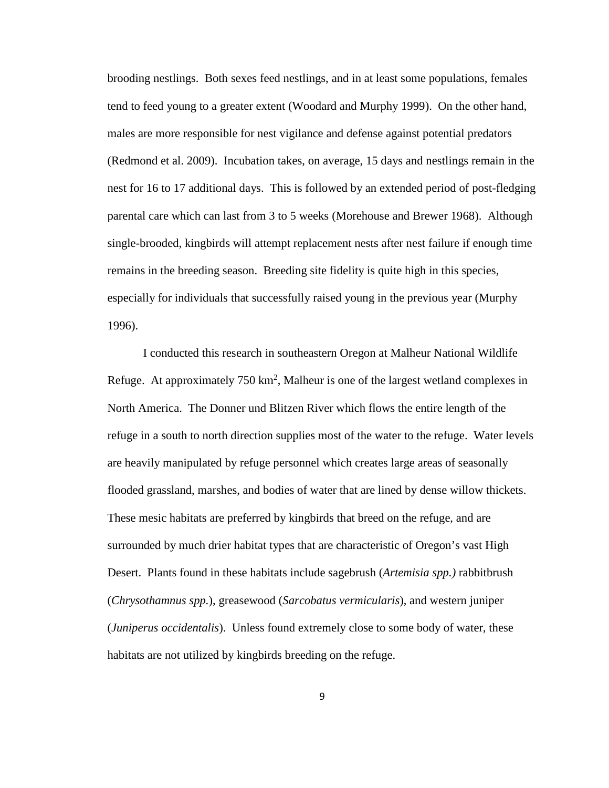brooding nestlings. Both sexes feed nestlings, and in at least some populations, females tend to feed young to a greater extent (Woodard and Murphy 1999). On the other hand, males are more responsible for nest vigilance and defense against potential predators (Redmond et al. 2009). Incubation takes, on average, 15 days and nestlings remain in the nest for 16 to 17 additional days. This is followed by an extended period of post-fledging parental care which can last from 3 to 5 weeks (Morehouse and Brewer 1968). Although single-brooded, kingbirds will attempt replacement nests after nest failure if enough time remains in the breeding season. Breeding site fidelity is quite high in this species, especially for individuals that successfully raised young in the previous year (Murphy 1996).

I conducted this research in southeastern Oregon at Malheur National Wildlife Refuge. At approximately  $750 \text{ km}^2$ , Malheur is one of the largest wetland complexes in North America. The Donner und Blitzen River which flows the entire length of the refuge in a south to north direction supplies most of the water to the refuge. Water levels are heavily manipulated by refuge personnel which creates large areas of seasonally flooded grassland, marshes, and bodies of water that are lined by dense willow thickets. These mesic habitats are preferred by kingbirds that breed on the refuge, and are surrounded by much drier habitat types that are characteristic of Oregon's vast High Desert. Plants found in these habitats include sagebrush (*Artemisia spp.)* rabbitbrush (*Chrysothamnus spp.*), greasewood (*Sarcobatus vermicularis*), and western juniper (*Juniperus occidentalis*). Unless found extremely close to some body of water, these habitats are not utilized by kingbirds breeding on the refuge.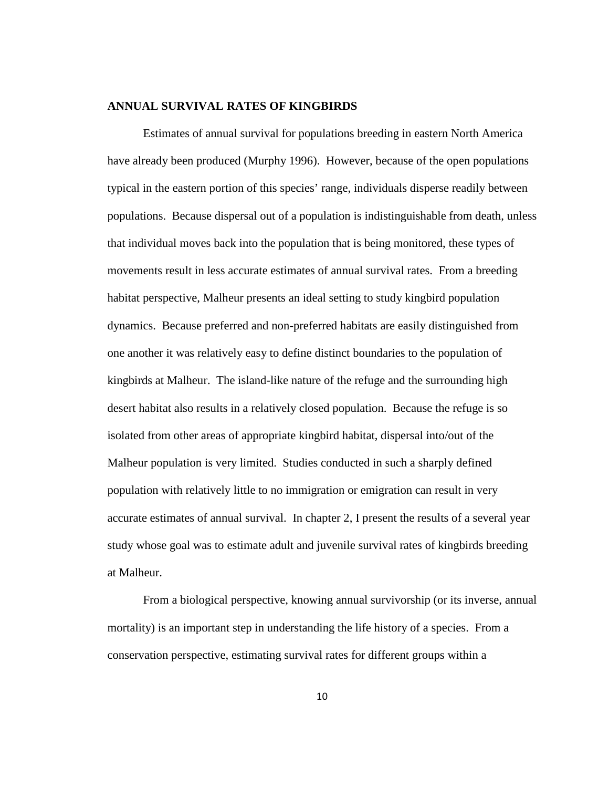#### **ANNUAL SURVIVAL RATES OF KINGBIRDS**

Estimates of annual survival for populations breeding in eastern North America have already been produced (Murphy 1996). However, because of the open populations typical in the eastern portion of this species' range, individuals disperse readily between populations. Because dispersal out of a population is indistinguishable from death, unless that individual moves back into the population that is being monitored, these types of movements result in less accurate estimates of annual survival rates. From a breeding habitat perspective, Malheur presents an ideal setting to study kingbird population dynamics. Because preferred and non-preferred habitats are easily distinguished from one another it was relatively easy to define distinct boundaries to the population of kingbirds at Malheur. The island-like nature of the refuge and the surrounding high desert habitat also results in a relatively closed population. Because the refuge is so isolated from other areas of appropriate kingbird habitat, dispersal into/out of the Malheur population is very limited. Studies conducted in such a sharply defined population with relatively little to no immigration or emigration can result in very accurate estimates of annual survival. In chapter 2, I present the results of a several year study whose goal was to estimate adult and juvenile survival rates of kingbirds breeding at Malheur.

From a biological perspective, knowing annual survivorship (or its inverse, annual mortality) is an important step in understanding the life history of a species. From a conservation perspective, estimating survival rates for different groups within a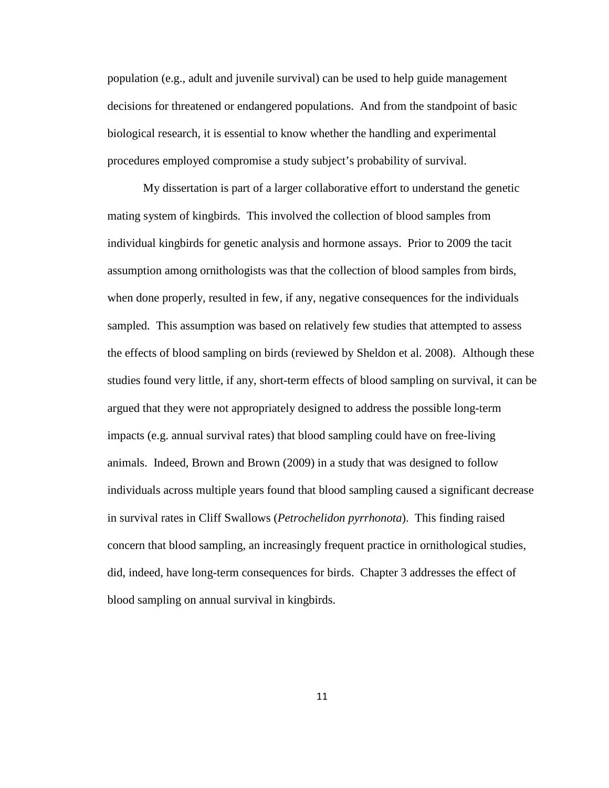population (e.g., adult and juvenile survival) can be used to help guide management decisions for threatened or endangered populations. And from the standpoint of basic biological research, it is essential to know whether the handling and experimental procedures employed compromise a study subject's probability of survival.

My dissertation is part of a larger collaborative effort to understand the genetic mating system of kingbirds. This involved the collection of blood samples from individual kingbirds for genetic analysis and hormone assays. Prior to 2009 the tacit assumption among ornithologists was that the collection of blood samples from birds, when done properly, resulted in few, if any, negative consequences for the individuals sampled. This assumption was based on relatively few studies that attempted to assess the effects of blood sampling on birds (reviewed by Sheldon et al. 2008). Although these studies found very little, if any, short-term effects of blood sampling on survival, it can be argued that they were not appropriately designed to address the possible long-term impacts (e.g. annual survival rates) that blood sampling could have on free-living animals. Indeed, Brown and Brown (2009) in a study that was designed to follow individuals across multiple years found that blood sampling caused a significant decrease in survival rates in Cliff Swallows (*Petrochelidon pyrrhonota*). This finding raised concern that blood sampling, an increasingly frequent practice in ornithological studies, did, indeed, have long-term consequences for birds. Chapter 3 addresses the effect of blood sampling on annual survival in kingbirds.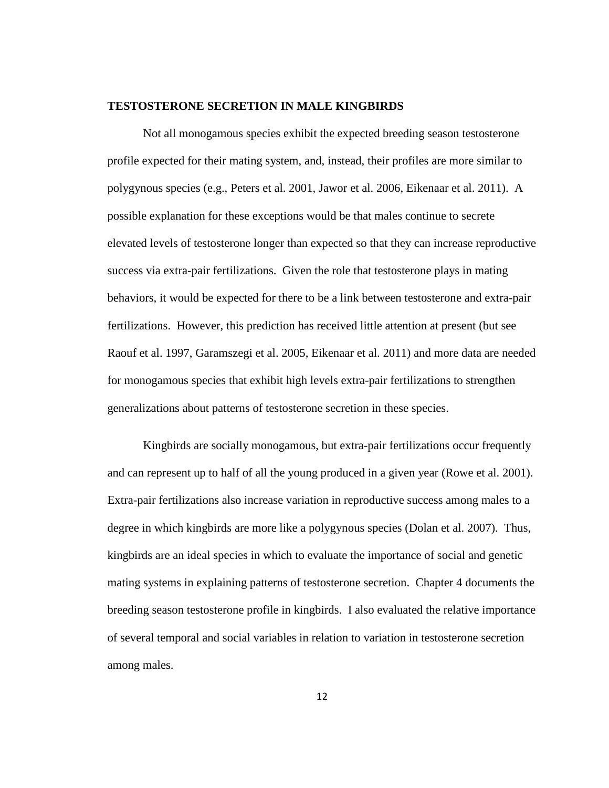#### **TESTOSTERONE SECRETION IN MALE KINGBIRDS**

Not all monogamous species exhibit the expected breeding season testosterone profile expected for their mating system, and, instead, their profiles are more similar to polygynous species (e.g., Peters et al. 2001, Jawor et al. 2006, Eikenaar et al. 2011). A possible explanation for these exceptions would be that males continue to secrete elevated levels of testosterone longer than expected so that they can increase reproductive success via extra-pair fertilizations. Given the role that testosterone plays in mating behaviors, it would be expected for there to be a link between testosterone and extra-pair fertilizations. However, this prediction has received little attention at present (but see Raouf et al. 1997, Garamszegi et al. 2005, Eikenaar et al. 2011) and more data are needed for monogamous species that exhibit high levels extra-pair fertilizations to strengthen generalizations about patterns of testosterone secretion in these species.

Kingbirds are socially monogamous, but extra-pair fertilizations occur frequently and can represent up to half of all the young produced in a given year (Rowe et al. 2001). Extra-pair fertilizations also increase variation in reproductive success among males to a degree in which kingbirds are more like a polygynous species (Dolan et al. 2007). Thus, kingbirds are an ideal species in which to evaluate the importance of social and genetic mating systems in explaining patterns of testosterone secretion. Chapter 4 documents the breeding season testosterone profile in kingbirds. I also evaluated the relative importance of several temporal and social variables in relation to variation in testosterone secretion among males.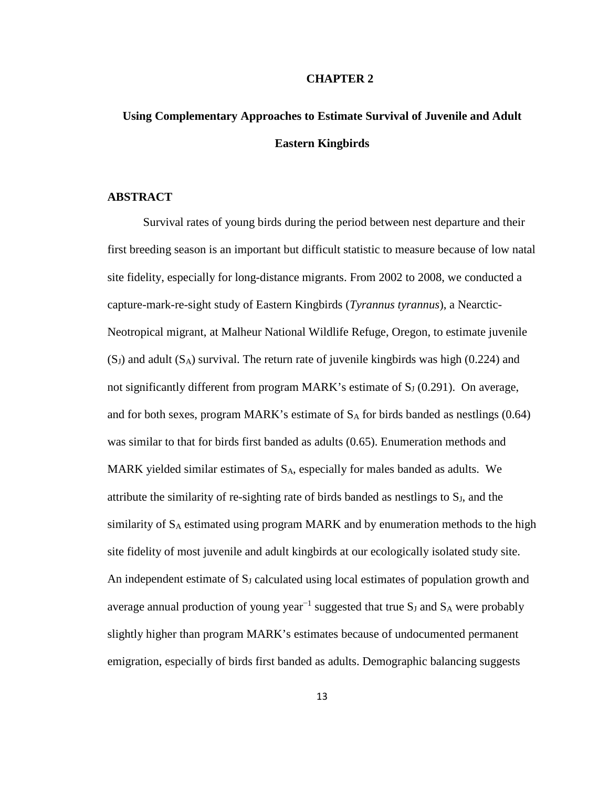#### **CHAPTER 2**

## **Using Complementary Approaches to Estimate Survival of Juvenile and Adult Eastern Kingbirds**

### **ABSTRACT**

Survival rates of young birds during the period between nest departure and their first breeding season is an important but difficult statistic to measure because of low natal site fidelity, especially for long-distance migrants. From 2002 to 2008, we conducted a capture-mark-re-sight study of Eastern Kingbirds (*Tyrannus tyrannus*), a Nearctic-Neotropical migrant, at Malheur National Wildlife Refuge, Oregon, to estimate juvenile  $(S_J)$  and adult  $(S_A)$  survival. The return rate of juvenile kingbirds was high (0.224) and not significantly different from program MARK's estimate of  $S_J$  (0.291). On average, and for both sexes, program MARK's estimate of  $S_A$  for birds banded as nestlings (0.64) was similar to that for birds first banded as adults (0.65). Enumeration methods and MARK yielded similar estimates of  $S_A$ , especially for males banded as adults. We attribute the similarity of re-sighting rate of birds banded as nestlings to  $S_J$ , and the similarity of  $S_A$  estimated using program MARK and by enumeration methods to the high site fidelity of most juvenile and adult kingbirds at our ecologically isolated study site. An independent estimate of S<sub>J</sub> calculated using local estimates of population growth and average annual production of young year<sup>-1</sup> suggested that true  $S_J$  and  $S_A$  were probably slightly higher than program MARK's estimates because of undocumented permanent emigration, especially of birds first banded as adults. Demographic balancing suggests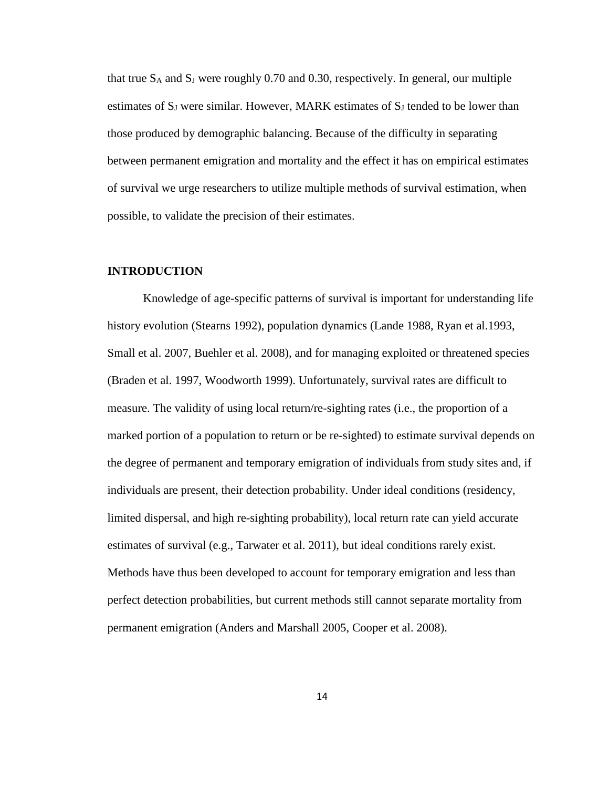that true  $S_A$  and  $S_J$  were roughly 0.70 and 0.30, respectively. In general, our multiple estimates of S<sub>J</sub> were similar. However, MARK estimates of S<sub>J</sub> tended to be lower than those produced by demographic balancing. Because of the difficulty in separating between permanent emigration and mortality and the effect it has on empirical estimates of survival we urge researchers to utilize multiple methods of survival estimation, when possible, to validate the precision of their estimates.

### **INTRODUCTION**

Knowledge of age-specific patterns of survival is important for understanding life history evolution (Stearns 1992), population dynamics (Lande 1988, Ryan et al.1993, Small et al. 2007, Buehler et al. 2008), and for managing exploited or threatened species (Braden et al. 1997, Woodworth 1999). Unfortunately, survival rates are difficult to measure. The validity of using local return/re-sighting rates (i.e., the proportion of a marked portion of a population to return or be re-sighted) to estimate survival depends on the degree of permanent and temporary emigration of individuals from study sites and, if individuals are present, their detection probability. Under ideal conditions (residency, limited dispersal, and high re-sighting probability), local return rate can yield accurate estimates of survival (e.g., Tarwater et al. 2011), but ideal conditions rarely exist. Methods have thus been developed to account for temporary emigration and less than perfect detection probabilities, but current methods still cannot separate mortality from permanent emigration (Anders and Marshall 2005, Cooper et al. 2008).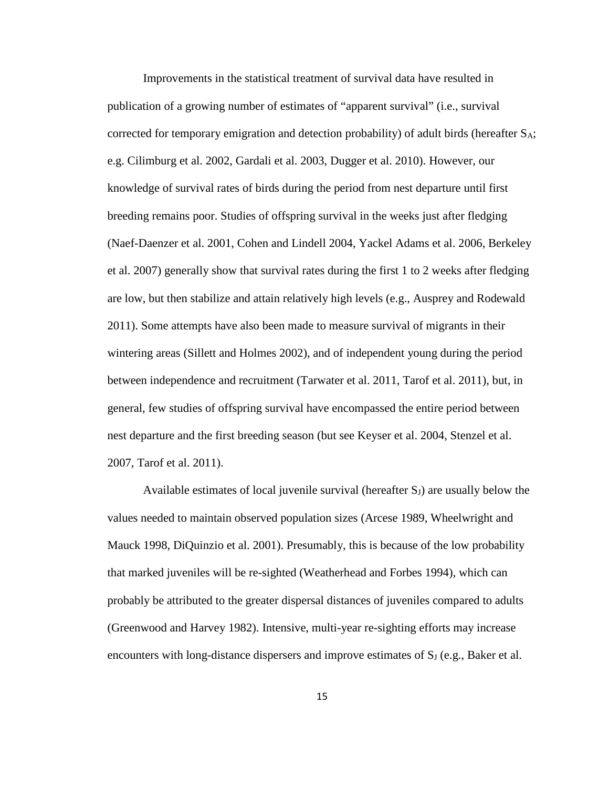Improvements in the statistical treatment of survival data have resulted in publication of a growing number of estimates of "apparent survival" (i.e., survival corrected for temporary emigration and detection probability) of adult birds (hereafter  $S_A$ ; e.g. Cilimburg et al. 2002, Gardali et al. 2003, Dugger et al. 2010). However, our knowledge of survival rates of birds during the period from nest departure until first breeding remains poor. Studies of offspring survival in the weeks just after fledging (Naef-Daenzer et al. 2001, Cohen and Lindell 2004, Yackel Adams et al. 2006, Berkeley et al. 2007) generally show that survival rates during the first 1 to 2 weeks after fledging are low, but then stabilize and attain relatively high levels (e.g., Ausprey and Rodewald 2011). Some attempts have also been made to measure survival of migrants in their wintering areas (Sillett and Holmes 2002), and of independent young during the period between independence and recruitment (Tarwater et al. 2011, Tarof et al. 2011), but, in general, few studies of offspring survival have encompassed the entire period between nest departure and the first breeding season (but see Keyser et al. 2004, Stenzel et al. 2007, Tarof et al. 2011).

Available estimates of local juvenile survival (hereafter  $S<sub>J</sub>$ ) are usually below the values needed to maintain observed population sizes (Arcese 1989, Wheelwright and Mauck 1998, DiQuinzio et al. 2001). Presumably, this is because of the low probability that marked juveniles will be re-sighted (Weatherhead and Forbes 1994), which can probably be attributed to the greater dispersal distances of juveniles compared to adults (Greenwood and Harvey 1982). Intensive, multi-year re-sighting efforts may increase encounters with long-distance dispersers and improve estimates of  $S_J$  (e.g., Baker et al.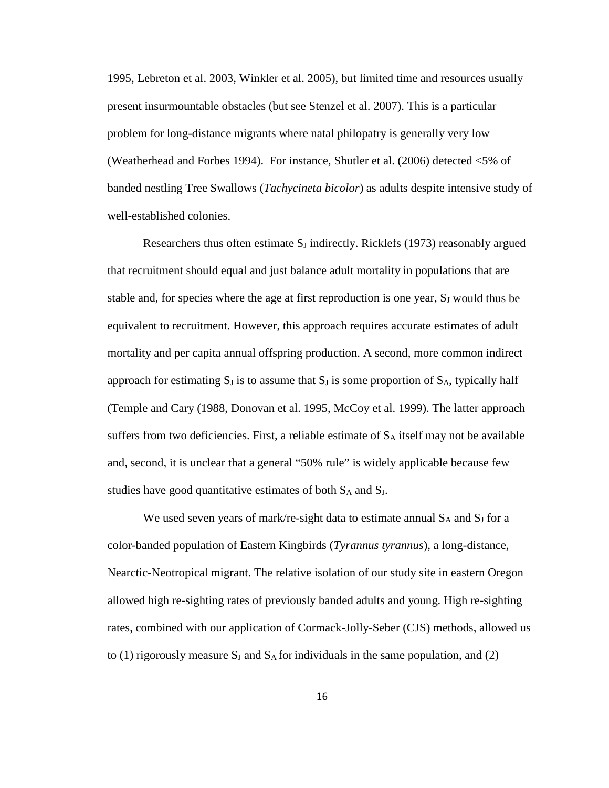1995, Lebreton et al. 2003, Winkler et al. 2005), but limited time and resources usually present insurmountable obstacles (but see Stenzel et al. 2007). This is a particular problem for long-distance migrants where natal philopatry is generally very low (Weatherhead and Forbes 1994). For instance, Shutler et al. (2006) detected <5% of banded nestling Tree Swallows (*Tachycineta bicolor*) as adults despite intensive study of well-established colonies.

Researchers thus often estimate  $S_J$  indirectly. Ricklefs (1973) reasonably argued that recruitment should equal and just balance adult mortality in populations that are stable and, for species where the age at first reproduction is one year,  $S_J$  would thus be equivalent to recruitment. However, this approach requires accurate estimates of adult mortality and per capita annual offspring production. A second, more common indirect approach for estimating  $S_J$  is to assume that  $S_J$  is some proportion of  $S_A$ , typically half (Temple and Cary (1988, Donovan et al. 1995, McCoy et al. 1999). The latter approach suffers from two deficiencies. First, a reliable estimate of  $S_A$  itself may not be available and, second, it is unclear that a general "50% rule" is widely applicable because few studies have good quantitative estimates of both S<sub>A</sub> and S<sub>J</sub>.

We used seven years of mark/re-sight data to estimate annual  $S_A$  and  $S_J$  for a color-banded population of Eastern Kingbirds (*Tyrannus tyrannus*), a long-distance, Nearctic-Neotropical migrant. The relative isolation of our study site in eastern Oregon allowed high re-sighting rates of previously banded adults and young. High re-sighting rates, combined with our application of Cormack-Jolly-Seber (CJS) methods, allowed us to (1) rigorously measure  $S_J$  and  $S_A$  for individuals in the same population, and (2)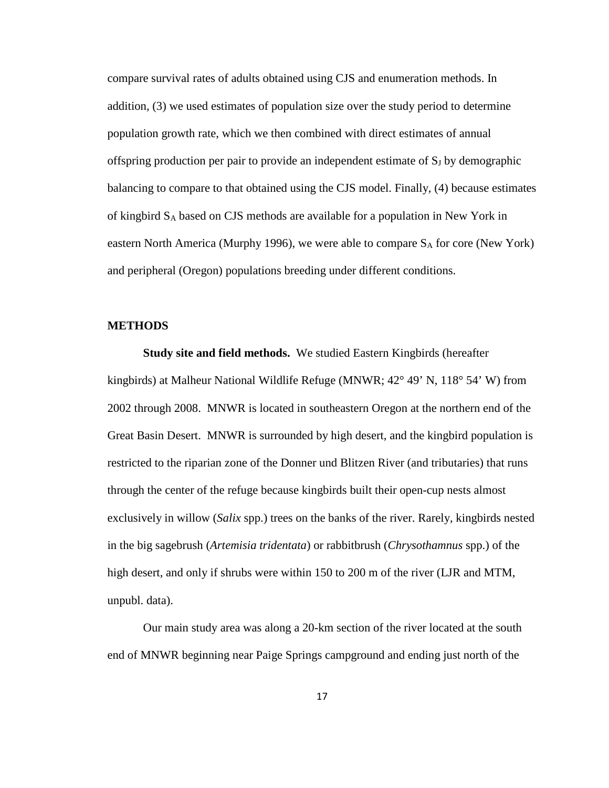compare survival rates of adults obtained using CJS and enumeration methods. In addition, (3) we used estimates of population size over the study period to determine population growth rate, which we then combined with direct estimates of annual offspring production per pair to provide an independent estimate of  $S_J$  by demographic balancing to compare to that obtained using the CJS model. Finally, (4) because estimates of kingbird SA based on CJS methods are available for a population in New York in eastern North America (Murphy 1996), we were able to compare  $S_A$  for core (New York) and peripheral (Oregon) populations breeding under different conditions.

#### **METHODS**

**Study site and field methods.** We studied Eastern Kingbirds (hereafter kingbirds) at Malheur National Wildlife Refuge (MNWR; 42° 49' N, 118° 54' W) from 2002 through 2008. MNWR is located in southeastern Oregon at the northern end of the Great Basin Desert. MNWR is surrounded by high desert, and the kingbird population is restricted to the riparian zone of the Donner und Blitzen River (and tributaries) that runs through the center of the refuge because kingbirds built their open-cup nests almost exclusively in willow (*Salix* spp.) trees on the banks of the river. Rarely, kingbirds nested in the big sagebrush (*Artemisia tridentata*) or rabbitbrush (*Chrysothamnus* spp.) of the high desert, and only if shrubs were within 150 to 200 m of the river (LJR and MTM, unpubl. data).

Our main study area was along a 20-km section of the river located at the south end of MNWR beginning near Paige Springs campground and ending just north of the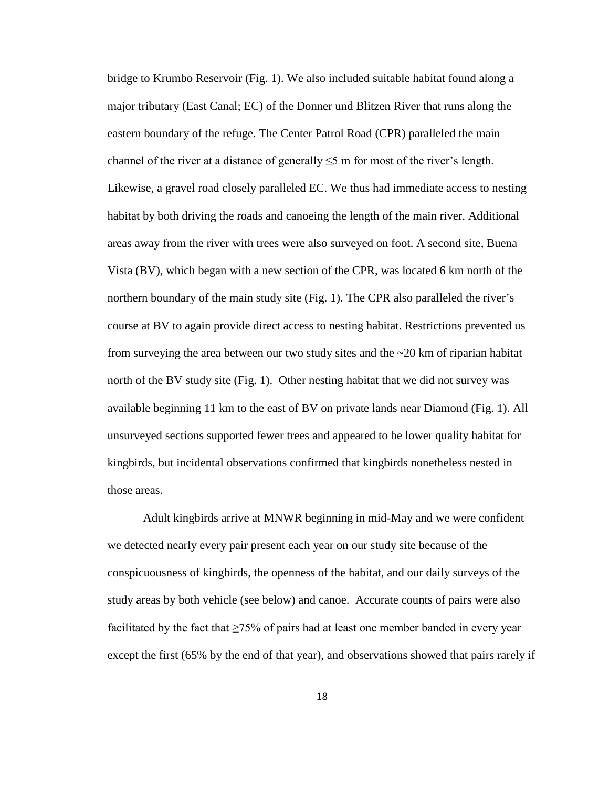bridge to Krumbo Reservoir (Fig. 1). We also included suitable habitat found along a major tributary (East Canal; EC) of the Donner und Blitzen River that runs along the eastern boundary of the refuge. The Center Patrol Road (CPR) paralleled the main channel of the river at a distance of generally  $\leq$ 5 m for most of the river's length. Likewise, a gravel road closely paralleled EC. We thus had immediate access to nesting habitat by both driving the roads and canoeing the length of the main river. Additional areas away from the river with trees were also surveyed on foot. A second site, Buena Vista (BV), which began with a new section of the CPR, was located 6 km north of the northern boundary of the main study site (Fig. 1). The CPR also paralleled the river's course at BV to again provide direct access to nesting habitat. Restrictions prevented us from surveying the area between our two study sites and the  $\sim$ 20 km of riparian habitat north of the BV study site (Fig. 1). Other nesting habitat that we did not survey was available beginning 11 km to the east of BV on private lands near Diamond (Fig. 1). All unsurveyed sections supported fewer trees and appeared to be lower quality habitat for kingbirds, but incidental observations confirmed that kingbirds nonetheless nested in those areas.

Adult kingbirds arrive at MNWR beginning in mid-May and we were confident we detected nearly every pair present each year on our study site because of the conspicuousness of kingbirds, the openness of the habitat, and our daily surveys of the study areas by both vehicle (see below) and canoe. Accurate counts of pairs were also facilitated by the fact that  $\geq 75\%$  of pairs had at least one member banded in every year except the first (65% by the end of that year), and observations showed that pairs rarely if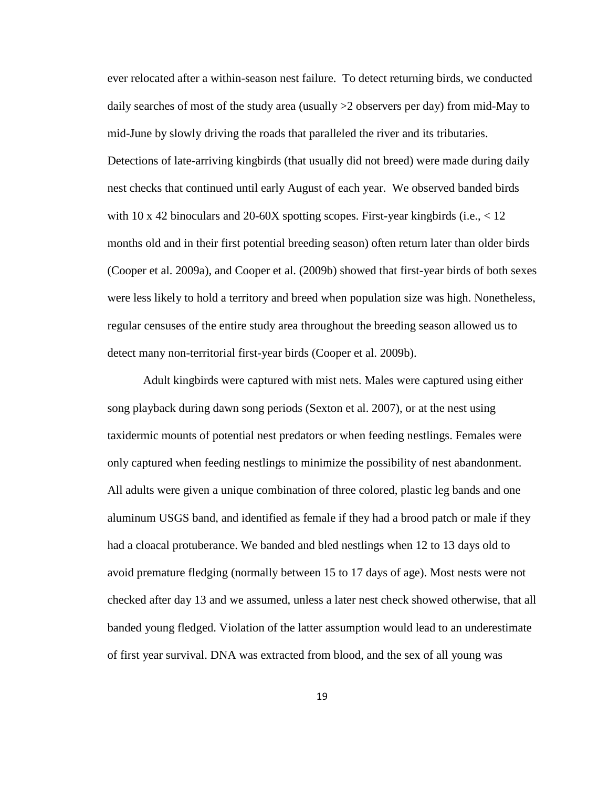ever relocated after a within-season nest failure. To detect returning birds, we conducted daily searches of most of the study area (usually >2 observers per day) from mid-May to mid-June by slowly driving the roads that paralleled the river and its tributaries. Detections of late-arriving kingbirds (that usually did not breed) were made during daily nest checks that continued until early August of each year. We observed banded birds with 10 x 42 binoculars and 20-60X spotting scopes. First-year kingbirds (i.e.,  $\lt 12$ ) months old and in their first potential breeding season) often return later than older birds (Cooper et al. 2009a), and Cooper et al. (2009b) showed that first-year birds of both sexes were less likely to hold a territory and breed when population size was high. Nonetheless, regular censuses of the entire study area throughout the breeding season allowed us to detect many non-territorial first-year birds (Cooper et al. 2009b).

Adult kingbirds were captured with mist nets. Males were captured using either song playback during dawn song periods (Sexton et al. 2007), or at the nest using taxidermic mounts of potential nest predators or when feeding nestlings. Females were only captured when feeding nestlings to minimize the possibility of nest abandonment. All adults were given a unique combination of three colored, plastic leg bands and one aluminum USGS band, and identified as female if they had a brood patch or male if they had a cloacal protuberance. We banded and bled nestlings when 12 to 13 days old to avoid premature fledging (normally between 15 to 17 days of age). Most nests were not checked after day 13 and we assumed, unless a later nest check showed otherwise, that all banded young fledged. Violation of the latter assumption would lead to an underestimate of first year survival. DNA was extracted from blood, and the sex of all young was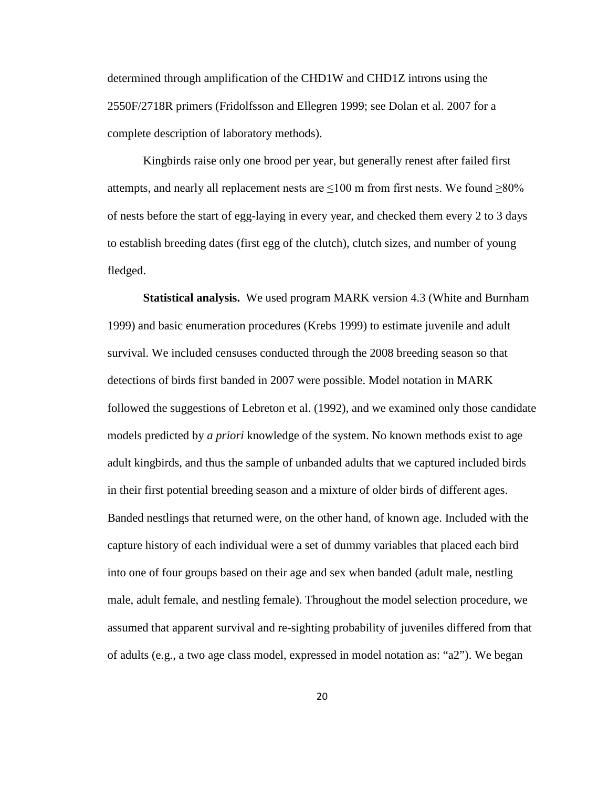determined through amplification of the CHD1W and CHD1Z introns using the 2550F/2718R primers (Fridolfsson and Ellegren 1999; see Dolan et al. 2007 for a complete description of laboratory methods).

Kingbirds raise only one brood per year, but generally renest after failed first attempts, and nearly all replacement nests are  $\leq 100$  m from first nests. We found  $\geq 80\%$ of nests before the start of egg-laying in every year, and checked them every 2 to 3 days to establish breeding dates (first egg of the clutch), clutch sizes, and number of young fledged.

**Statistical analysis.** We used program MARK version 4.3 (White and Burnham 1999) and basic enumeration procedures (Krebs 1999) to estimate juvenile and adult survival. We included censuses conducted through the 2008 breeding season so that detections of birds first banded in 2007 were possible. Model notation in MARK followed the suggestions of Lebreton et al. (1992), and we examined only those candidate models predicted by *a priori* knowledge of the system. No known methods exist to age adult kingbirds, and thus the sample of unbanded adults that we captured included birds in their first potential breeding season and a mixture of older birds of different ages. Banded nestlings that returned were, on the other hand, of known age. Included with the capture history of each individual were a set of dummy variables that placed each bird into one of four groups based on their age and sex when banded (adult male, nestling male, adult female, and nestling female). Throughout the model selection procedure, we assumed that apparent survival and re-sighting probability of juveniles differed from that of adults (e.g., a two age class model, expressed in model notation as: "a2"). We began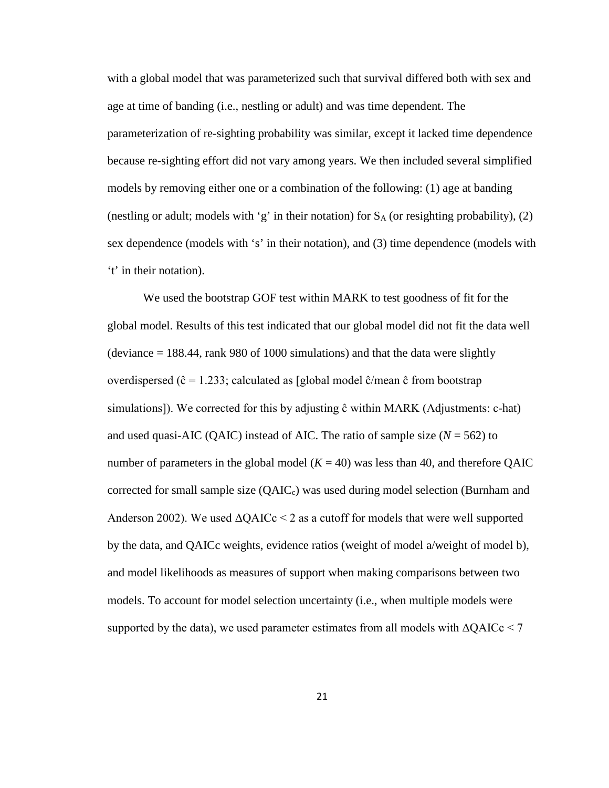with a global model that was parameterized such that survival differed both with sex and age at time of banding (i.e., nestling or adult) and was time dependent. The parameterization of re-sighting probability was similar, except it lacked time dependence because re-sighting effort did not vary among years. We then included several simplified models by removing either one or a combination of the following: (1) age at banding (nestling or adult; models with 'g' in their notation) for  $S_A$  (or resighting probability), (2) sex dependence (models with 's' in their notation), and (3) time dependence (models with 't' in their notation).

We used the bootstrap GOF test within MARK to test goodness of fit for the global model. Results of this test indicated that our global model did not fit the data well (deviance  $= 188.44$ , rank 980 of 1000 simulations) and that the data were slightly overdispersed (ĉ = 1.233; calculated as [global model ĉ/mean ĉ from bootstrap simulations]). We corrected for this by adjusting ĉ within MARK (Adjustments: c-hat) and used quasi-AIC (QAIC) instead of AIC. The ratio of sample size  $(N = 562)$  to number of parameters in the global model  $(K = 40)$  was less than 40, and therefore QAIC corrected for small sample size  $(QAIC<sub>c</sub>)$  was used during model selection (Burnham and Anderson 2002). We used  $\Delta QAICc \leq 2$  as a cutoff for models that were well supported by the data, and QAICc weights, evidence ratios (weight of model a/weight of model b), and model likelihoods as measures of support when making comparisons between two models. To account for model selection uncertainty (i.e., when multiple models were supported by the data), we used parameter estimates from all models with  $\Delta QAICc < 7$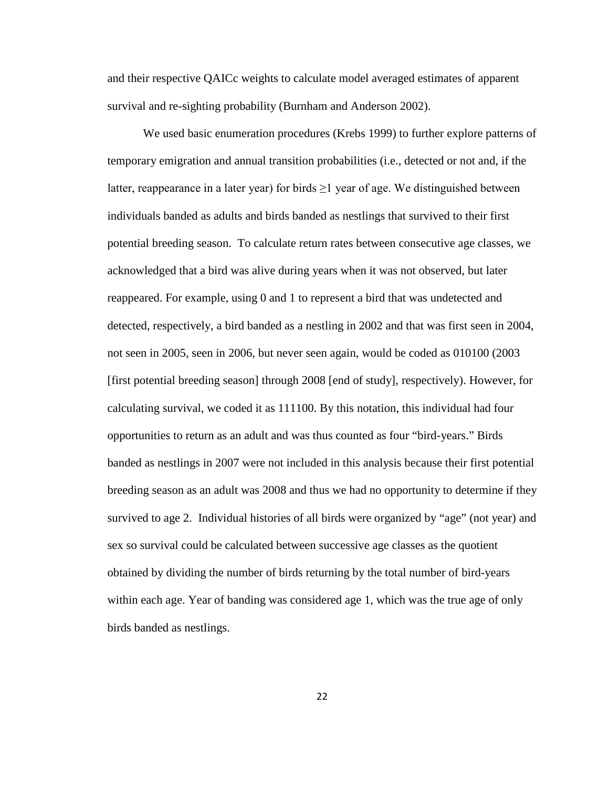and their respective QAICc weights to calculate model averaged estimates of apparent survival and re-sighting probability (Burnham and Anderson 2002).

We used basic enumeration procedures (Krebs 1999) to further explore patterns of temporary emigration and annual transition probabilities (i.e., detected or not and, if the latter, reappearance in a later year) for birds  $\geq 1$  year of age. We distinguished between individuals banded as adults and birds banded as nestlings that survived to their first potential breeding season. To calculate return rates between consecutive age classes, we acknowledged that a bird was alive during years when it was not observed, but later reappeared. For example, using 0 and 1 to represent a bird that was undetected and detected, respectively, a bird banded as a nestling in 2002 and that was first seen in 2004, not seen in 2005, seen in 2006, but never seen again, would be coded as 010100 (2003 [first potential breeding season] through 2008 [end of study], respectively). However, for calculating survival, we coded it as 111100. By this notation, this individual had four opportunities to return as an adult and was thus counted as four "bird-years." Birds banded as nestlings in 2007 were not included in this analysis because their first potential breeding season as an adult was 2008 and thus we had no opportunity to determine if they survived to age 2. Individual histories of all birds were organized by "age" (not year) and sex so survival could be calculated between successive age classes as the quotient obtained by dividing the number of birds returning by the total number of bird-years within each age. Year of banding was considered age 1, which was the true age of only birds banded as nestlings.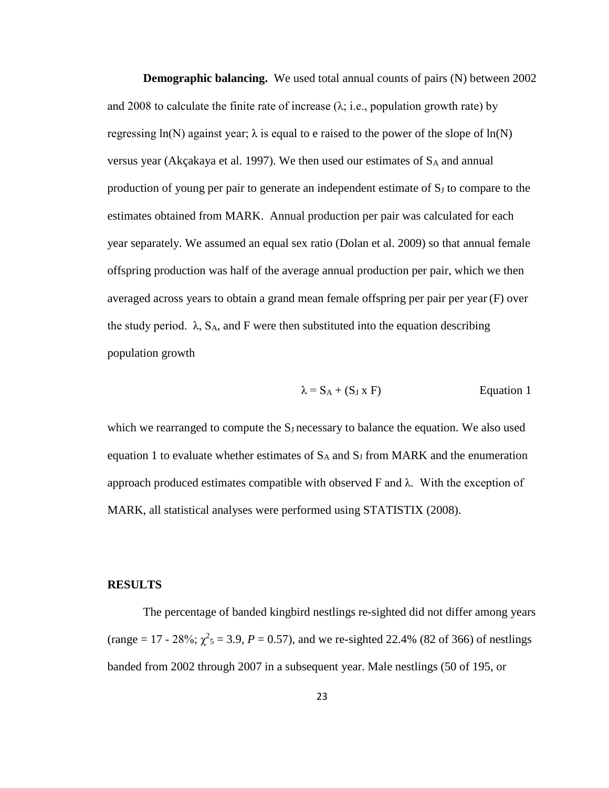**Demographic balancing.** We used total annual counts of pairs (N) between 2002 and 2008 to calculate the finite rate of increase  $(\lambda; i.e.,$  population growth rate) by regressing  $ln(N)$  against year;  $\lambda$  is equal to e raised to the power of the slope of  $ln(N)$ versus year (Akçakaya et al. 1997). We then used our estimates of  $S_A$  and annual production of young per pair to generate an independent estimate of  $S_J$  to compare to the estimates obtained from MARK. Annual production per pair was calculated for each year separately. We assumed an equal sex ratio (Dolan et al. 2009) so that annual female offspring production was half of the average annual production per pair, which we then averaged across years to obtain a grand mean female offspring per pair per year (F) over the study period.  $\lambda$ , S<sub>A</sub>, and F were then substituted into the equation describing population growth

$$
\lambda = S_A + (S_J \times F) \qquad \qquad \text{Equation 1}
$$

which we rearranged to compute the  $S_J$  necessary to balance the equation. We also used equation 1 to evaluate whether estimates of  $S_A$  and  $S_J$  from MARK and the enumeration approach produced estimates compatible with observed F and  $\lambda$ . With the exception of MARK, all statistical analyses were performed using STATISTIX (2008).

#### **RESULTS**

The percentage of banded kingbird nestlings re-sighted did not differ among years (range = 17 - 28%;  $\chi^2$ <sub>5</sub> = 3.9, *P* = 0.57), and we re-sighted 22.4% (82 of 366) of nestlings banded from 2002 through 2007 in a subsequent year. Male nestlings (50 of 195, or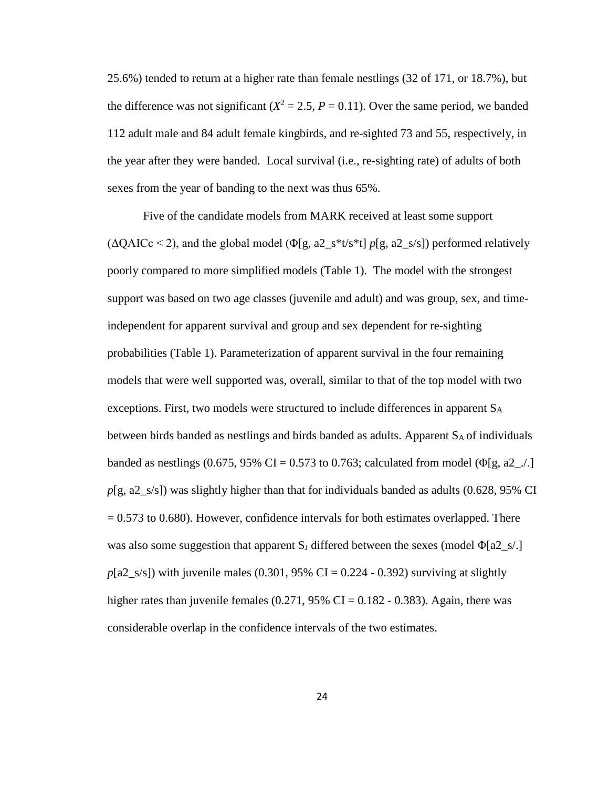25.6%) tended to return at a higher rate than female nestlings (32 of 171, or 18.7%), but the difference was not significant  $(X^2 = 2.5, P = 0.11)$ . Over the same period, we banded 112 adult male and 84 adult female kingbirds, and re-sighted 73 and 55, respectively, in the year after they were banded. Local survival (i.e., re-sighting rate) of adults of both sexes from the year of banding to the next was thus 65%.

Five of the candidate models from MARK received at least some support (ΔQAICc < 2), and the global model (Φ[g, a2\_s\*t/s\*t] *p*[g, a2\_s/s]) performed relatively poorly compared to more simplified models (Table 1). The model with the strongest support was based on two age classes (juvenile and adult) and was group, sex, and timeindependent for apparent survival and group and sex dependent for re-sighting probabilities (Table 1). Parameterization of apparent survival in the four remaining models that were well supported was, overall, similar to that of the top model with two exceptions. First, two models were structured to include differences in apparent  $S_A$ between birds banded as nestlings and birds banded as adults. Apparent  $S_A$  of individuals banded as nestlings (0.675, 95% CI = 0.573 to 0.763; calculated from model ( $\Phi$ [g, a2\_./.] *p*[g, a2\_s/s]) was slightly higher than that for individuals banded as adults (0.628, 95% CI  $= 0.573$  to 0.680). However, confidence intervals for both estimates overlapped. There was also some suggestion that apparent  $S_J$  differed between the sexes (model  $\Phi$ [a2\_s/.]  $p[a2_s/s]$ ) with juvenile males (0.301, 95% CI = 0.224 - 0.392) surviving at slightly higher rates than juvenile females  $(0.271, 95\% \text{ CI} = 0.182 - 0.383)$ . Again, there was considerable overlap in the confidence intervals of the two estimates.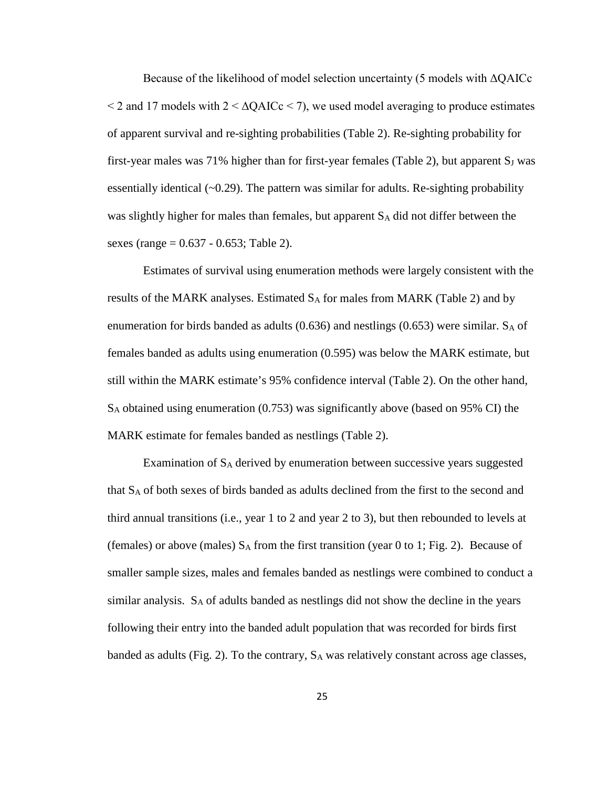Because of the likelihood of model selection uncertainty (5 models with ΔQAICc  $\leq$  2 and 17 models with 2  $\leq$   $\Delta$ QAICc  $\leq$  7), we used model averaging to produce estimates of apparent survival and re-sighting probabilities (Table 2). Re-sighting probability for first-year males was  $71\%$  higher than for first-year females (Table 2), but apparent  $S_J$  was essentially identical  $(-0.29)$ . The pattern was similar for adults. Re-sighting probability was slightly higher for males than females, but apparent SA did not differ between the sexes (range = 0.637 - 0.653; Table 2).

Estimates of survival using enumeration methods were largely consistent with the results of the MARK analyses. Estimated  $S_A$  for males from MARK (Table 2) and by enumeration for birds banded as adults  $(0.636)$  and nestlings  $(0.653)$  were similar. S<sub>A</sub> of females banded as adults using enumeration (0.595) was below the MARK estimate, but still within the MARK estimate's 95% confidence interval (Table 2). On the other hand,  $S_A$  obtained using enumeration (0.753) was significantly above (based on 95% CI) the MARK estimate for females banded as nestlings (Table 2).

Examination of SA derived by enumeration between successive years suggested that SA of both sexes of birds banded as adults declined from the first to the second and third annual transitions (i.e., year 1 to 2 and year 2 to 3), but then rebounded to levels at (females) or above (males)  $S_A$  from the first transition (year 0 to 1; Fig. 2). Because of smaller sample sizes, males and females banded as nestlings were combined to conduct a similar analysis.  $S_A$  of adults banded as nestlings did not show the decline in the years following their entry into the banded adult population that was recorded for birds first banded as adults (Fig. 2). To the contrary,  $S_A$  was relatively constant across age classes,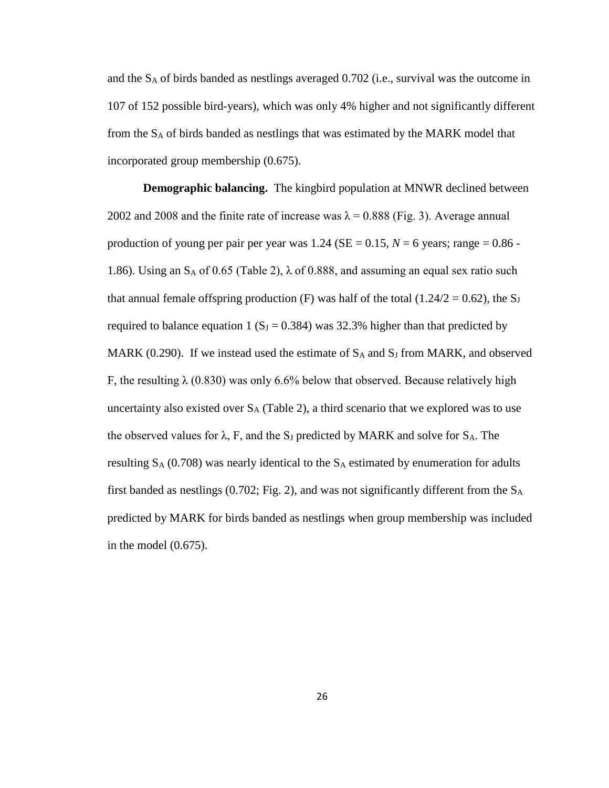and the SA of birds banded as nestlings averaged 0.702 (i.e., survival was the outcome in 107 of 152 possible bird-years), which was only 4% higher and not significantly different from the  $S_A$  of birds banded as nestlings that was estimated by the MARK model that incorporated group membership (0.675).

**Demographic balancing.** The kingbird population at MNWR declined between 2002 and 2008 and the finite rate of increase was  $\lambda = 0.888$  (Fig. 3). Average annual production of young per pair per year was  $1.24$  (SE = 0.15,  $N = 6$  years; range = 0.86 -1.86). Using an  $S_A$  of 0.65 (Table 2),  $\lambda$  of 0.888, and assuming an equal sex ratio such that annual female offspring production (F) was half of the total (1.24/2 = 0.62), the S<sub>J</sub> required to balance equation 1 ( $S_J = 0.384$ ) was 32.3% higher than that predicted by MARK (0.290). If we instead used the estimate of  $S_A$  and  $S_J$  from MARK, and observed F, the resulting  $\lambda$  (0.830) was only 6.6% below that observed. Because relatively high uncertainty also existed over  $S_A$  (Table 2), a third scenario that we explored was to use the observed values for  $\lambda$ , F, and the S<sub>J</sub> predicted by MARK and solve for S<sub>A</sub>. The resulting  $S_A$  (0.708) was nearly identical to the  $S_A$  estimated by enumeration for adults first banded as nestlings  $(0.702;$  Fig. 2), and was not significantly different from the  $S_A$ predicted by MARK for birds banded as nestlings when group membership was included in the model (0.675).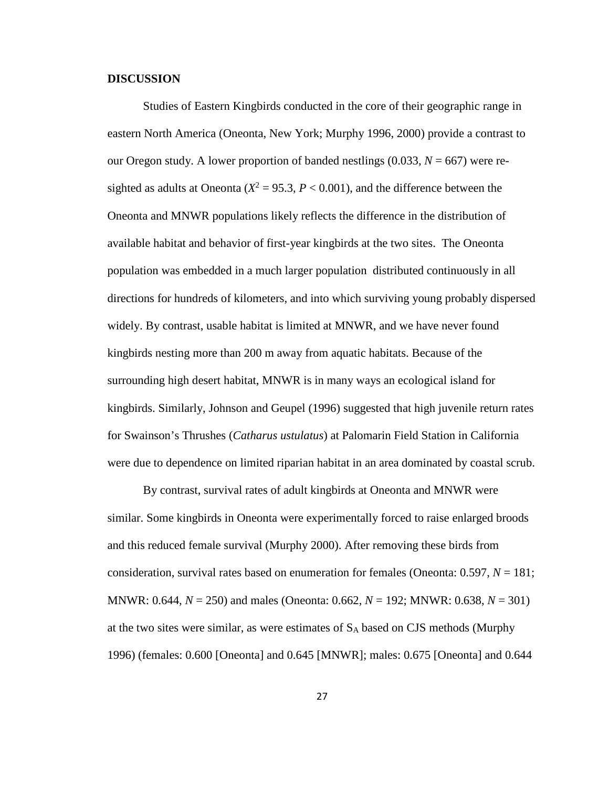## **DISCUSSION**

Studies of Eastern Kingbirds conducted in the core of their geographic range in eastern North America (Oneonta, New York; Murphy 1996, 2000) provide a contrast to our Oregon study. A lower proportion of banded nestlings  $(0.033, N = 667)$  were resighted as adults at Oneonta ( $X^2 = 95.3$ ,  $P < 0.001$ ), and the difference between the Oneonta and MNWR populations likely reflects the difference in the distribution of available habitat and behavior of first-year kingbirds at the two sites. The Oneonta population was embedded in a much larger population distributed continuously in all directions for hundreds of kilometers, and into which surviving young probably dispersed widely. By contrast, usable habitat is limited at MNWR, and we have never found kingbirds nesting more than 200 m away from aquatic habitats. Because of the surrounding high desert habitat, MNWR is in many ways an ecological island for kingbirds. Similarly, Johnson and Geupel (1996) suggested that high juvenile return rates for Swainson's Thrushes (*Catharus ustulatus*) at Palomarin Field Station in California were due to dependence on limited riparian habitat in an area dominated by coastal scrub.

By contrast, survival rates of adult kingbirds at Oneonta and MNWR were similar. Some kingbirds in Oneonta were experimentally forced to raise enlarged broods and this reduced female survival (Murphy 2000). After removing these birds from consideration, survival rates based on enumeration for females (Oneonta: 0.597, *N* = 181; MNWR: 0.644, *N* = 250) and males (Oneonta: 0.662, *N* = 192; MNWR: 0.638, *N* = 301) at the two sites were similar, as were estimates of SA based on CJS methods (Murphy 1996) (females: 0.600 [Oneonta] and 0.645 [MNWR]; males: 0.675 [Oneonta] and 0.644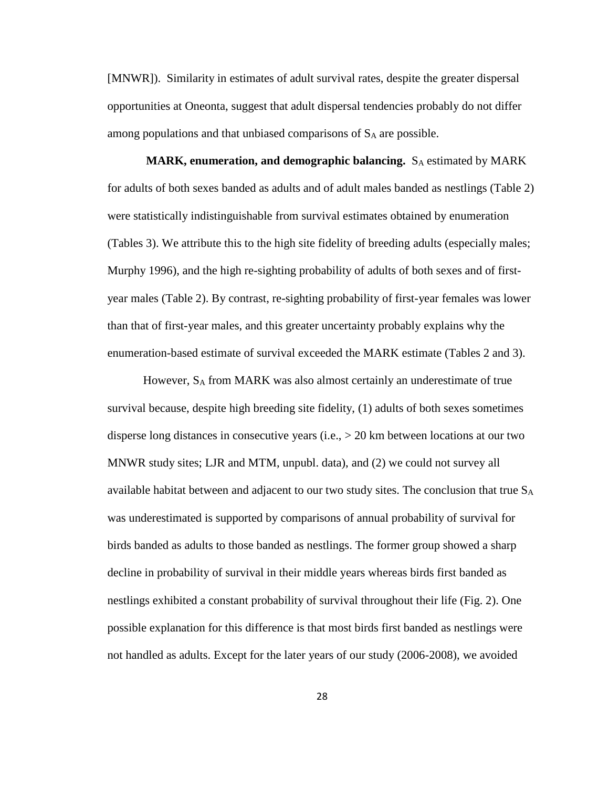[MNWR]). Similarity in estimates of adult survival rates, despite the greater dispersal opportunities at Oneonta, suggest that adult dispersal tendencies probably do not differ among populations and that unbiased comparisons of  $S_A$  are possible.

**MARK, enumeration, and demographic balancing.** S<sub>A</sub> estimated by MARK for adults of both sexes banded as adults and of adult males banded as nestlings (Table 2) were statistically indistinguishable from survival estimates obtained by enumeration (Tables 3). We attribute this to the high site fidelity of breeding adults (especially males; Murphy 1996), and the high re-sighting probability of adults of both sexes and of firstyear males (Table 2). By contrast, re-sighting probability of first-year females was lower than that of first-year males, and this greater uncertainty probably explains why the enumeration-based estimate of survival exceeded the MARK estimate (Tables 2 and 3).

However, SA from MARK was also almost certainly an underestimate of true survival because, despite high breeding site fidelity, (1) adults of both sexes sometimes disperse long distances in consecutive years (i.e., > 20 km between locations at our two MNWR study sites; LJR and MTM, unpubl. data), and (2) we could not survey all available habitat between and adjacent to our two study sites. The conclusion that true  $S_A$ was underestimated is supported by comparisons of annual probability of survival for birds banded as adults to those banded as nestlings. The former group showed a sharp decline in probability of survival in their middle years whereas birds first banded as nestlings exhibited a constant probability of survival throughout their life (Fig. 2). One possible explanation for this difference is that most birds first banded as nestlings were not handled as adults. Except for the later years of our study (2006-2008), we avoided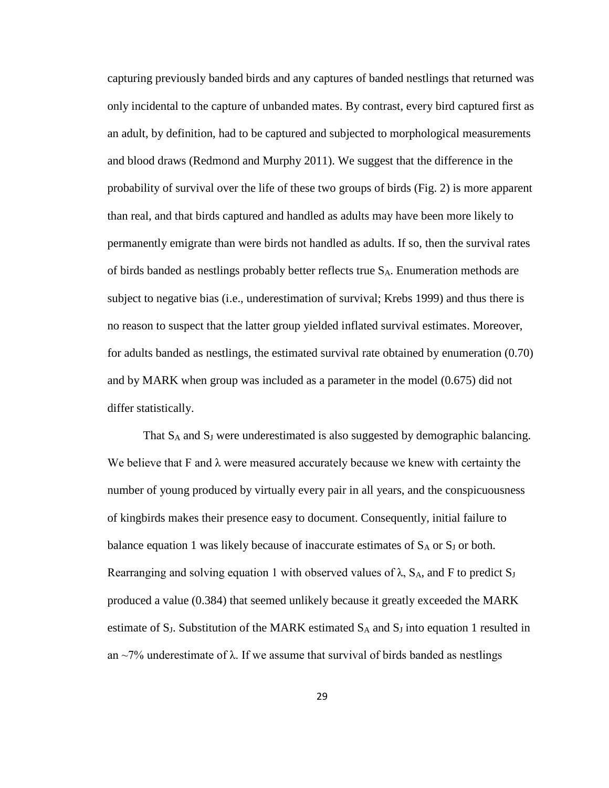capturing previously banded birds and any captures of banded nestlings that returned was only incidental to the capture of unbanded mates. By contrast, every bird captured first as an adult, by definition, had to be captured and subjected to morphological measurements and blood draws (Redmond and Murphy 2011). We suggest that the difference in the probability of survival over the life of these two groups of birds (Fig. 2) is more apparent than real, and that birds captured and handled as adults may have been more likely to permanently emigrate than were birds not handled as adults. If so, then the survival rates of birds banded as nestlings probably better reflects true  $S_A$ . Enumeration methods are subject to negative bias (i.e., underestimation of survival; Krebs 1999) and thus there is no reason to suspect that the latter group yielded inflated survival estimates. Moreover, for adults banded as nestlings, the estimated survival rate obtained by enumeration (0.70) and by MARK when group was included as a parameter in the model (0.675) did not differ statistically.

That  $S_A$  and  $S_J$  were underestimated is also suggested by demographic balancing. We believe that  $F$  and  $\lambda$  were measured accurately because we knew with certainty the number of young produced by virtually every pair in all years, and the conspicuousness of kingbirds makes their presence easy to document. Consequently, initial failure to balance equation 1 was likely because of inaccurate estimates of  $S_A$  or  $S_J$  or both. Rearranging and solving equation 1 with observed values of  $\lambda$ , S<sub>A</sub>, and F to predict S<sub>J</sub> produced a value (0.384) that seemed unlikely because it greatly exceeded the MARK estimate of  $S_J$ . Substitution of the MARK estimated  $S_A$  and  $S_J$  into equation 1 resulted in an  $\sim$ 7% underestimate of  $\lambda$ . If we assume that survival of birds banded as nestlings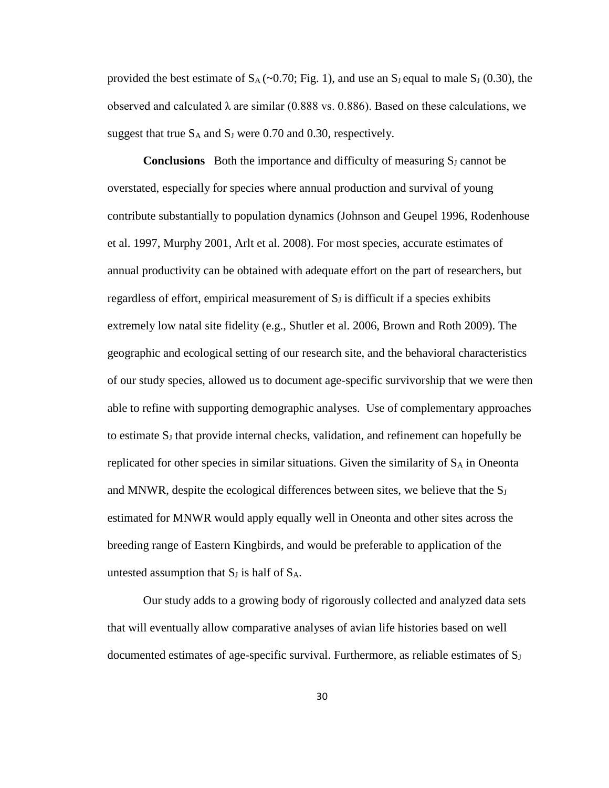provided the best estimate of  $S_A$  (~0.70; Fig. 1), and use an S<sub>J</sub> equal to male S<sub>J</sub> (0.30), the observed and calculated λ are similar  $(0.888 \text{ vs. } 0.886)$ . Based on these calculations, we suggest that true  $S_A$  and  $S_J$  were 0.70 and 0.30, respectively.

**Conclusions** Both the importance and difficulty of measuring S<sub>J</sub> cannot be overstated, especially for species where annual production and survival of young contribute substantially to population dynamics (Johnson and Geupel 1996, Rodenhouse et al. 1997, Murphy 2001, Arlt et al. 2008). For most species, accurate estimates of annual productivity can be obtained with adequate effort on the part of researchers, but regardless of effort, empirical measurement of  $S<sub>J</sub>$  is difficult if a species exhibits extremely low natal site fidelity (e.g., Shutler et al. 2006, Brown and Roth 2009). The geographic and ecological setting of our research site, and the behavioral characteristics of our study species, allowed us to document age-specific survivorship that we were then able to refine with supporting demographic analyses. Use of complementary approaches to estimate SJ that provide internal checks, validation, and refinement can hopefully be replicated for other species in similar situations. Given the similarity of  $S_A$  in Oneonta and MNWR, despite the ecological differences between sites, we believe that the  $S_J$ estimated for MNWR would apply equally well in Oneonta and other sites across the breeding range of Eastern Kingbirds, and would be preferable to application of the untested assumption that  $S_J$  is half of  $S_A$ .

Our study adds to a growing body of rigorously collected and analyzed data sets that will eventually allow comparative analyses of avian life histories based on well documented estimates of age-specific survival. Furthermore, as reliable estimates of  $S_J$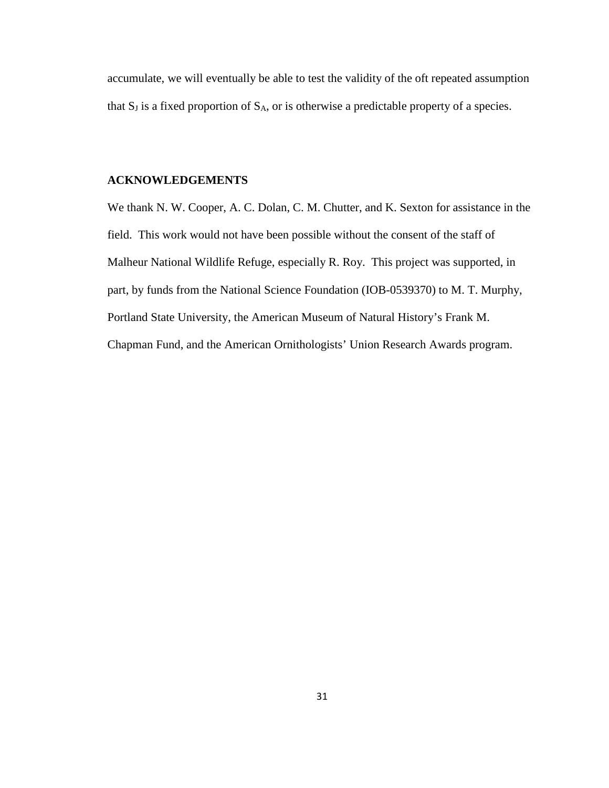accumulate, we will eventually be able to test the validity of the oft repeated assumption that  $S_J$  is a fixed proportion of  $S_A$ , or is otherwise a predictable property of a species.

# **ACKNOWLEDGEMENTS**

We thank N. W. Cooper, A. C. Dolan, C. M. Chutter, and K. Sexton for assistance in the field. This work would not have been possible without the consent of the staff of Malheur National Wildlife Refuge, especially R. Roy. This project was supported, in part, by funds from the National Science Foundation (IOB-0539370) to M. T. Murphy, Portland State University, the American Museum of Natural History's Frank M. Chapman Fund, and the American Ornithologists' Union Research Awards program.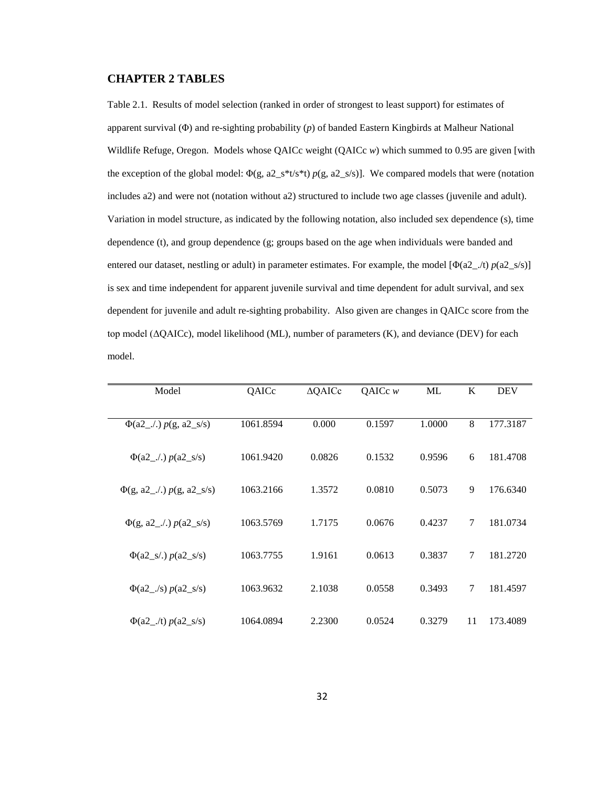#### **CHAPTER 2 TABLES**

Table 2.1. Results of model selection (ranked in order of strongest to least support) for estimates of apparent survival (Φ) and re-sighting probability (*p*) of banded Eastern Kingbirds at Malheur National Wildlife Refuge, Oregon. Models whose QAICc weight (QAICc *w*) which summed to 0.95 are given [with the exception of the global model:  $\Phi(g, a2_s * t/s * t) p(g, a2_s / s)$ ]. We compared models that were (notation includes a2) and were not (notation without a2) structured to include two age classes (juvenile and adult). Variation in model structure, as indicated by the following notation, also included sex dependence (s), time dependence (t), and group dependence (g; groups based on the age when individuals were banded and entered our dataset, nestling or adult) in parameter estimates. For example, the model  $[\Phi(a2_{\_}/t) p(a2_{\_}/s)]$ is sex and time independent for apparent juvenile survival and time dependent for adult survival, and sex dependent for juvenile and adult re-sighting probability. Also given are changes in QAICc score from the top model (ΔQAICc), model likelihood (ML), number of parameters (K), and deviance (DEV) for each model.

| Model                               | QAICc     | $\triangle$ QAICc | QAICc $w$ | ML     | K  | <b>DEV</b> |
|-------------------------------------|-----------|-------------------|-----------|--------|----|------------|
| $\Phi$ (a2_./.) $p(g, a2_s/s)$      | 1061.8594 | 0.000             | 0.1597    | 1.0000 | 8  | 177.3187   |
|                                     | 1061.9420 | 0.0826            | 0.1532    | 0.9596 | 6  | 181.4708   |
|                                     | 1063.2166 | 1.3572            | 0.0810    | 0.5073 | 9  | 176.6340   |
|                                     | 1063.5769 | 1.7175            | 0.0676    | 0.4237 | 7  | 181.0734   |
| $\Phi(a2_s/) p(a2_s/s)$             | 1063.7755 | 1.9161            | 0.0613    | 0.3837 | 7  | 181.2720   |
| $\Phi(a2_{\_\_}/s) p(a2_{\_\_}s/s)$ | 1063.9632 | 2.1038            | 0.0558    | 0.3493 | 7  | 181.4597   |
| $\Phi(a2$ /t) $p(a2$ s/s)           | 1064.0894 | 2.2300            | 0.0524    | 0.3279 | 11 | 173.4089   |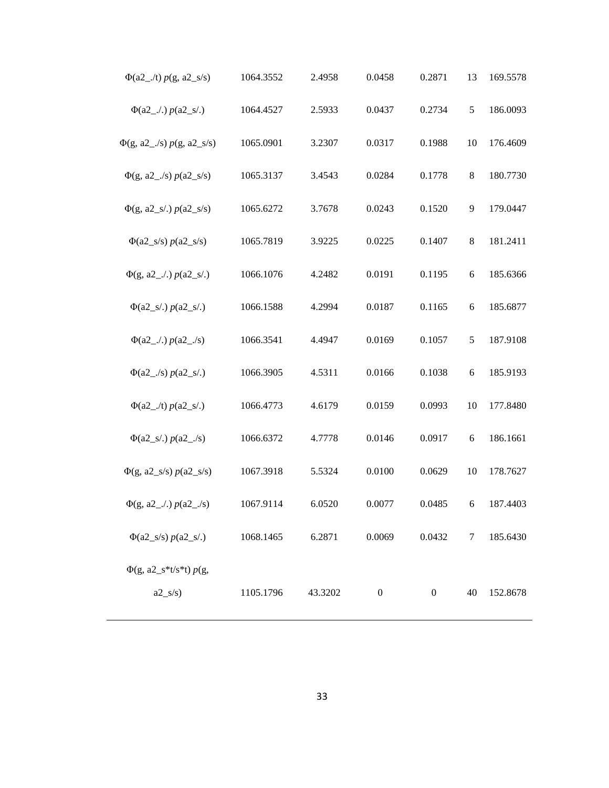| $\Phi$ (a2_./t) $p(g, a2_s/s)$           | 1064.3552 | 2.4958  | 0.0458           | 0.2871           | 13 | 169.5578 |
|------------------------------------------|-----------|---------|------------------|------------------|----|----------|
| $\Phi$ (a2_./.) $p$ (a2_s/.)             | 1064.4527 | 2.5933  | 0.0437           | 0.2734           | 5  | 186.0093 |
| $\Phi(g, a2 \angle s) p(g, a2 \angle s)$ | 1065.0901 | 3.2307  | 0.0317           | 0.1988           | 10 | 176.4609 |
| $\Phi(g, a2 \angle s) p(a2 \angle s/s)$  | 1065.3137 | 3.4543  | 0.0284           | 0.1778           | 8  | 180.7730 |
| $\Phi(g, a2_s/.) p(a2_s/s)$              | 1065.6272 | 3.7678  | 0.0243           | 0.1520           | 9  | 179.0447 |
| $\Phi(a2_s/s) p(a2_s/s)$                 | 1065.7819 | 3.9225  | 0.0225           | 0.1407           | 8  | 181.2411 |
|                                          | 1066.1076 | 4.2482  | 0.0191           | 0.1195           | 6  | 185.6366 |
| $\Phi(a2_s/.) p(a2_s/.)$                 | 1066.1588 | 4.2994  | 0.0187           | 0.1165           | 6  | 185.6877 |
|                                          | 1066.3541 | 4.4947  | 0.0169           | 0.1057           | 5  | 187.9108 |
| $\Phi$ (a2_./s) $p$ (a2_s/.)             | 1066.3905 | 4.5311  | 0.0166           | 0.1038           | 6  | 185.9193 |
| $\Phi$ (a2_./t) $p$ (a2_s/.)             | 1066.4773 | 4.6179  | 0.0159           | 0.0993           | 10 | 177.8480 |
| $\Phi(a2_s/.) p(a2_s/$                   | 1066.6372 | 4.7778  | 0.0146           | 0.0917           | 6  | 186.1661 |
| $\Phi(g, a2_s/s) p(a2_s/s)$              | 1067.3918 | 5.5324  | 0.0100           | 0.0629           | 10 | 178.7627 |
|                                          | 1067.9114 | 6.0520  | 0.0077           | 0.0485           | 6  | 187.4403 |
| $\Phi(a2_s/s) p(a2_s).$                  | 1068.1465 | 6.2871  | 0.0069           | 0.0432           | 7  | 185.6430 |
| $\Phi(g, a2_s * t/s * t) p(g,$           |           |         |                  |                  |    |          |
| $a2_s/s$                                 | 1105.1796 | 43.3202 | $\boldsymbol{0}$ | $\boldsymbol{0}$ | 40 | 152.8678 |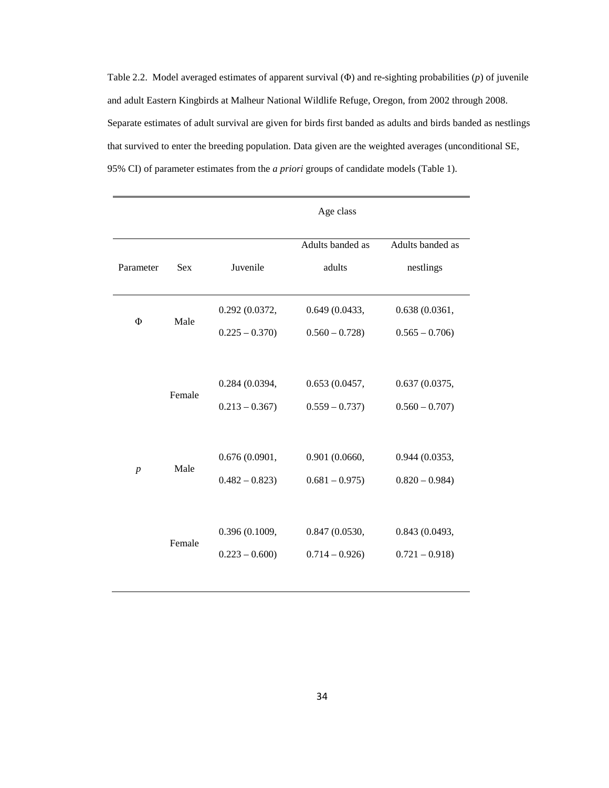Table 2.2. Model averaged estimates of apparent survival (Φ) and re-sighting probabilities (*p*) of juvenile and adult Eastern Kingbirds at Malheur National Wildlife Refuge, Oregon, from 2002 through 2008. Separate estimates of adult survival are given for birds first banded as adults and birds banded as nestlings that survived to enter the breeding population. Data given are the weighted averages (unconditional SE, 95% CI) of parameter estimates from the *a priori* groups of candidate models (Table 1).

|                  |            |                 | Age class        |                  |
|------------------|------------|-----------------|------------------|------------------|
|                  |            |                 | Adults banded as | Adults banded as |
| Parameter        | <b>Sex</b> | Juvenile        | adults           | nestlings        |
| Φ                | Male       | 0.292 (0.0372,  | 0.649(0.0433,    | 0.638(0.0361,    |
|                  |            | $0.225 - 0.370$ | $0.560 - 0.728$  | $0.565 - 0.706$  |
|                  |            |                 |                  |                  |
|                  | Female     | 0.284 (0.0394,  | 0.653(0.0457,    | 0.637(0.0375,    |
|                  |            | $0.213 - 0.367$ | $0.559 - 0.737$  | $0.560 - 0.707$  |
|                  |            |                 |                  |                  |
| $\boldsymbol{p}$ | Male       | 0.676(0.0901,   | 0.901 (0.0660,   | 0.944(0.0353,    |
|                  |            | $0.482 - 0.823$ | $0.681 - 0.975$  | $0.820 - 0.984$  |
|                  |            |                 |                  |                  |
|                  | Female     | 0.396 (0.1009,  | 0.847(0.0530,    | 0.843 (0.0493,   |
|                  |            | $0.223 - 0.600$ | $0.714 - 0.926$  | $0.721 - 0.918$  |
|                  |            |                 |                  |                  |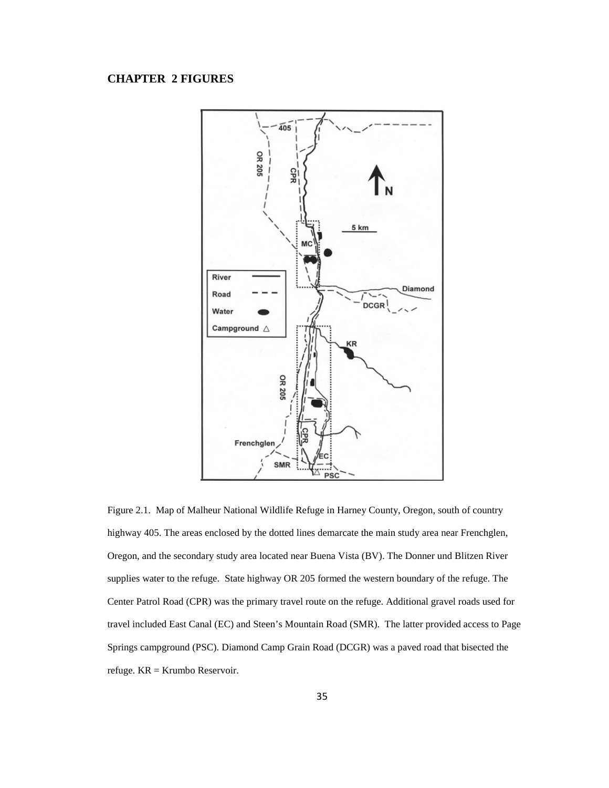# **CHAPTER 2 FIGURES**



Figure 2.1. Map of Malheur National Wildlife Refuge in Harney County, Oregon, south of country highway 405. The areas enclosed by the dotted lines demarcate the main study area near Frenchglen, Oregon, and the secondary study area located near Buena Vista (BV). The Donner und Blitzen River supplies water to the refuge. State highway OR 205 formed the western boundary of the refuge. The Center Patrol Road (CPR) was the primary travel route on the refuge. Additional gravel roads used for travel included East Canal (EC) and Steen's Mountain Road (SMR). The latter provided access to Page Springs campground (PSC). Diamond Camp Grain Road (DCGR) was a paved road that bisected the refuge. KR = Krumbo Reservoir.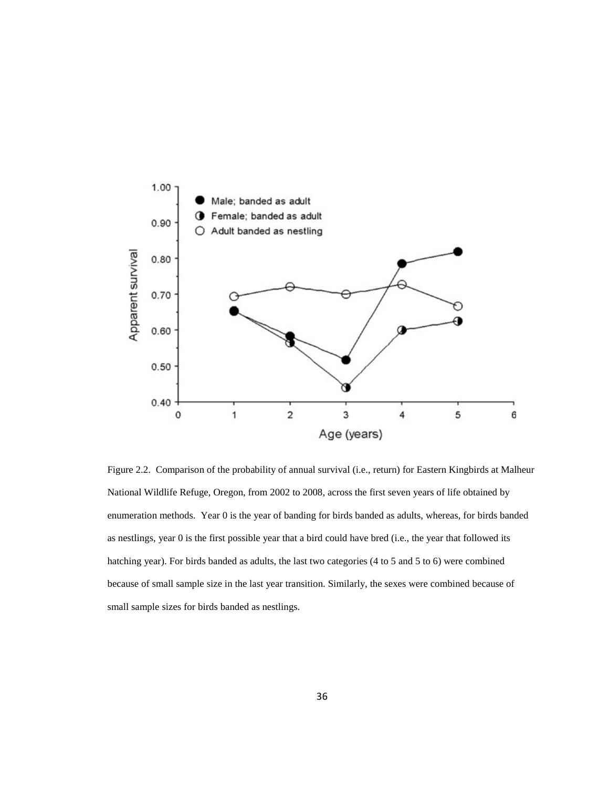

Figure 2.2. Comparison of the probability of annual survival (i.e., return) for Eastern Kingbirds at Malheur National Wildlife Refuge, Oregon, from 2002 to 2008, across the first seven years of life obtained by enumeration methods. Year 0 is the year of banding for birds banded as adults, whereas, for birds banded as nestlings, year 0 is the first possible year that a bird could have bred (i.e., the year that followed its hatching year). For birds banded as adults, the last two categories (4 to 5 and 5 to 6) were combined because of small sample size in the last year transition. Similarly, the sexes were combined because of small sample sizes for birds banded as nestlings.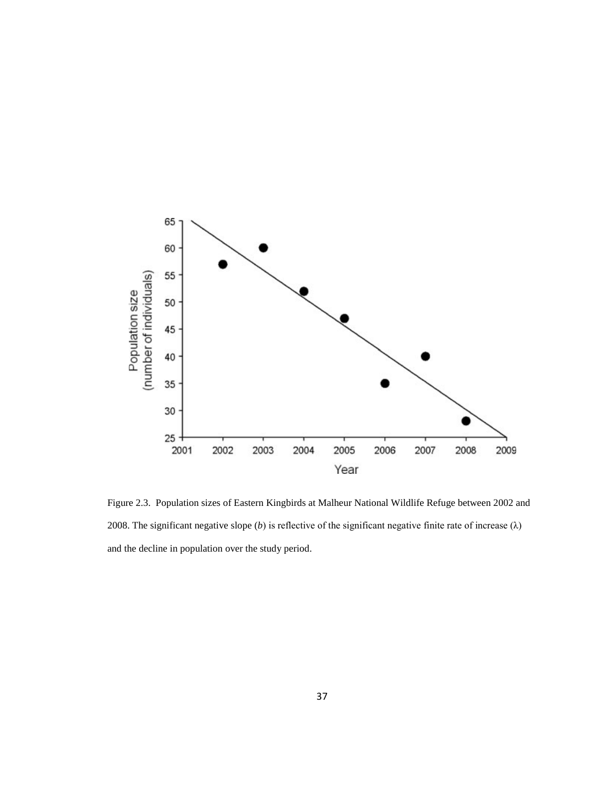

Figure 2.3. Population sizes of Eastern Kingbirds at Malheur National Wildlife Refuge between 2002 and 2008. The significant negative slope (*b*) is reflective of the significant negative finite rate of increase ( $\lambda$ ) and the decline in population over the study period.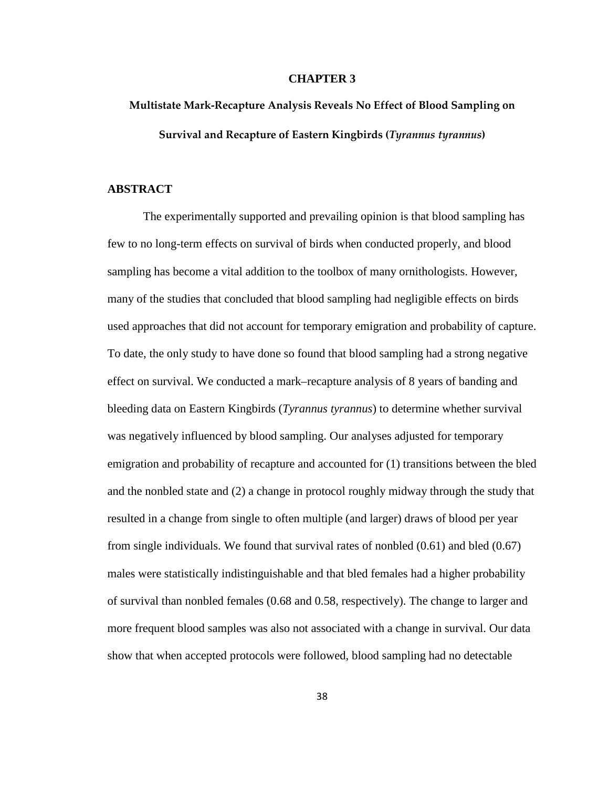#### **CHAPTER 3**

# **Multistate Mark-Recapture Analysis Reveals No Effect of Blood Sampling on Survival and Recapture of Eastern Kingbirds (***Tyrannus tyrannus***)**

### **ABSTRACT**

The experimentally supported and prevailing opinion is that blood sampling has few to no long-term effects on survival of birds when conducted properly, and blood sampling has become a vital addition to the toolbox of many ornithologists. However, many of the studies that concluded that blood sampling had negligible effects on birds used approaches that did not account for temporary emigration and probability of capture. To date, the only study to have done so found that blood sampling had a strong negative effect on survival. We conducted a mark–recapture analysis of 8 years of banding and bleeding data on Eastern Kingbirds (*Tyrannus tyrannus*) to determine whether survival was negatively influenced by blood sampling. Our analyses adjusted for temporary emigration and probability of recapture and accounted for (1) transitions between the bled and the nonbled state and (2) a change in protocol roughly midway through the study that resulted in a change from single to often multiple (and larger) draws of blood per year from single individuals. We found that survival rates of nonbled (0.61) and bled (0.67) males were statistically indistinguishable and that bled females had a higher probability of survival than nonbled females (0.68 and 0.58, respectively). The change to larger and more frequent blood samples was also not associated with a change in survival. Our data show that when accepted protocols were followed, blood sampling had no detectable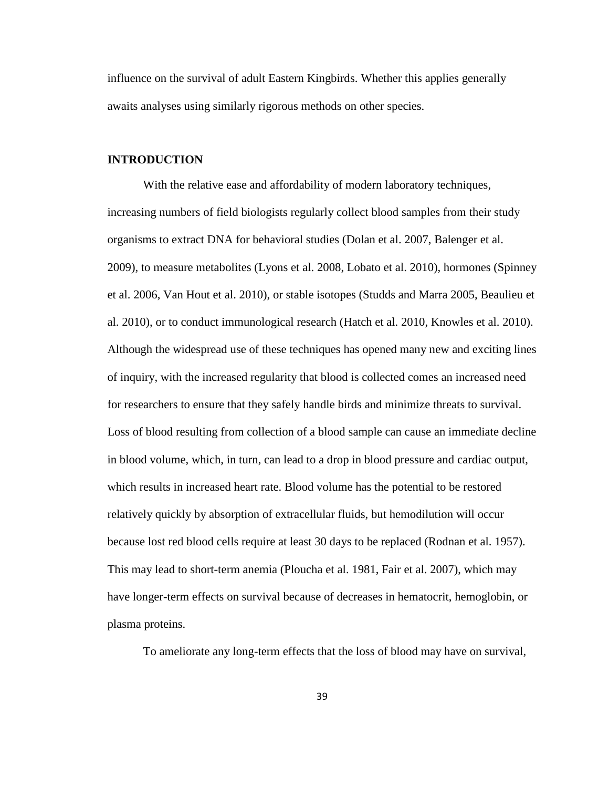influence on the survival of adult Eastern Kingbirds. Whether this applies generally awaits analyses using similarly rigorous methods on other species.

# **INTRODUCTION**

With the relative ease and affordability of modern laboratory techniques, increasing numbers of field biologists regularly collect blood samples from their study organisms to extract DNA for behavioral studies (Dolan et al. 2007, Balenger et al. 2009), to measure metabolites (Lyons et al. 2008, Lobato et al. 2010), hormones (Spinney et al. 2006, Van Hout et al. 2010), or stable isotopes (Studds and Marra 2005, Beaulieu et al. 2010), or to conduct immunological research (Hatch et al. 2010, Knowles et al. 2010). Although the widespread use of these techniques has opened many new and exciting lines of inquiry, with the increased regularity that blood is collected comes an increased need for researchers to ensure that they safely handle birds and minimize threats to survival. Loss of blood resulting from collection of a blood sample can cause an immediate decline in blood volume, which, in turn, can lead to a drop in blood pressure and cardiac output, which results in increased heart rate. Blood volume has the potential to be restored relatively quickly by absorption of extracellular fluids, but hemodilution will occur because lost red blood cells require at least 30 days to be replaced (Rodnan et al. 1957). This may lead to short-term anemia (Ploucha et al. 1981, Fair et al. 2007), which may have longer-term effects on survival because of decreases in hematocrit, hemoglobin, or plasma proteins.

To ameliorate any long-term effects that the loss of blood may have on survival,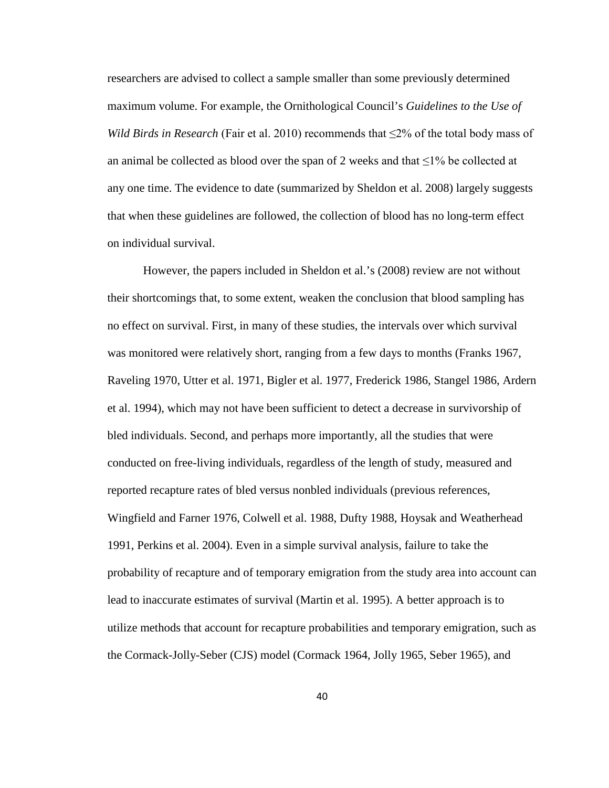researchers are advised to collect a sample smaller than some previously determined maximum volume. For example, the Ornithological Council's *Guidelines to the Use of Wild Birds in Research* (Fair et al. 2010) recommends that ≤2% of the total body mass of an animal be collected as blood over the span of 2 weeks and that  $\leq$ 1% be collected at any one time. The evidence to date (summarized by Sheldon et al. 2008) largely suggests that when these guidelines are followed, the collection of blood has no long-term effect on individual survival.

However, the papers included in Sheldon et al.'s (2008) review are not without their shortcomings that, to some extent, weaken the conclusion that blood sampling has no effect on survival. First, in many of these studies, the intervals over which survival was monitored were relatively short, ranging from a few days to months (Franks 1967, Raveling 1970, Utter et al. 1971, Bigler et al. 1977, Frederick 1986, Stangel 1986, Ardern et al. 1994), which may not have been sufficient to detect a decrease in survivorship of bled individuals. Second, and perhaps more importantly, all the studies that were conducted on free-living individuals, regardless of the length of study, measured and reported recapture rates of bled versus nonbled individuals (previous references, Wingfield and Farner 1976, Colwell et al. 1988, Dufty 1988, Hoysak and Weatherhead 1991, Perkins et al. 2004). Even in a simple survival analysis, failure to take the probability of recapture and of temporary emigration from the study area into account can lead to inaccurate estimates of survival (Martin et al. 1995). A better approach is to utilize methods that account for recapture probabilities and temporary emigration, such as the Cormack-Jolly-Seber (CJS) model (Cormack 1964, Jolly 1965, Seber 1965), and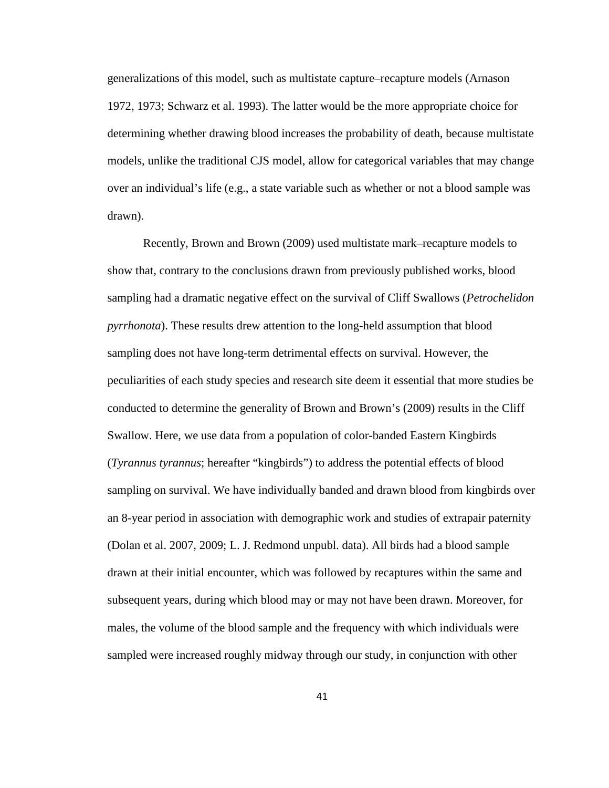generalizations of this model, such as multistate capture–recapture models (Arnason 1972, 1973; Schwarz et al. 1993). The latter would be the more appropriate choice for determining whether drawing blood increases the probability of death, because multistate models, unlike the traditional CJS model, allow for categorical variables that may change over an individual's life (e.g., a state variable such as whether or not a blood sample was drawn).

Recently, Brown and Brown (2009) used multistate mark–recapture models to show that, contrary to the conclusions drawn from previously published works, blood sampling had a dramatic negative effect on the survival of Cliff Swallows (*Petrochelidon pyrrhonota*). These results drew attention to the long-held assumption that blood sampling does not have long-term detrimental effects on survival. However, the peculiarities of each study species and research site deem it essential that more studies be conducted to determine the generality of Brown and Brown's (2009) results in the Cliff Swallow. Here, we use data from a population of color-banded Eastern Kingbirds (*Tyrannus tyrannus*; hereafter "kingbirds") to address the potential effects of blood sampling on survival. We have individually banded and drawn blood from kingbirds over an 8-year period in association with demographic work and studies of extrapair paternity (Dolan et al. 2007, 2009; L. J. Redmond unpubl. data). All birds had a blood sample drawn at their initial encounter, which was followed by recaptures within the same and subsequent years, during which blood may or may not have been drawn. Moreover, for males, the volume of the blood sample and the frequency with which individuals were sampled were increased roughly midway through our study, in conjunction with other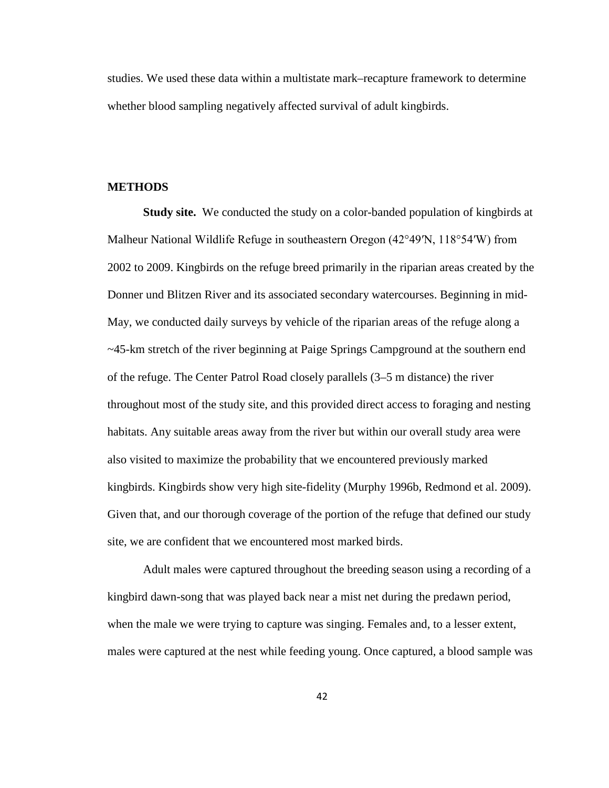studies. We used these data within a multistate mark–recapture framework to determine whether blood sampling negatively affected survival of adult kingbirds.

## **METHODS**

**Study site.** We conducted the study on a color-banded population of kingbirds at Malheur National Wildlife Refuge in southeastern Oregon (42°49′N, 118°54′W) from 2002 to 2009. Kingbirds on the refuge breed primarily in the riparian areas created by the Donner und Blitzen River and its associated secondary watercourses. Beginning in mid-May, we conducted daily surveys by vehicle of the riparian areas of the refuge along a ~45-km stretch of the river beginning at Paige Springs Campground at the southern end of the refuge. The Center Patrol Road closely parallels (3–5 m distance) the river throughout most of the study site, and this provided direct access to foraging and nesting habitats. Any suitable areas away from the river but within our overall study area were also visited to maximize the probability that we encountered previously marked kingbirds. Kingbirds show very high site-fidelity (Murphy 1996b, Redmond et al. 2009). Given that, and our thorough coverage of the portion of the refuge that defined our study site, we are confident that we encountered most marked birds.

Adult males were captured throughout the breeding season using a recording of a kingbird dawn-song that was played back near a mist net during the predawn period, when the male we were trying to capture was singing. Females and, to a lesser extent, males were captured at the nest while feeding young. Once captured, a blood sample was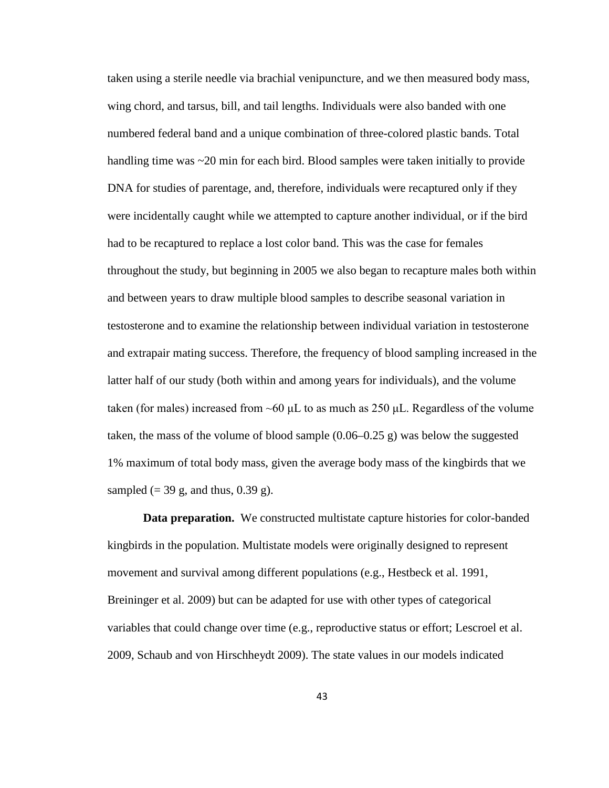taken using a sterile needle via brachial venipuncture, and we then measured body mass, wing chord, and tarsus, bill, and tail lengths. Individuals were also banded with one numbered federal band and a unique combination of three-colored plastic bands. Total handling time was ~20 min for each bird. Blood samples were taken initially to provide DNA for studies of parentage, and, therefore, individuals were recaptured only if they were incidentally caught while we attempted to capture another individual, or if the bird had to be recaptured to replace a lost color band. This was the case for females throughout the study, but beginning in 2005 we also began to recapture males both within and between years to draw multiple blood samples to describe seasonal variation in testosterone and to examine the relationship between individual variation in testosterone and extrapair mating success. Therefore, the frequency of blood sampling increased in the latter half of our study (both within and among years for individuals), and the volume taken (for males) increased from  $~60 \mu L$  to as much as 250  $\mu L$ . Regardless of the volume taken, the mass of the volume of blood sample  $(0.06-0.25 \text{ g})$  was below the suggested 1% maximum of total body mass, given the average body mass of the kingbirds that we sampled  $(= 39 \text{ g}, \text{ and thus}, 0.39 \text{ g}).$ 

**Data preparation.** We constructed multistate capture histories for color-banded kingbirds in the population. Multistate models were originally designed to represent movement and survival among different populations (e.g., Hestbeck et al. 1991, Breininger et al. 2009) but can be adapted for use with other types of categorical variables that could change over time (e.g., reproductive status or effort; Lescroel et al. 2009, Schaub and von Hirschheydt 2009). The state values in our models indicated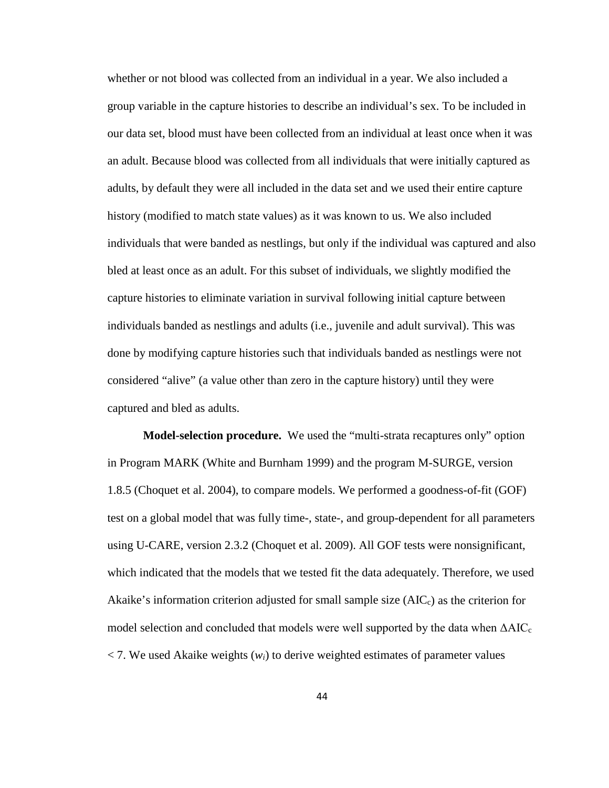whether or not blood was collected from an individual in a year. We also included a group variable in the capture histories to describe an individual's sex. To be included in our data set, blood must have been collected from an individual at least once when it was an adult. Because blood was collected from all individuals that were initially captured as adults, by default they were all included in the data set and we used their entire capture history (modified to match state values) as it was known to us. We also included individuals that were banded as nestlings, but only if the individual was captured and also bled at least once as an adult. For this subset of individuals, we slightly modified the capture histories to eliminate variation in survival following initial capture between individuals banded as nestlings and adults (i.e., juvenile and adult survival). This was done by modifying capture histories such that individuals banded as nestlings were not considered "alive" (a value other than zero in the capture history) until they were captured and bled as adults.

**Model-selection procedure.** We used the "multi-strata recaptures only" option in Program MARK (White and Burnham 1999) and the program M-SURGE, version 1.8.5 (Choquet et al. 2004), to compare models. We performed a goodness-of-fit (GOF) test on a global model that was fully time-, state-, and group-dependent for all parameters using U-CARE, version 2.3.2 (Choquet et al. 2009). All GOF tests were nonsignificant, which indicated that the models that we tested fit the data adequately. Therefore, we used Akaike's information criterion adjusted for small sample size  $(AIC<sub>c</sub>)$  as the criterion for model selection and concluded that models were well supported by the data when  $\Delta AIC_c$ < 7. We used Akaike weights (*wi*) to derive weighted estimates of parameter values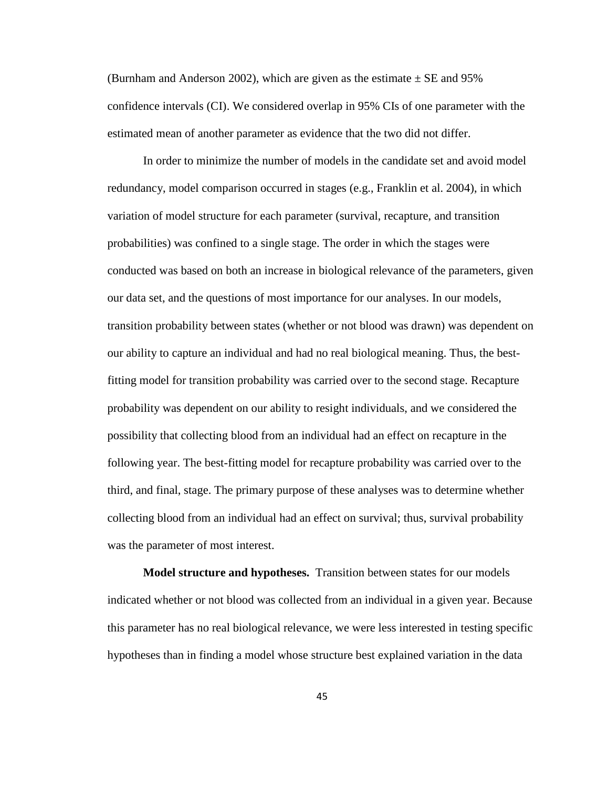(Burnham and Anderson 2002), which are given as the estimate  $\pm$  SE and 95% confidence intervals (CI). We considered overlap in 95% CIs of one parameter with the estimated mean of another parameter as evidence that the two did not differ.

In order to minimize the number of models in the candidate set and avoid model redundancy, model comparison occurred in stages (e.g., Franklin et al. 2004), in which variation of model structure for each parameter (survival, recapture, and transition probabilities) was confined to a single stage. The order in which the stages were conducted was based on both an increase in biological relevance of the parameters, given our data set, and the questions of most importance for our analyses. In our models, transition probability between states (whether or not blood was drawn) was dependent on our ability to capture an individual and had no real biological meaning. Thus, the bestfitting model for transition probability was carried over to the second stage. Recapture probability was dependent on our ability to resight individuals, and we considered the possibility that collecting blood from an individual had an effect on recapture in the following year. The best-fitting model for recapture probability was carried over to the third, and final, stage. The primary purpose of these analyses was to determine whether collecting blood from an individual had an effect on survival; thus, survival probability was the parameter of most interest.

**Model structure and hypotheses.** Transition between states for our models indicated whether or not blood was collected from an individual in a given year. Because this parameter has no real biological relevance, we were less interested in testing specific hypotheses than in finding a model whose structure best explained variation in the data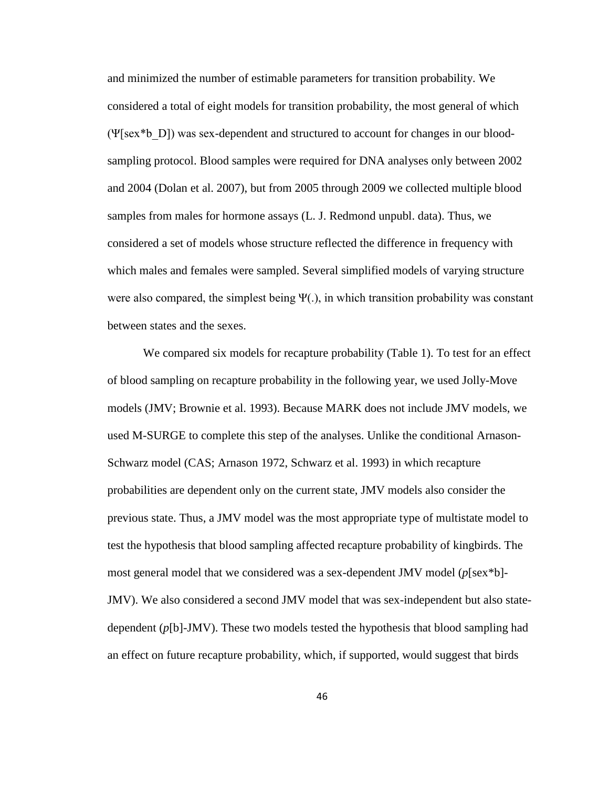and minimized the number of estimable parameters for transition probability. We considered a total of eight models for transition probability, the most general of which (Ψ[sex\*b\_D]) was sex-dependent and structured to account for changes in our bloodsampling protocol. Blood samples were required for DNA analyses only between 2002 and 2004 (Dolan et al. 2007), but from 2005 through 2009 we collected multiple blood samples from males for hormone assays (L. J. Redmond unpubl. data). Thus, we considered a set of models whose structure reflected the difference in frequency with which males and females were sampled. Several simplified models of varying structure were also compared, the simplest being  $\Psi(.)$ , in which transition probability was constant between states and the sexes.

We compared six models for recapture probability (Table 1). To test for an effect of blood sampling on recapture probability in the following year, we used Jolly-Move models (JMV; Brownie et al. 1993). Because MARK does not include JMV models, we used M-SURGE to complete this step of the analyses. Unlike the conditional Arnason-Schwarz model (CAS; Arnason 1972, Schwarz et al. 1993) in which recapture probabilities are dependent only on the current state, JMV models also consider the previous state. Thus, a JMV model was the most appropriate type of multistate model to test the hypothesis that blood sampling affected recapture probability of kingbirds. The most general model that we considered was a sex-dependent JMV model (*p*[sex\*b]- JMV). We also considered a second JMV model that was sex-independent but also statedependent (*p*[b]-JMV). These two models tested the hypothesis that blood sampling had an effect on future recapture probability, which, if supported, would suggest that birds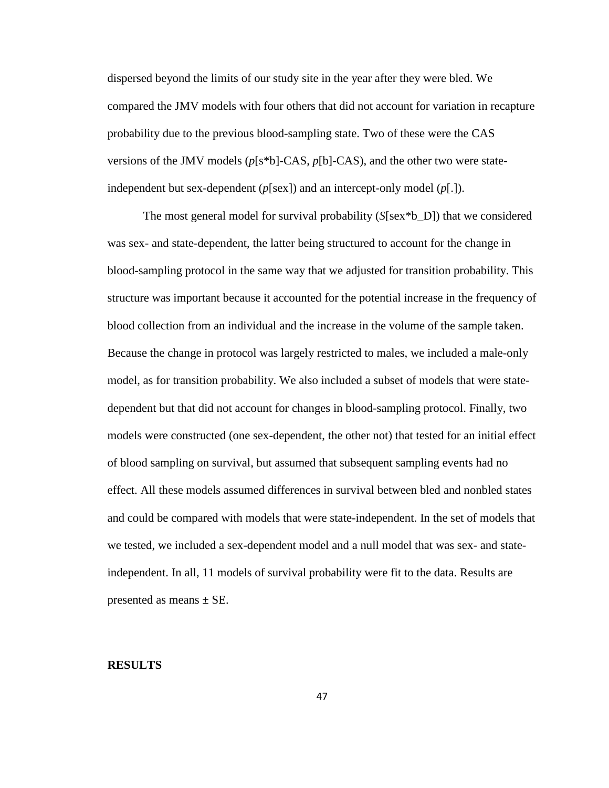dispersed beyond the limits of our study site in the year after they were bled. We compared the JMV models with four others that did not account for variation in recapture probability due to the previous blood-sampling state. Two of these were the CAS versions of the JMV models (*p*[s\*b]-CAS, *p*[b]-CAS), and the other two were stateindependent but sex-dependent  $(p \leq x)$  and an intercept-only model  $(p \leq 1)$ .

The most general model for survival probability (*S*[sex\*b\_D]) that we considered was sex- and state-dependent, the latter being structured to account for the change in blood-sampling protocol in the same way that we adjusted for transition probability. This structure was important because it accounted for the potential increase in the frequency of blood collection from an individual and the increase in the volume of the sample taken. Because the change in protocol was largely restricted to males, we included a male-only model, as for transition probability. We also included a subset of models that were statedependent but that did not account for changes in blood-sampling protocol. Finally, two models were constructed (one sex-dependent, the other not) that tested for an initial effect of blood sampling on survival, but assumed that subsequent sampling events had no effect. All these models assumed differences in survival between bled and nonbled states and could be compared with models that were state-independent. In the set of models that we tested, we included a sex-dependent model and a null model that was sex- and stateindependent. In all, 11 models of survival probability were fit to the data. Results are presented as means  $\pm$  SE.

### **RESULTS**

47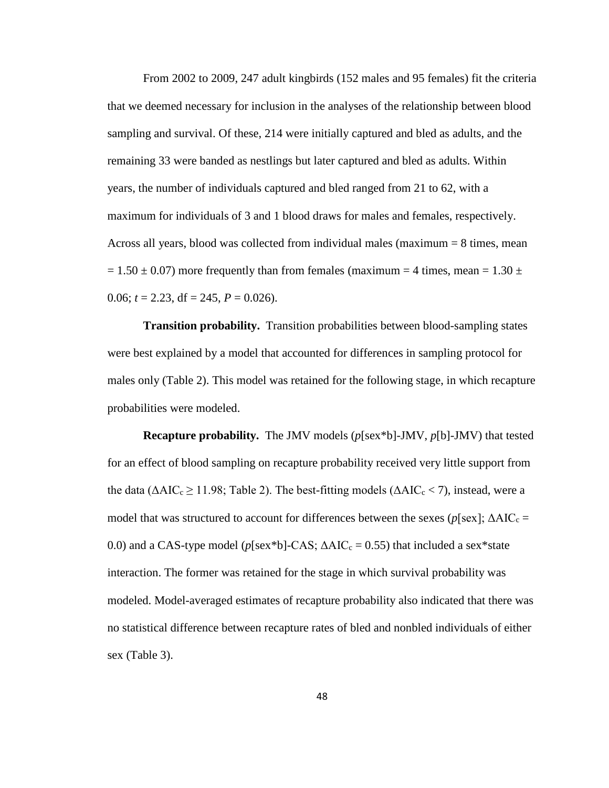From 2002 to 2009, 247 adult kingbirds (152 males and 95 females) fit the criteria that we deemed necessary for inclusion in the analyses of the relationship between blood sampling and survival. Of these, 214 were initially captured and bled as adults, and the remaining 33 were banded as nestlings but later captured and bled as adults. Within years, the number of individuals captured and bled ranged from 21 to 62, with a maximum for individuals of 3 and 1 blood draws for males and females, respectively. Across all years, blood was collected from individual males (maximum = 8 times, mean  $= 1.50 \pm 0.07$ ) more frequently than from females (maximum = 4 times, mean = 1.30  $\pm$ 0.06;  $t = 2.23$ , df = 245,  $P = 0.026$ ).

**Transition probability.** Transition probabilities between blood-sampling states were best explained by a model that accounted for differences in sampling protocol for males only (Table 2). This model was retained for the following stage, in which recapture probabilities were modeled.

**Recapture probability.** The JMV models (*p*[sex\*b]-JMV, *p*[b]-JMV) that tested for an effect of blood sampling on recapture probability received very little support from the data ( $\triangle AIC_c \ge 11.98$ ; Table 2). The best-fitting models ( $\triangle AIC_c < 7$ ), instead, were a model that was structured to account for differences between the sexes ( $p$ [sex];  $\Delta AIC_c$  = 0.0) and a CAS-type model ( $p$ [sex\*b]-CAS;  $\triangle AIC_c = 0.55$ ) that included a sex\*state interaction. The former was retained for the stage in which survival probability was modeled. Model-averaged estimates of recapture probability also indicated that there was no statistical difference between recapture rates of bled and nonbled individuals of either sex (Table 3).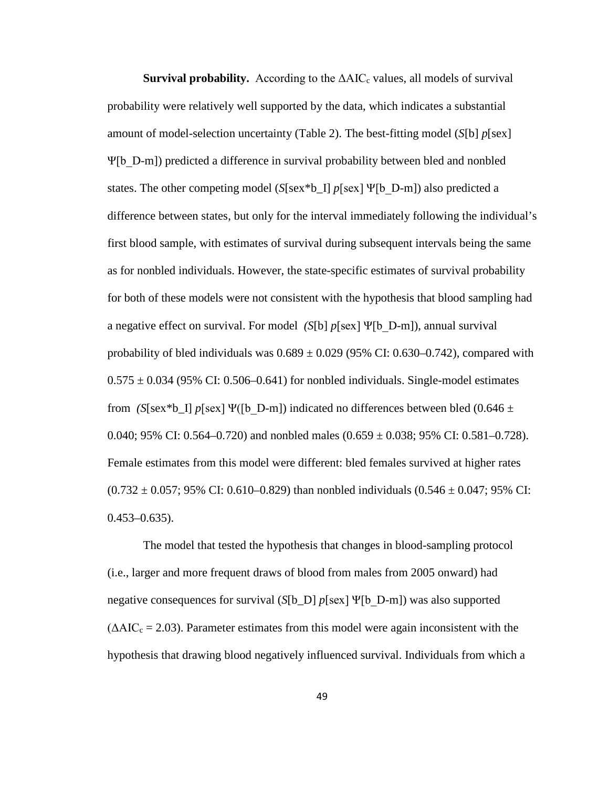**Survival probability.** According to the  $\Delta AIC_c$  values, all models of survival probability were relatively well supported by the data, which indicates a substantial amount of model-selection uncertainty (Table 2). The best-fitting model (*S*[b] *p*[sex] Ψ[b\_D-m]) predicted a difference in survival probability between bled and nonbled states. The other competing model (*S*[sex\*b\_I] *p*[sex] Ψ[b\_D-m]) also predicted a difference between states, but only for the interval immediately following the individual's first blood sample, with estimates of survival during subsequent intervals being the same as for nonbled individuals. However, the state-specific estimates of survival probability for both of these models were not consistent with the hypothesis that blood sampling had a negative effect on survival. For model *(S*[b] *p*[sex] Ψ[b\_D-m]), annual survival probability of bled individuals was  $0.689 \pm 0.029$  (95% CI: 0.630–0.742), compared with  $0.575 \pm 0.034$  (95% CI: 0.506–0.641) for nonbled individuals. Single-model estimates from *(S*[sex\*b\_I]  $p$ [sex] Ψ([b\_D-m]) indicated no differences between bled (0.646  $\pm$ 0.040; 95% CI: 0.564–0.720) and nonbled males  $(0.659 \pm 0.038; 95\% \text{ CI: } 0.581 - 0.728)$ . Female estimates from this model were different: bled females survived at higher rates  $(0.732 \pm 0.057; 95\% \text{ CI}: 0.610 - 0.829)$  than nonbled individuals  $(0.546 \pm 0.047; 95\% \text{ CI}:$  $0.453 - 0.635$ ).

The model that tested the hypothesis that changes in blood-sampling protocol (i.e., larger and more frequent draws of blood from males from 2005 onward) had negative consequences for survival (*S*[b\_D] *p*[sex] Ψ[b\_D-m]) was also supported  $(\Delta AIC_c = 2.03)$ . Parameter estimates from this model were again inconsistent with the hypothesis that drawing blood negatively influenced survival. Individuals from which a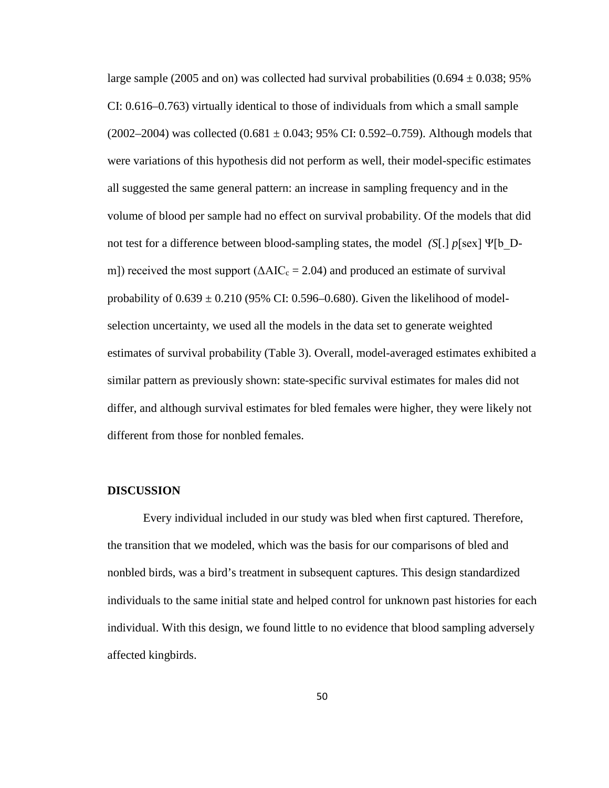large sample (2005 and on) was collected had survival probabilities (0.694  $\pm$  0.038; 95% CI: 0.616–0.763) virtually identical to those of individuals from which a small sample  $(2002-2004)$  was collected  $(0.681 \pm 0.043; 95\% \text{ CI}$ : 0.592-0.759). Although models that were variations of this hypothesis did not perform as well, their model-specific estimates all suggested the same general pattern: an increase in sampling frequency and in the volume of blood per sample had no effect on survival probability. Of the models that did not test for a difference between blood-sampling states, the model *(S*[.] *p*[sex] Ψ[b\_Dm]) received the most support ( $\triangle AIC_c = 2.04$ ) and produced an estimate of survival probability of  $0.639 \pm 0.210$  (95% CI: 0.596–0.680). Given the likelihood of modelselection uncertainty, we used all the models in the data set to generate weighted estimates of survival probability (Table 3). Overall, model-averaged estimates exhibited a similar pattern as previously shown: state-specific survival estimates for males did not differ, and although survival estimates for bled females were higher, they were likely not different from those for nonbled females.

#### **DISCUSSION**

Every individual included in our study was bled when first captured. Therefore, the transition that we modeled, which was the basis for our comparisons of bled and nonbled birds, was a bird's treatment in subsequent captures. This design standardized individuals to the same initial state and helped control for unknown past histories for each individual. With this design, we found little to no evidence that blood sampling adversely affected kingbirds.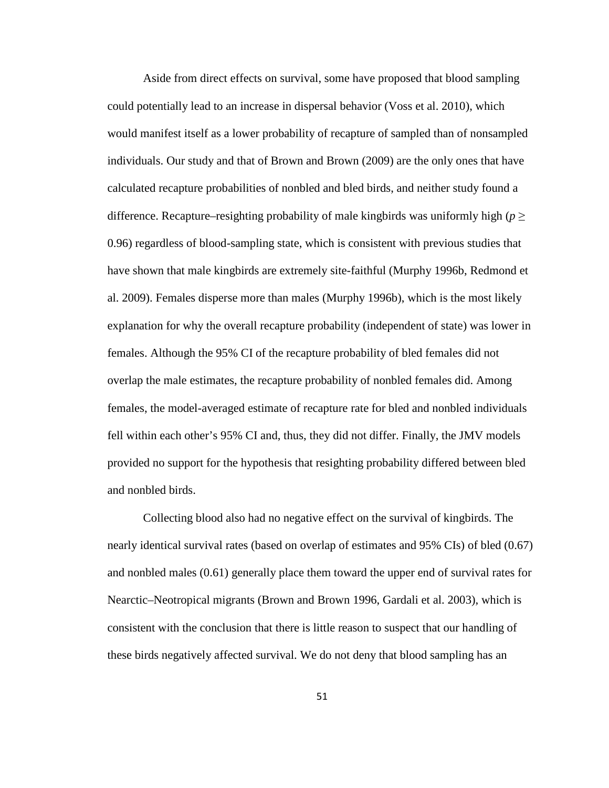Aside from direct effects on survival, some have proposed that blood sampling could potentially lead to an increase in dispersal behavior (Voss et al. 2010), which would manifest itself as a lower probability of recapture of sampled than of nonsampled individuals. Our study and that of Brown and Brown (2009) are the only ones that have calculated recapture probabilities of nonbled and bled birds, and neither study found a difference. Recapture–resighting probability of male kingbirds was uniformly high ( $p \geq$ 0.96) regardless of blood-sampling state, which is consistent with previous studies that have shown that male kingbirds are extremely site-faithful (Murphy 1996b, Redmond et al. 2009). Females disperse more than males (Murphy 1996b), which is the most likely explanation for why the overall recapture probability (independent of state) was lower in females. Although the 95% CI of the recapture probability of bled females did not overlap the male estimates, the recapture probability of nonbled females did. Among females, the model-averaged estimate of recapture rate for bled and nonbled individuals fell within each other's 95% CI and, thus, they did not differ. Finally, the JMV models provided no support for the hypothesis that resighting probability differed between bled and nonbled birds.

Collecting blood also had no negative effect on the survival of kingbirds. The nearly identical survival rates (based on overlap of estimates and 95% CIs) of bled (0.67) and nonbled males (0.61) generally place them toward the upper end of survival rates for Nearctic–Neotropical migrants (Brown and Brown 1996, Gardali et al. 2003), which is consistent with the conclusion that there is little reason to suspect that our handling of these birds negatively affected survival. We do not deny that blood sampling has an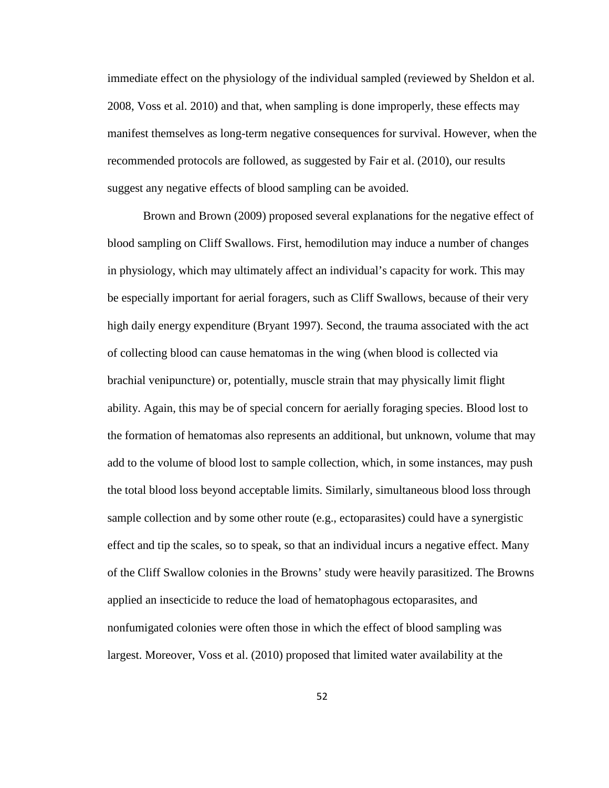immediate effect on the physiology of the individual sampled (reviewed by Sheldon et al. 2008, Voss et al. 2010) and that, when sampling is done improperly, these effects may manifest themselves as long-term negative consequences for survival. However, when the recommended protocols are followed, as suggested by Fair et al. (2010), our results suggest any negative effects of blood sampling can be avoided.

Brown and Brown (2009) proposed several explanations for the negative effect of blood sampling on Cliff Swallows. First, hemodilution may induce a number of changes in physiology, which may ultimately affect an individual's capacity for work. This may be especially important for aerial foragers, such as Cliff Swallows, because of their very high daily energy expenditure (Bryant 1997). Second, the trauma associated with the act of collecting blood can cause hematomas in the wing (when blood is collected via brachial venipuncture) or, potentially, muscle strain that may physically limit flight ability. Again, this may be of special concern for aerially foraging species. Blood lost to the formation of hematomas also represents an additional, but unknown, volume that may add to the volume of blood lost to sample collection, which, in some instances, may push the total blood loss beyond acceptable limits. Similarly, simultaneous blood loss through sample collection and by some other route (e.g., ectoparasites) could have a synergistic effect and tip the scales, so to speak, so that an individual incurs a negative effect. Many of the Cliff Swallow colonies in the Browns' study were heavily parasitized. The Browns applied an insecticide to reduce the load of hematophagous ectoparasites, and nonfumigated colonies were often those in which the effect of blood sampling was largest. Moreover, Voss et al. (2010) proposed that limited water availability at the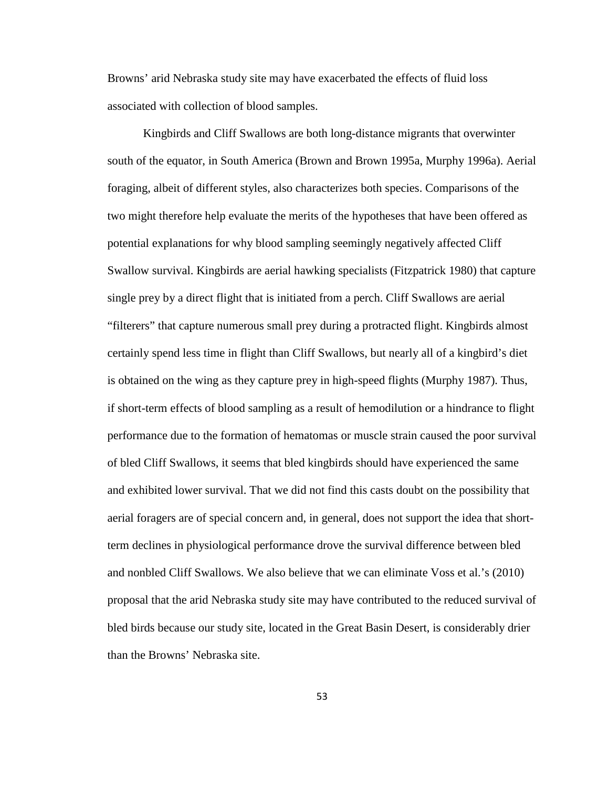Browns' arid Nebraska study site may have exacerbated the effects of fluid loss associated with collection of blood samples.

Kingbirds and Cliff Swallows are both long-distance migrants that overwinter south of the equator, in South America (Brown and Brown 1995a, Murphy 1996a). Aerial foraging, albeit of different styles, also characterizes both species. Comparisons of the two might therefore help evaluate the merits of the hypotheses that have been offered as potential explanations for why blood sampling seemingly negatively affected Cliff Swallow survival. Kingbirds are aerial hawking specialists (Fitzpatrick 1980) that capture single prey by a direct flight that is initiated from a perch. Cliff Swallows are aerial "filterers" that capture numerous small prey during a protracted flight. Kingbirds almost certainly spend less time in flight than Cliff Swallows, but nearly all of a kingbird's diet is obtained on the wing as they capture prey in high-speed flights (Murphy 1987). Thus, if short-term effects of blood sampling as a result of hemodilution or a hindrance to flight performance due to the formation of hematomas or muscle strain caused the poor survival of bled Cliff Swallows, it seems that bled kingbirds should have experienced the same and exhibited lower survival. That we did not find this casts doubt on the possibility that aerial foragers are of special concern and, in general, does not support the idea that shortterm declines in physiological performance drove the survival difference between bled and nonbled Cliff Swallows. We also believe that we can eliminate Voss et al.'s (2010) proposal that the arid Nebraska study site may have contributed to the reduced survival of bled birds because our study site, located in the Great Basin Desert, is considerably drier than the Browns' Nebraska site.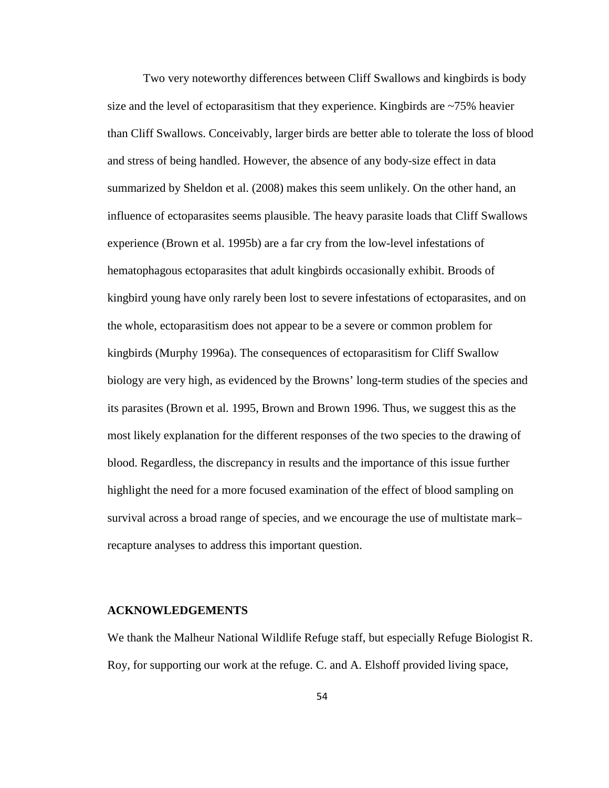Two very noteworthy differences between Cliff Swallows and kingbirds is body size and the level of ectoparasitism that they experience. Kingbirds are ~75% heavier than Cliff Swallows. Conceivably, larger birds are better able to tolerate the loss of blood and stress of being handled. However, the absence of any body-size effect in data summarized by Sheldon et al. (2008) makes this seem unlikely. On the other hand, an influence of ectoparasites seems plausible. The heavy parasite loads that Cliff Swallows experience (Brown et al. 1995b) are a far cry from the low-level infestations of hematophagous ectoparasites that adult kingbirds occasionally exhibit. Broods of kingbird young have only rarely been lost to severe infestations of ectoparasites, and on the whole, ectoparasitism does not appear to be a severe or common problem for kingbirds (Murphy 1996a). The consequences of ectoparasitism for Cliff Swallow biology are very high, as evidenced by the Browns' long-term studies of the species and its parasites (Brown et al. 1995, Brown and Brown 1996. Thus, we suggest this as the most likely explanation for the different responses of the two species to the drawing of blood. Regardless, the discrepancy in results and the importance of this issue further highlight the need for a more focused examination of the effect of blood sampling on survival across a broad range of species, and we encourage the use of multistate mark– recapture analyses to address this important question.

#### **ACKNOWLEDGEMENTS**

We thank the Malheur National Wildlife Refuge staff, but especially Refuge Biologist R. Roy, for supporting our work at the refuge. C. and A. Elshoff provided living space,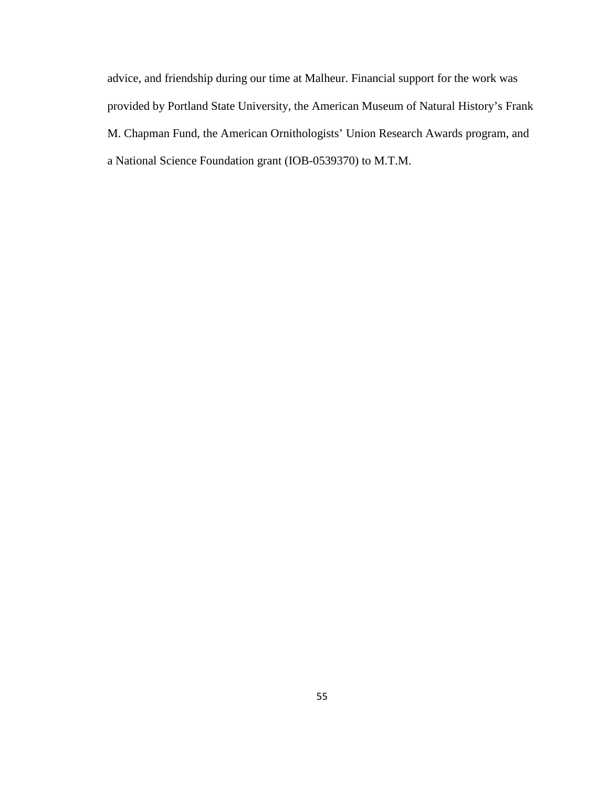advice, and friendship during our time at Malheur. Financial support for the work was provided by Portland State University, the American Museum of Natural History's Frank M. Chapman Fund, the American Ornithologists' Union Research Awards program, and a National Science Foundation grant (IOB-0539370) to M.T.M.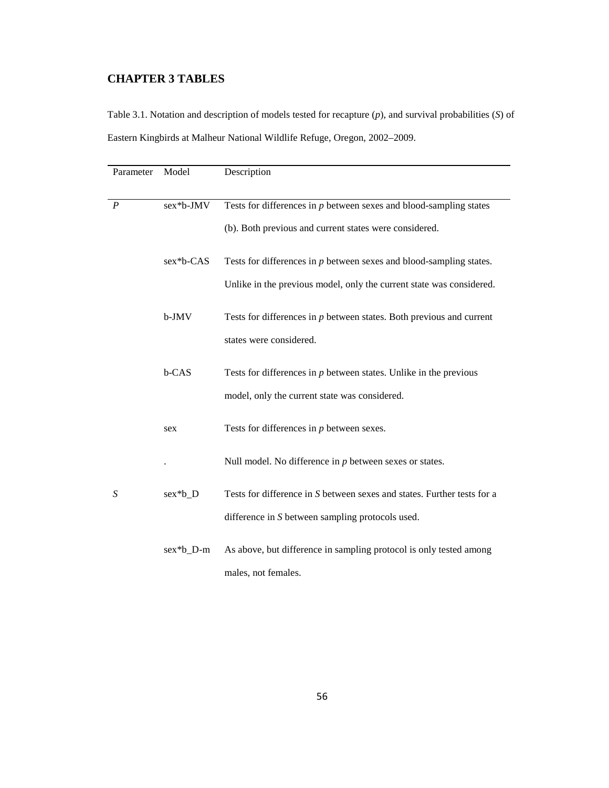## **CHAPTER 3 TABLES**

Table 3.1. Notation and description of models tested for recapture (*p*), and survival probabilities (*S*) of Eastern Kingbirds at Malheur National Wildlife Refuge, Oregon, 2002–2009.

| Parameter        | Model     | Description                                                             |
|------------------|-----------|-------------------------------------------------------------------------|
|                  |           |                                                                         |
| $\boldsymbol{P}$ | sex*b-JMV | Tests for differences in $p$ between sexes and blood-sampling states    |
|                  |           | (b). Both previous and current states were considered.                  |
|                  | sex*b-CAS | Tests for differences in $p$ between sexes and blood-sampling states.   |
|                  |           | Unlike in the previous model, only the current state was considered.    |
|                  | b-JMV     | Tests for differences in $p$ between states. Both previous and current  |
|                  |           | states were considered.                                                 |
|                  | b-CAS     | Tests for differences in $p$ between states. Unlike in the previous     |
|                  |           | model, only the current state was considered.                           |
|                  | sex       | Tests for differences in $p$ between sexes.                             |
|                  |           | Null model. No difference in $p$ between sexes or states.               |
| S                | sex*b_D   | Tests for difference in S between sexes and states. Further tests for a |
|                  |           | difference in S between sampling protocols used.                        |
|                  | sex*b_D-m | As above, but difference in sampling protocol is only tested among      |
|                  |           | males, not females.                                                     |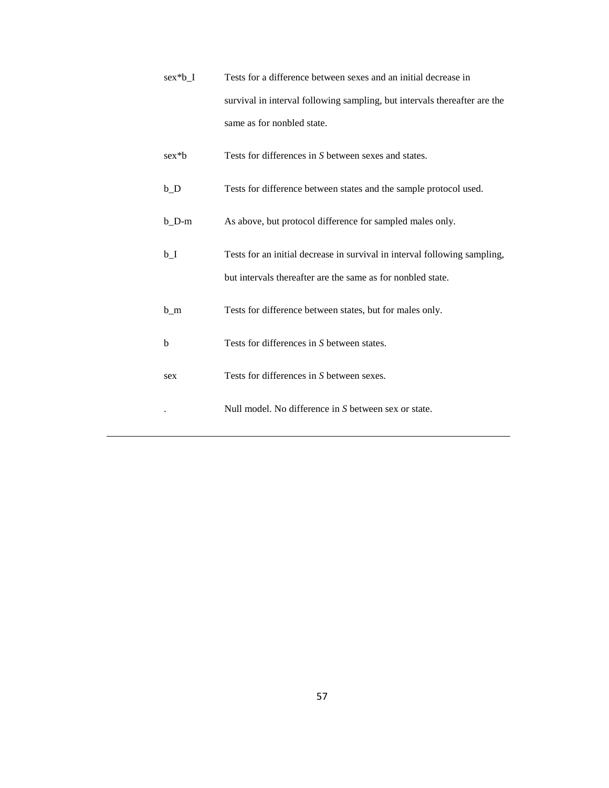| sex*b I | Tests for a difference between sexes and an initial decrease in           |  |  |  |
|---------|---------------------------------------------------------------------------|--|--|--|
|         | survival in interval following sampling, but intervals thereafter are the |  |  |  |
|         | same as for nonbled state.                                                |  |  |  |

- sex\*b Tests for differences in *S* between sexes and states.
- b\_D Tests for difference between states and the sample protocol used.
- b\_D-m As above, but protocol difference for sampled males only.
- b\_I Tests for an initial decrease in survival in interval following sampling, but intervals thereafter are the same as for nonbled state.
- b\_m Tests for difference between states, but for males only.
- b Tests for differences in *S* between states.
- sex Tests for differences in *S* between sexes.
	- . Null model. No difference in *S* between sex or state.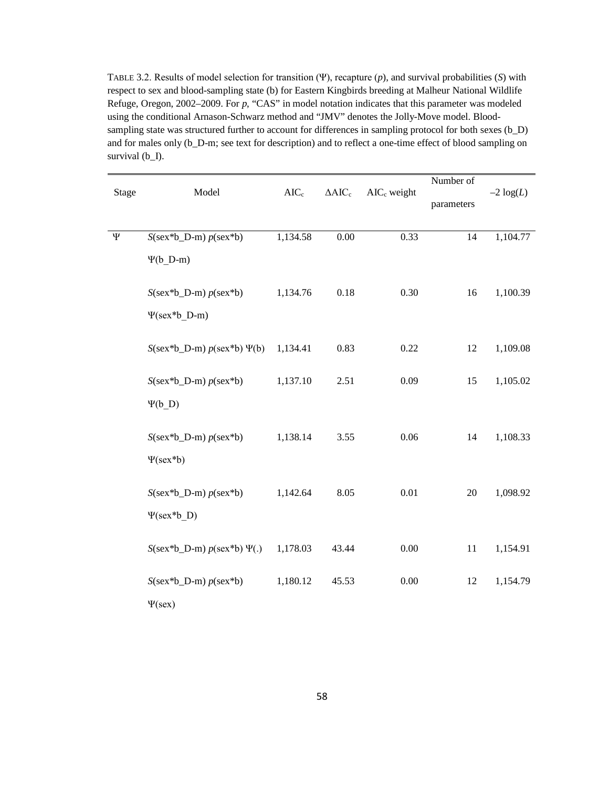TABLE 3.2. Results of model selection for transition (Ψ), recapture (*p*), and survival probabilities (*S*) with respect to sex and blood-sampling state (b) for Eastern Kingbirds breeding at Malheur National Wildlife Refuge, Oregon, 2002–2009. For *p*, "CAS" in model notation indicates that this parameter was modeled using the conditional Arnason-Schwarz method and "JMV" denotes the Jolly-Move model. Bloodsampling state was structured further to account for differences in sampling protocol for both sexes (b\_D) and for males only (b\_D-m; see text for description) and to reflect a one-time effect of blood sampling on survival (b\_I).

|              |                                        | $AIC_c$  |                |               | Number of  |              |  |
|--------------|----------------------------------------|----------|----------------|---------------|------------|--------------|--|
| <b>Stage</b> | Model                                  |          | $\Delta AIC_c$ | $AICc$ weight | parameters | $-2 \log(L)$ |  |
|              |                                        |          |                |               |            |              |  |
| $\Psi$       | $S(\text{sex*b\_D-m}) p(\text{sex*b})$ | 1,134.58 | $0.00\,$       | 0.33          | 14         | 1,104.77     |  |
|              | $\Psi(b)$ D-m)                         |          |                |               |            |              |  |
|              | $S(\text{sex*b\_D-m}) p(\text{sex*b})$ | 1,134.76 | $0.18\,$       | 0.30          | 16         | 1,100.39     |  |
|              | $\Psi$ (sex*b D-m)                     |          |                |               |            |              |  |
|              | $S$ (sex*b_D-m) $p$ (sex*b) $\Psi$ (b) | 1,134.41 | 0.83           | 0.22          | 12         | 1,109.08     |  |
|              | $S(\text{sex*b\_D-m}) p(\text{sex*b})$ | 1,137.10 | 2.51           | 0.09          | 15         | 1,105.02     |  |
|              | $\Psi(b_$ D)                           |          |                |               |            |              |  |
|              | $S$ (sex*b_D-m) $p$ (sex*b)            | 1,138.14 | 3.55           | $0.06\,$      | 14         | 1,108.33     |  |
|              | $\Psi(\text{sex*}b)$                   |          |                |               |            |              |  |
|              | $S(\text{sex*b\_D-m}) p(\text{sex*b})$ | 1,142.64 | 8.05           | $0.01\,$      | $20\,$     | 1,098.92     |  |
|              | $\Psi$ (sex*b D)                       |          |                |               |            |              |  |
|              | $S$ (sex*b_D-m) $p$ (sex*b) $\Psi(.)$  | 1,178.03 | 43.44          | 0.00          | 11         | 1,154.91     |  |
|              | $S(\text{sex*b\_D-m}) p(\text{sex*b})$ | 1,180.12 | 45.53          | 0.00          | 12         | 1,154.79     |  |
|              | $\Psi$ (sex)                           |          |                |               |            |              |  |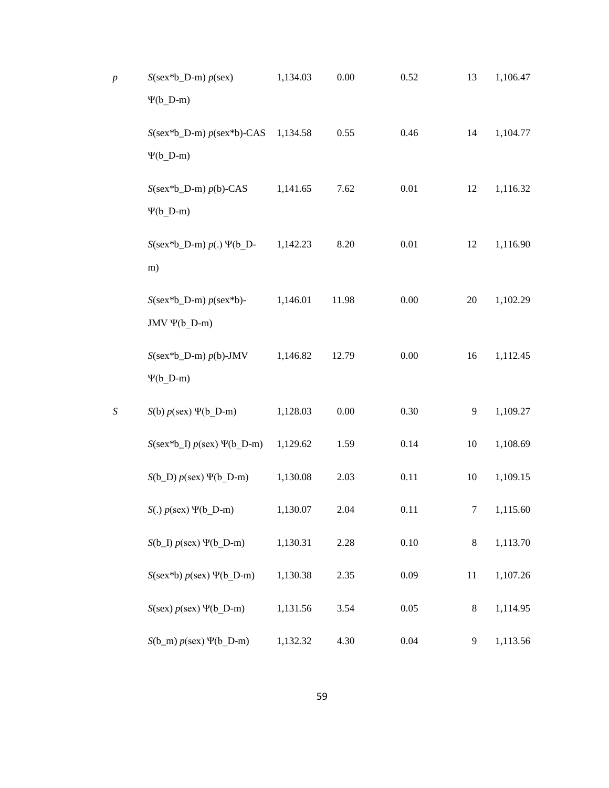| p              | $S(\text{sex*b\_D-m}) p(\text{sex})$<br>$\Psi(b)$ D-m) | 1,134.03 | 0.00     | 0.52     | 13      | 1,106.47 |
|----------------|--------------------------------------------------------|----------|----------|----------|---------|----------|
|                | $S$ (sex*b_D-m) $p$ (sex*b)-CAS<br>$\Psi(b)$ D-m)      | 1,134.58 | 0.55     | 0.46     | 14      | 1,104.77 |
|                | $S$ (sex*b_D-m) $p(b)$ -CAS<br>$\Psi(b_D-m)$           | 1,141.65 | 7.62     | $0.01\,$ | 12      | 1,116.32 |
|                | $S$ (sex*b_D-m) $p(.) \Psi$ (b_D-<br>m)                | 1,142.23 | 8.20     | $0.01\,$ | 12      | 1,116.90 |
|                | $S$ (sex*b_D-m) $p$ (sex*b)-<br>JMV $\Psi(b_D-m)$      | 1,146.01 | 11.98    | 0.00     | 20      | 1,102.29 |
|                | $S$ (sex*b_D-m) $p(b)$ -JMV<br>$\Psi(b_D-m)$           | 1,146.82 | 12.79    | $0.00\,$ | 16      | 1,112.45 |
| $\overline{S}$ | $S(b) p$ (sex) $\Psi(b_D-m)$                           | 1,128.03 | $0.00\,$ | 0.30     | 9       | 1,109.27 |
|                | $S$ (sex*b_I) $p$ (sex) $\Psi$ (b_D-m)                 | 1,129.62 | 1.59     | 0.14     | 10      | 1,108.69 |
|                | $S(b_D) p(sex) \Psi(b_D-m)$                            | 1,130.08 | 2.03     | 0.11     | 10      | 1,109.15 |
|                | $S(.) p$ (sex) $\Psi(b_D-m)$                           | 1,130.07 | 2.04     | 0.11     | 7       | 1,115.60 |
|                | $S(b_1) p(sex) \Psi(b_1-b_1)$                          | 1,130.31 | 2.28     | 0.10     | $\,8\,$ | 1,113.70 |
|                | $S(\text{sex}^*b) p(\text{sex}) \Psi(b_D-m)$           | 1,130.38 | 2.35     | 0.09     | 11      | 1,107.26 |
|                | $S$ (sex) $p$ (sex) $\Psi$ (b_D-m)                     | 1,131.56 | 3.54     | 0.05     | $\,8\,$ | 1,114.95 |
|                | $S(b_m) p(sex) \Psi(b_D-m)$                            | 1,132.32 | 4.30     | 0.04     | 9       | 1,113.56 |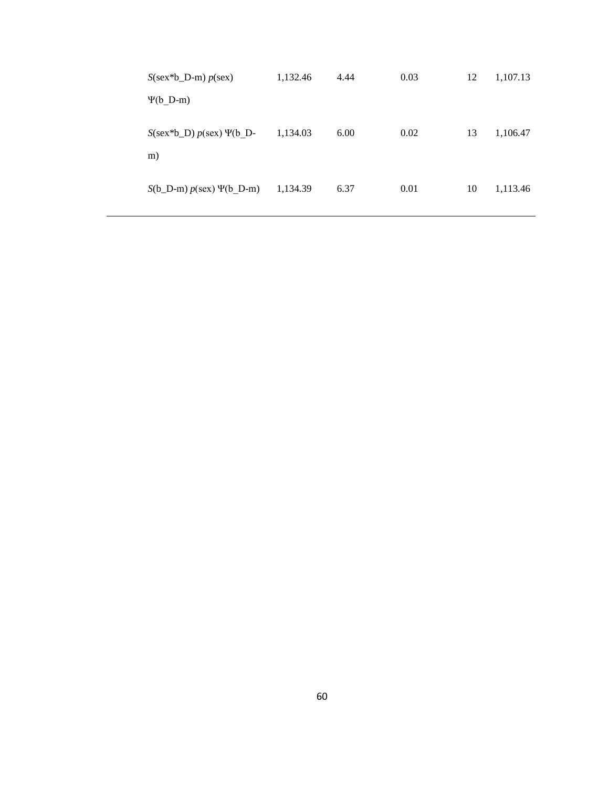| $S(\text{sex*b\_D-m}) p(\text{sex})$               | 1,132.46 | 4.44 | 0.03 | 12 | 1,107.13 |
|----------------------------------------------------|----------|------|------|----|----------|
| $\Psi(b)$ D-m)                                     |          |      |      |    |          |
| $S(\text{sex*b}_D) p(\text{sex}) \Psi(b)$ D-<br>m) | 1,134.03 | 6.00 | 0.02 | 13 | 1,106.47 |
| $S(b_D-m) p(sex) \Psi(b_D-m)$                      | 1,134.39 | 6.37 | 0.01 | 10 | 1,113.46 |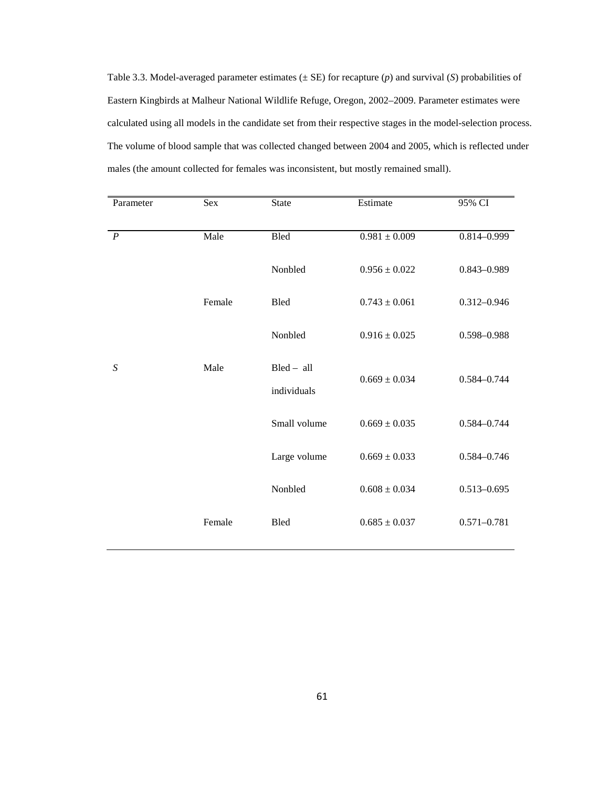Table 3.3. Model-averaged parameter estimates (± SE) for recapture (*p*) and survival (*S*) probabilities of Eastern Kingbirds at Malheur National Wildlife Refuge, Oregon, 2002–2009. Parameter estimates were calculated using all models in the candidate set from their respective stages in the model-selection process. The volume of blood sample that was collected changed between 2004 and 2005, which is reflected under males (the amount collected for females was inconsistent, but mostly remained small).

| Parameter        | <b>Sex</b> | <b>State</b>                | Estimate          | 95% CI          |
|------------------|------------|-----------------------------|-------------------|-----------------|
| $\overline{P}$   | Male       | Bled                        | $0.981\pm0.009$   | 0.814-0.999     |
|                  |            | Nonbled                     | $0.956 \pm 0.022$ | 0.843-0.989     |
|                  | Female     | Bled                        | $0.743 \pm 0.061$ | $0.312 - 0.946$ |
|                  |            | Nonbled                     | $0.916 \pm 0.025$ | 0.598-0.988     |
| $\boldsymbol{S}$ | Male       | $Bled - all$<br>individuals | $0.669 \pm 0.034$ | $0.584 - 0.744$ |
|                  |            | Small volume                | $0.669 \pm 0.035$ | 0.584-0.744     |
|                  |            | Large volume                | $0.669 \pm 0.033$ | $0.584 - 0.746$ |
|                  |            | Nonbled                     | $0.608\pm0.034$   | $0.513 - 0.695$ |
|                  | Female     | <b>Bled</b>                 | $0.685 \pm 0.037$ | $0.571 - 0.781$ |
|                  |            |                             |                   |                 |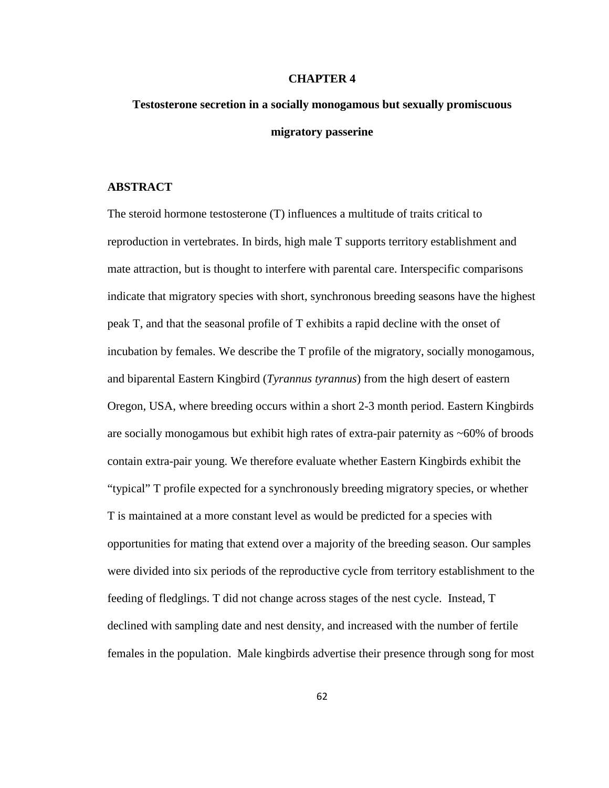#### **CHAPTER 4**

# **Testosterone secretion in a socially monogamous but sexually promiscuous migratory passerine**

#### **ABSTRACT**

The steroid hormone testosterone (T) influences a multitude of traits critical to reproduction in vertebrates. In birds, high male T supports territory establishment and mate attraction, but is thought to interfere with parental care. Interspecific comparisons indicate that migratory species with short, synchronous breeding seasons have the highest peak T, and that the seasonal profile of T exhibits a rapid decline with the onset of incubation by females. We describe the T profile of the migratory, socially monogamous, and biparental Eastern Kingbird (*Tyrannus tyrannus*) from the high desert of eastern Oregon, USA, where breeding occurs within a short 2-3 month period. Eastern Kingbirds are socially monogamous but exhibit high rates of extra-pair paternity as ~60% of broods contain extra-pair young. We therefore evaluate whether Eastern Kingbirds exhibit the "typical" T profile expected for a synchronously breeding migratory species, or whether T is maintained at a more constant level as would be predicted for a species with opportunities for mating that extend over a majority of the breeding season. Our samples were divided into six periods of the reproductive cycle from territory establishment to the feeding of fledglings. T did not change across stages of the nest cycle. Instead, T declined with sampling date and nest density, and increased with the number of fertile females in the population. Male kingbirds advertise their presence through song for most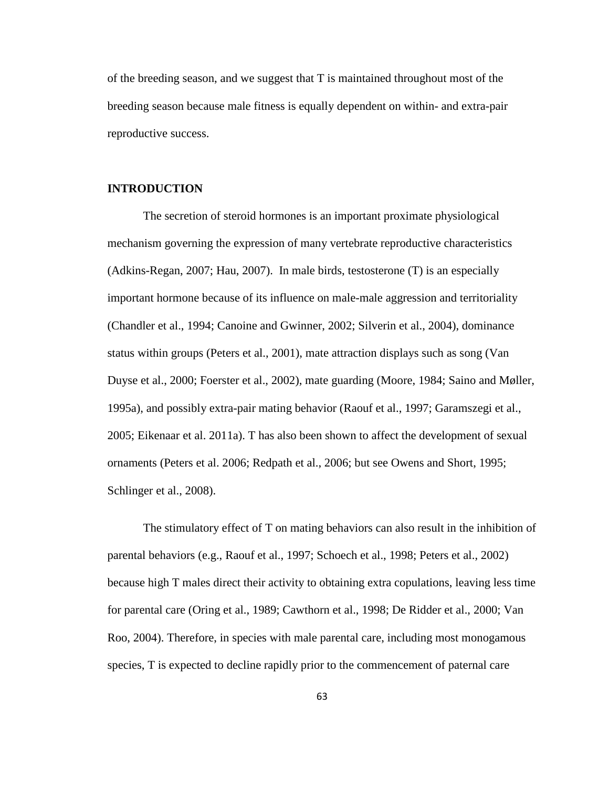of the breeding season, and we suggest that T is maintained throughout most of the breeding season because male fitness is equally dependent on within- and extra-pair reproductive success.

### **INTRODUCTION**

The secretion of steroid hormones is an important proximate physiological mechanism governing the expression of many vertebrate reproductive characteristics (Adkins-Regan, 2007; Hau, 2007). In male birds, testosterone (T) is an especially important hormone because of its influence on male-male aggression and territoriality (Chandler et al., 1994; Canoine and Gwinner, 2002; Silverin et al., 2004), dominance status within groups (Peters et al., 2001), mate attraction displays such as song (Van Duyse et al., 2000; Foerster et al., 2002), mate guarding (Moore, 1984; Saino and Møller, 1995a), and possibly extra-pair mating behavior (Raouf et al., 1997; Garamszegi et al., 2005; Eikenaar et al. 2011a). T has also been shown to affect the development of sexual ornaments (Peters et al. 2006; Redpath et al., 2006; but see Owens and Short, 1995; Schlinger et al., 2008).

The stimulatory effect of T on mating behaviors can also result in the inhibition of parental behaviors (e.g., Raouf et al., 1997; Schoech et al., 1998; Peters et al., 2002) because high T males direct their activity to obtaining extra copulations, leaving less time for parental care (Oring et al., 1989; Cawthorn et al., 1998; De Ridder et al., 2000; Van Roo, 2004). Therefore, in species with male parental care, including most monogamous species, T is expected to decline rapidly prior to the commencement of paternal care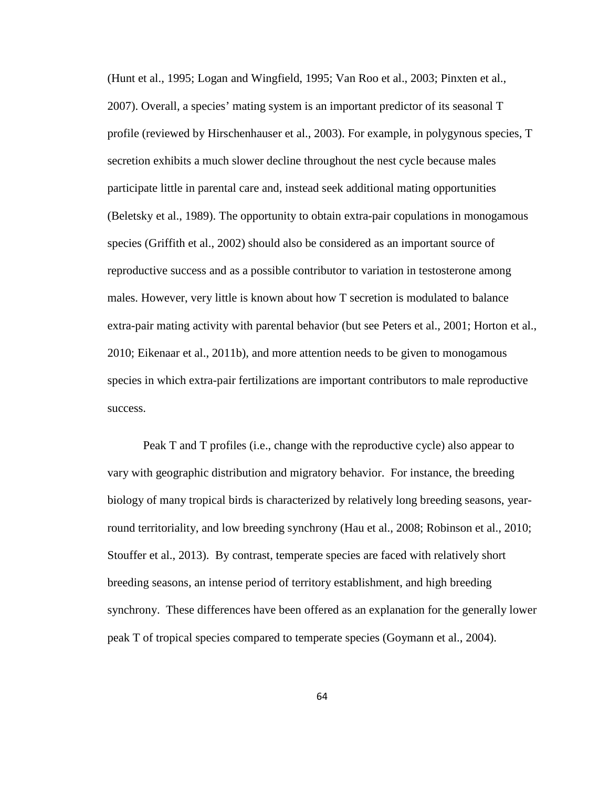(Hunt et al., 1995; Logan and Wingfield, 1995; Van Roo et al., 2003; Pinxten et al., 2007). Overall, a species' mating system is an important predictor of its seasonal T profile (reviewed by Hirschenhauser et al., 2003). For example, in polygynous species, T secretion exhibits a much slower decline throughout the nest cycle because males participate little in parental care and, instead seek additional mating opportunities (Beletsky et al., 1989). The opportunity to obtain extra-pair copulations in monogamous species (Griffith et al., 2002) should also be considered as an important source of reproductive success and as a possible contributor to variation in testosterone among males. However, very little is known about how T secretion is modulated to balance extra-pair mating activity with parental behavior (but see Peters et al., 2001; Horton et al., 2010; Eikenaar et al., 2011b), and more attention needs to be given to monogamous species in which extra-pair fertilizations are important contributors to male reproductive success.

Peak T and T profiles (i.e., change with the reproductive cycle) also appear to vary with geographic distribution and migratory behavior. For instance, the breeding biology of many tropical birds is characterized by relatively long breeding seasons, yearround territoriality, and low breeding synchrony (Hau et al., 2008; Robinson et al., 2010; Stouffer et al., 2013). By contrast, temperate species are faced with relatively short breeding seasons, an intense period of territory establishment, and high breeding synchrony. These differences have been offered as an explanation for the generally lower peak T of tropical species compared to temperate species (Goymann et al., 2004).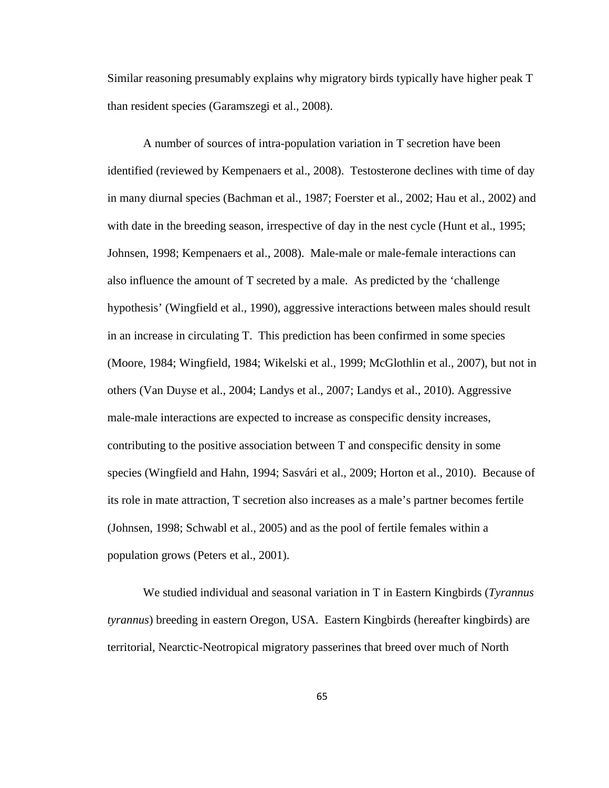Similar reasoning presumably explains why migratory birds typically have higher peak T than resident species (Garamszegi et al., 2008).

A number of sources of intra-population variation in T secretion have been identified (reviewed by Kempenaers et al., 2008). Testosterone declines with time of day in many diurnal species (Bachman et al., 1987; Foerster et al., 2002; Hau et al., 2002) and with date in the breeding season, irrespective of day in the nest cycle (Hunt et al., 1995; Johnsen, 1998; Kempenaers et al., 2008). Male-male or male-female interactions can also influence the amount of T secreted by a male. As predicted by the 'challenge hypothesis' (Wingfield et al., 1990), aggressive interactions between males should result in an increase in circulating T. This prediction has been confirmed in some species (Moore, 1984; Wingfield, 1984; Wikelski et al., 1999; McGlothlin et al., 2007), but not in others (Van Duyse et al., 2004; Landys et al., 2007; Landys et al., 2010). Aggressive male-male interactions are expected to increase as conspecific density increases, contributing to the positive association between T and conspecific density in some species (Wingfield and Hahn, 1994; Sasvári et al., 2009; Horton et al., 2010). Because of its role in mate attraction, T secretion also increases as a male's partner becomes fertile (Johnsen, 1998; Schwabl et al., 2005) and as the pool of fertile females within a population grows (Peters et al., 2001).

We studied individual and seasonal variation in T in Eastern Kingbirds (*Tyrannus tyrannus*) breeding in eastern Oregon, USA. Eastern Kingbirds (hereafter kingbirds) are territorial, Nearctic-Neotropical migratory passerines that breed over much of North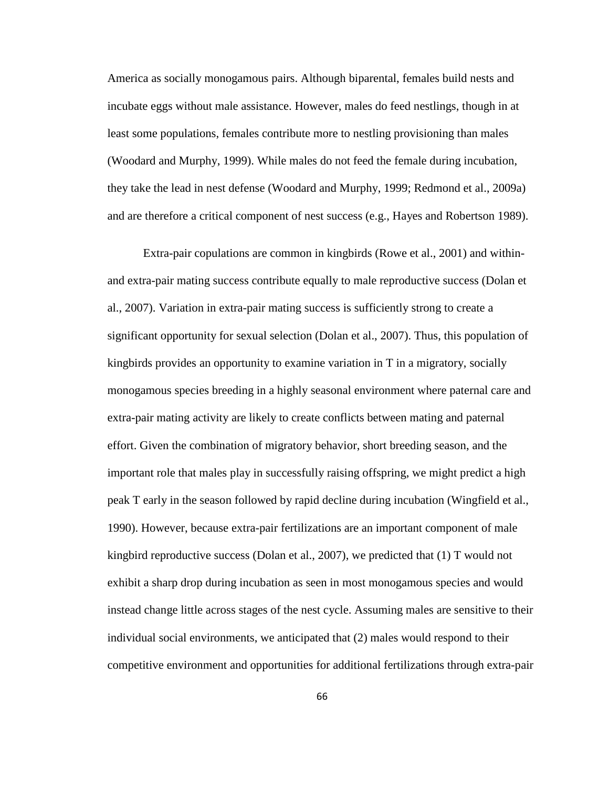America as socially monogamous pairs. Although biparental, females build nests and incubate eggs without male assistance. However, males do feed nestlings, though in at least some populations, females contribute more to nestling provisioning than males (Woodard and Murphy, 1999). While males do not feed the female during incubation, they take the lead in nest defense (Woodard and Murphy, 1999; Redmond et al., 2009a) and are therefore a critical component of nest success (e.g., Hayes and Robertson 1989).

Extra-pair copulations are common in kingbirds (Rowe et al., 2001) and withinand extra-pair mating success contribute equally to male reproductive success (Dolan et al., 2007). Variation in extra-pair mating success is sufficiently strong to create a significant opportunity for sexual selection (Dolan et al., 2007). Thus, this population of kingbirds provides an opportunity to examine variation in T in a migratory, socially monogamous species breeding in a highly seasonal environment where paternal care and extra-pair mating activity are likely to create conflicts between mating and paternal effort. Given the combination of migratory behavior, short breeding season, and the important role that males play in successfully raising offspring, we might predict a high peak T early in the season followed by rapid decline during incubation (Wingfield et al., 1990). However, because extra-pair fertilizations are an important component of male kingbird reproductive success (Dolan et al., 2007), we predicted that (1) T would not exhibit a sharp drop during incubation as seen in most monogamous species and would instead change little across stages of the nest cycle. Assuming males are sensitive to their individual social environments, we anticipated that (2) males would respond to their competitive environment and opportunities for additional fertilizations through extra-pair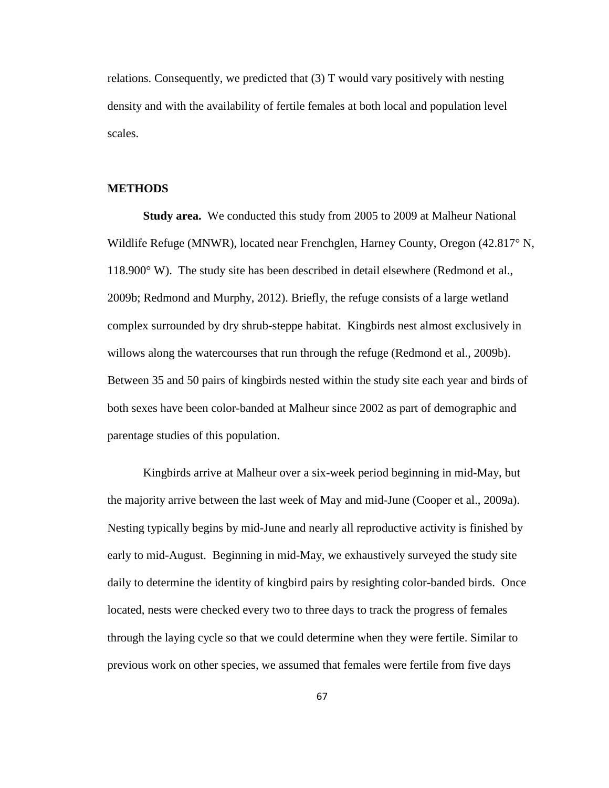relations. Consequently, we predicted that (3) T would vary positively with nesting density and with the availability of fertile females at both local and population level scales.

#### **METHODS**

**Study area.** We conducted this study from 2005 to 2009 at Malheur National Wildlife Refuge (MNWR), located near Frenchglen, Harney County, Oregon (42.817° N, 118.900° W). The study site has been described in detail elsewhere (Redmond et al., 2009b; Redmond and Murphy, 2012). Briefly, the refuge consists of a large wetland complex surrounded by dry shrub-steppe habitat. Kingbirds nest almost exclusively in willows along the watercourses that run through the refuge (Redmond et al., 2009b). Between 35 and 50 pairs of kingbirds nested within the study site each year and birds of both sexes have been color-banded at Malheur since 2002 as part of demographic and parentage studies of this population.

Kingbirds arrive at Malheur over a six-week period beginning in mid-May, but the majority arrive between the last week of May and mid-June (Cooper et al., 2009a). Nesting typically begins by mid-June and nearly all reproductive activity is finished by early to mid-August. Beginning in mid-May, we exhaustively surveyed the study site daily to determine the identity of kingbird pairs by resighting color-banded birds. Once located, nests were checked every two to three days to track the progress of females through the laying cycle so that we could determine when they were fertile. Similar to previous work on other species, we assumed that females were fertile from five days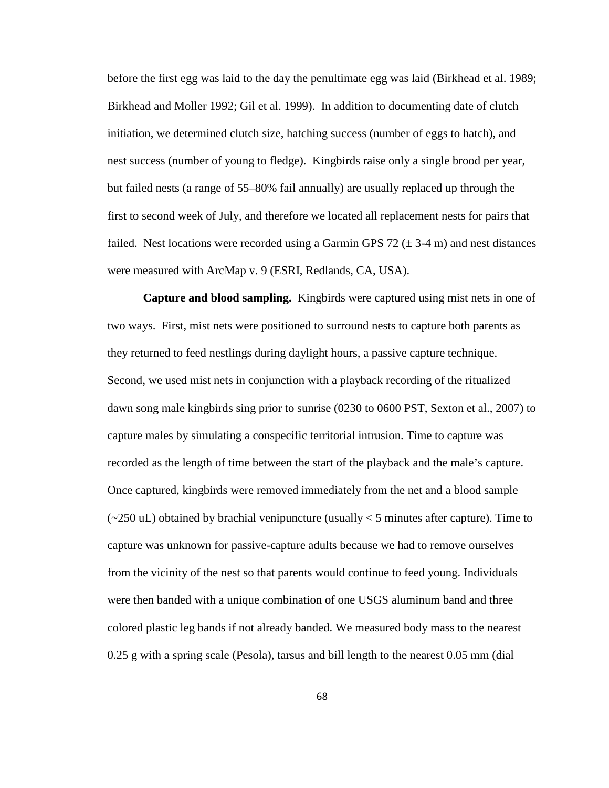before the first egg was laid to the day the penultimate egg was laid (Birkhead et al. 1989; Birkhead and Moller 1992; Gil et al. 1999). In addition to documenting date of clutch initiation, we determined clutch size, hatching success (number of eggs to hatch), and nest success (number of young to fledge). Kingbirds raise only a single brood per year, but failed nests (a range of 55–80% fail annually) are usually replaced up through the first to second week of July, and therefore we located all replacement nests for pairs that failed. Nest locations were recorded using a Garmin GPS 72  $(\pm 3.4 \text{ m})$  and nest distances were measured with ArcMap v. 9 (ESRI, Redlands, CA, USA).

**Capture and blood sampling.** Kingbirds were captured using mist nets in one of two ways. First, mist nets were positioned to surround nests to capture both parents as they returned to feed nestlings during daylight hours, a passive capture technique. Second, we used mist nets in conjunction with a playback recording of the ritualized dawn song male kingbirds sing prior to sunrise (0230 to 0600 PST, Sexton et al., 2007) to capture males by simulating a conspecific territorial intrusion. Time to capture was recorded as the length of time between the start of the playback and the male's capture. Once captured, kingbirds were removed immediately from the net and a blood sample  $\sim 250$  uL) obtained by brachial venipuncture (usually  $\lt 5$  minutes after capture). Time to capture was unknown for passive-capture adults because we had to remove ourselves from the vicinity of the nest so that parents would continue to feed young. Individuals were then banded with a unique combination of one USGS aluminum band and three colored plastic leg bands if not already banded. We measured body mass to the nearest 0.25 g with a spring scale (Pesola), tarsus and bill length to the nearest 0.05 mm (dial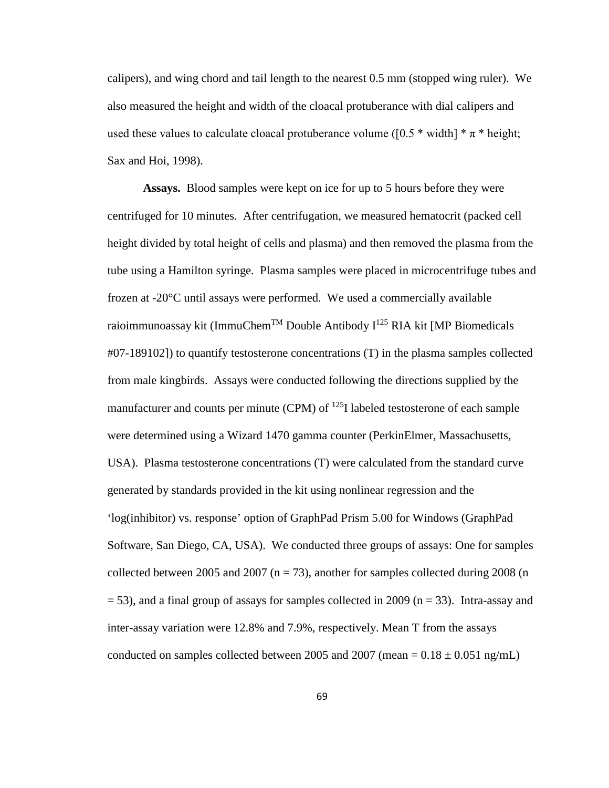calipers), and wing chord and tail length to the nearest 0.5 mm (stopped wing ruler). We also measured the height and width of the cloacal protuberance with dial calipers and used these values to calculate cloacal protuberance volume ([0.5  $*$  width]  $* \pi *$  height; Sax and Hoi, 1998).

**Assays.** Blood samples were kept on ice for up to 5 hours before they were centrifuged for 10 minutes. After centrifugation, we measured hematocrit (packed cell height divided by total height of cells and plasma) and then removed the plasma from the tube using a Hamilton syringe. Plasma samples were placed in microcentrifuge tubes and frozen at -20°C until assays were performed. We used a commercially available raioimmunoassay kit (ImmuChem<sup>TM</sup> Double Antibody  $I^{125}$  RIA kit [MP Biomedicals #07-189102]) to quantify testosterone concentrations (T) in the plasma samples collected from male kingbirds. Assays were conducted following the directions supplied by the manufacturer and counts per minute (CPM) of  $^{125}$ I labeled testosterone of each sample were determined using a Wizard 1470 gamma counter (PerkinElmer, Massachusetts, USA). Plasma testosterone concentrations (T) were calculated from the standard curve generated by standards provided in the kit using nonlinear regression and the 'log(inhibitor) vs. response' option of GraphPad Prism 5.00 for Windows (GraphPad Software, San Diego, CA, USA). We conducted three groups of assays: One for samples collected between 2005 and 2007 ( $n = 73$ ), another for samples collected during 2008 (n  $=$  53), and a final group of assays for samples collected in 2009 (n = 33). Intra-assay and inter-assay variation were 12.8% and 7.9%, respectively. Mean T from the assays conducted on samples collected between 2005 and 2007 (mean =  $0.18 \pm 0.051$  ng/mL)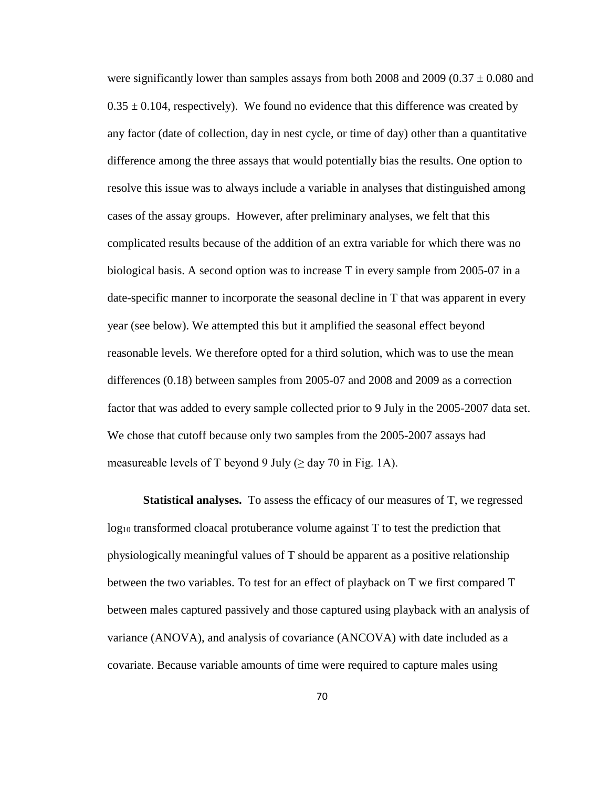were significantly lower than samples assays from both 2008 and  $2009 (0.37 \pm 0.080$  and  $0.35 \pm 0.104$ , respectively). We found no evidence that this difference was created by any factor (date of collection, day in nest cycle, or time of day) other than a quantitative difference among the three assays that would potentially bias the results. One option to resolve this issue was to always include a variable in analyses that distinguished among cases of the assay groups. However, after preliminary analyses, we felt that this complicated results because of the addition of an extra variable for which there was no biological basis. A second option was to increase T in every sample from 2005-07 in a date-specific manner to incorporate the seasonal decline in T that was apparent in every year (see below). We attempted this but it amplified the seasonal effect beyond reasonable levels. We therefore opted for a third solution, which was to use the mean differences (0.18) between samples from 2005-07 and 2008 and 2009 as a correction factor that was added to every sample collected prior to 9 July in the 2005-2007 data set. We chose that cutoff because only two samples from the 2005-2007 assays had measureable levels of T beyond 9 July ( $\geq$  day 70 in Fig. 1A).

**Statistical analyses.** To assess the efficacy of our measures of T, we regressed  $log_{10}$  transformed cloacal protuberance volume against T to test the prediction that physiologically meaningful values of T should be apparent as a positive relationship between the two variables. To test for an effect of playback on T we first compared T between males captured passively and those captured using playback with an analysis of variance (ANOVA), and analysis of covariance (ANCOVA) with date included as a covariate. Because variable amounts of time were required to capture males using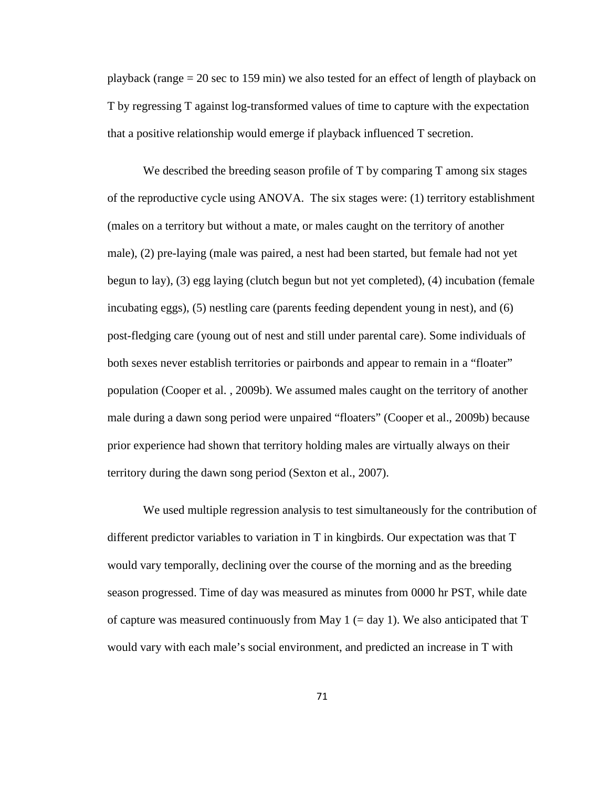playback (range  $= 20$  sec to 159 min) we also tested for an effect of length of playback on T by regressing T against log-transformed values of time to capture with the expectation that a positive relationship would emerge if playback influenced T secretion.

We described the breeding season profile of T by comparing T among six stages of the reproductive cycle using ANOVA. The six stages were: (1) territory establishment (males on a territory but without a mate, or males caught on the territory of another male), (2) pre-laying (male was paired, a nest had been started, but female had not yet begun to lay), (3) egg laying (clutch begun but not yet completed), (4) incubation (female incubating eggs), (5) nestling care (parents feeding dependent young in nest), and (6) post-fledging care (young out of nest and still under parental care). Some individuals of both sexes never establish territories or pairbonds and appear to remain in a "floater" population (Cooper et al. , 2009b). We assumed males caught on the territory of another male during a dawn song period were unpaired "floaters" (Cooper et al., 2009b) because prior experience had shown that territory holding males are virtually always on their territory during the dawn song period (Sexton et al., 2007).

We used multiple regression analysis to test simultaneously for the contribution of different predictor variables to variation in T in kingbirds. Our expectation was that T would vary temporally, declining over the course of the morning and as the breeding season progressed. Time of day was measured as minutes from 0000 hr PST, while date of capture was measured continuously from May 1  $(= day 1)$ . We also anticipated that T would vary with each male's social environment, and predicted an increase in T with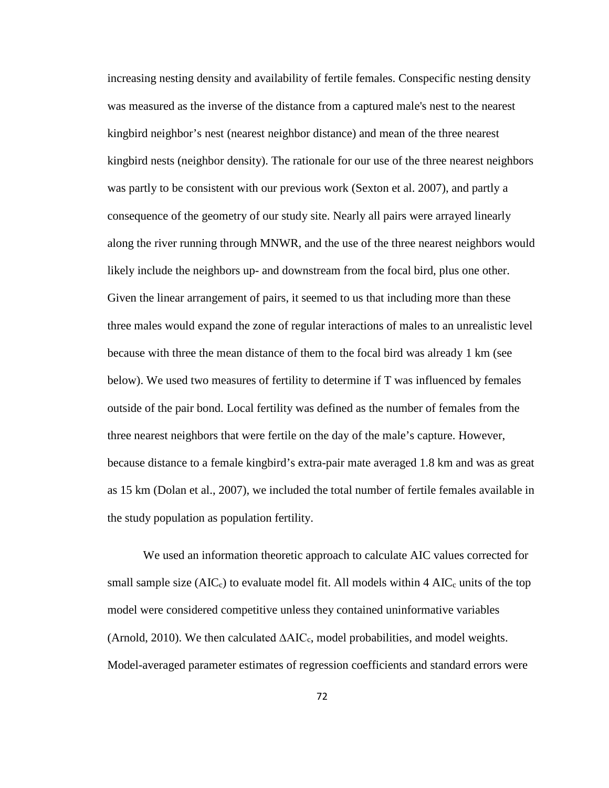increasing nesting density and availability of fertile females. Conspecific nesting density was measured as the inverse of the distance from a captured male's nest to the nearest kingbird neighbor's nest (nearest neighbor distance) and mean of the three nearest kingbird nests (neighbor density). The rationale for our use of the three nearest neighbors was partly to be consistent with our previous work (Sexton et al. 2007), and partly a consequence of the geometry of our study site. Nearly all pairs were arrayed linearly along the river running through MNWR, and the use of the three nearest neighbors would likely include the neighbors up- and downstream from the focal bird, plus one other. Given the linear arrangement of pairs, it seemed to us that including more than these three males would expand the zone of regular interactions of males to an unrealistic level because with three the mean distance of them to the focal bird was already 1 km (see below). We used two measures of fertility to determine if T was influenced by females outside of the pair bond. Local fertility was defined as the number of females from the three nearest neighbors that were fertile on the day of the male's capture. However, because distance to a female kingbird's extra-pair mate averaged 1.8 km and was as great as 15 km (Dolan et al., 2007), we included the total number of fertile females available in the study population as population fertility.

We used an information theoretic approach to calculate AIC values corrected for small sample size  $(AIC_c)$  to evaluate model fit. All models within 4  $AIC_c$  units of the top model were considered competitive unless they contained uninformative variables (Arnold, 2010). We then calculated ∆AICc, model probabilities, and model weights. Model-averaged parameter estimates of regression coefficients and standard errors were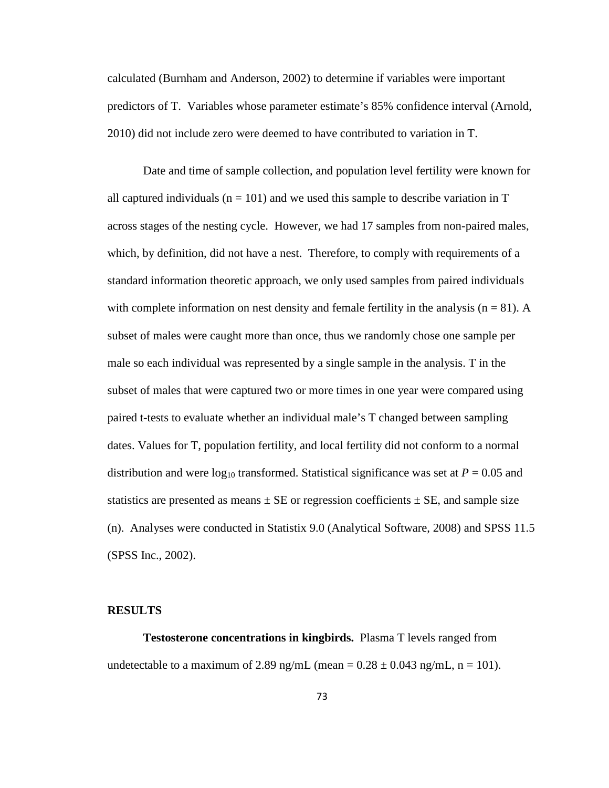calculated (Burnham and Anderson, 2002) to determine if variables were important predictors of T. Variables whose parameter estimate's 85% confidence interval (Arnold, 2010) did not include zero were deemed to have contributed to variation in T.

Date and time of sample collection, and population level fertility were known for all captured individuals ( $n = 101$ ) and we used this sample to describe variation in T across stages of the nesting cycle. However, we had 17 samples from non-paired males, which, by definition, did not have a nest. Therefore, to comply with requirements of a standard information theoretic approach, we only used samples from paired individuals with complete information on nest density and female fertility in the analysis  $(n = 81)$ . A subset of males were caught more than once, thus we randomly chose one sample per male so each individual was represented by a single sample in the analysis. T in the subset of males that were captured two or more times in one year were compared using paired t-tests to evaluate whether an individual male's T changed between sampling dates. Values for T, population fertility, and local fertility did not conform to a normal distribution and were  $log_{10}$  transformed. Statistical significance was set at  $P = 0.05$  and statistics are presented as means  $\pm$  SE or regression coefficients  $\pm$  SE, and sample size (n). Analyses were conducted in Statistix 9.0 (Analytical Software, 2008) and SPSS 11.5 (SPSS Inc., 2002).

#### **RESULTS**

**Testosterone concentrations in kingbirds.** Plasma T levels ranged from undetectable to a maximum of 2.89 ng/mL (mean =  $0.28 \pm 0.043$  ng/mL, n = 101).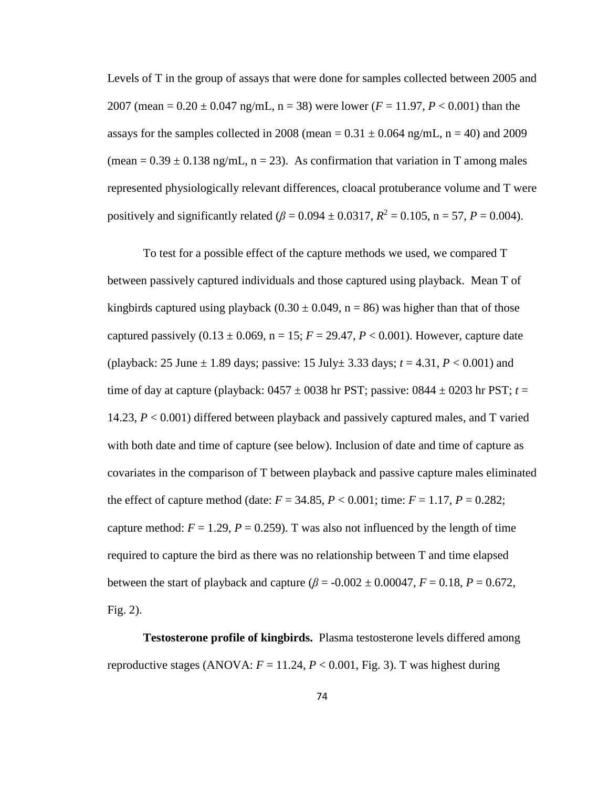Levels of T in the group of assays that were done for samples collected between 2005 and 2007 (mean =  $0.20 \pm 0.047$  ng/mL, n = 38) were lower ( $F = 11.97$ ,  $P < 0.001$ ) than the assays for the samples collected in 2008 (mean =  $0.31 \pm 0.064$  ng/mL, n = 40) and 2009 (mean =  $0.39 \pm 0.138$  ng/mL, n = 23). As confirmation that variation in T among males represented physiologically relevant differences, cloacal protuberance volume and T were positively and significantly related ( $\beta = 0.094 \pm 0.0317$ ,  $R^2 = 0.105$ ,  $n = 57$ ,  $P = 0.004$ ).

To test for a possible effect of the capture methods we used, we compared T between passively captured individuals and those captured using playback. Mean T of kingbirds captured using playback  $(0.30 \pm 0.049, n = 86)$  was higher than that of those captured passively  $(0.13 \pm 0.069, n = 15; F = 29.47, P < 0.001)$ . However, capture date (playback: 25 June  $\pm$  1.89 days; passive: 15 July $\pm$  3.33 days;  $t = 4.31, P < 0.001$ ) and time of day at capture (playback:  $0457 \pm 0038$  hr PST; passive:  $0844 \pm 0203$  hr PST;  $t =$ 14.23, *P* < 0.001) differed between playback and passively captured males, and T varied with both date and time of capture (see below). Inclusion of date and time of capture as covariates in the comparison of T between playback and passive capture males eliminated the effect of capture method (date:  $F = 34.85$ ,  $P < 0.001$ ; time:  $F = 1.17$ ,  $P = 0.282$ ; capture method:  $F = 1.29$ ,  $P = 0.259$ ). T was also not influenced by the length of time required to capture the bird as there was no relationship between T and time elapsed between the start of playback and capture  $(\beta = -0.002 \pm 0.00047, F = 0.18, P = 0.672,$ Fig. 2).

**Testosterone profile of kingbirds.** Plasma testosterone levels differed among reproductive stages (ANOVA:  $F = 11.24$ ,  $P < 0.001$ , Fig. 3). T was highest during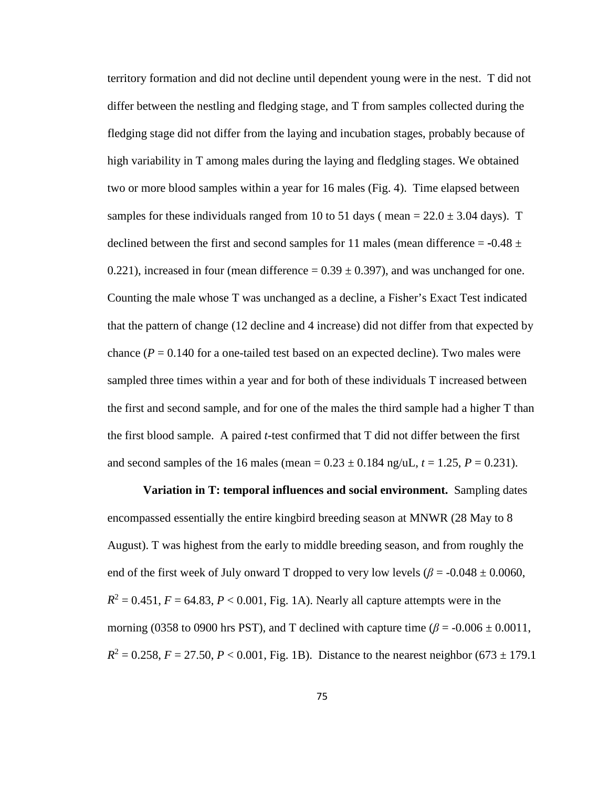territory formation and did not decline until dependent young were in the nest. T did not differ between the nestling and fledging stage, and T from samples collected during the fledging stage did not differ from the laying and incubation stages, probably because of high variability in T among males during the laying and fledgling stages. We obtained two or more blood samples within a year for 16 males (Fig. 4). Time elapsed between samples for these individuals ranged from 10 to 51 days (mean =  $22.0 \pm 3.04$  days). T declined between the first and second samples for 11 males (mean difference  $=$  -0.48  $\pm$ 0.221), increased in four (mean difference =  $0.39 \pm 0.397$ ), and was unchanged for one. Counting the male whose T was unchanged as a decline, a Fisher's Exact Test indicated that the pattern of change (12 decline and 4 increase) did not differ from that expected by chance ( $P = 0.140$  for a one-tailed test based on an expected decline). Two males were sampled three times within a year and for both of these individuals T increased between the first and second sample, and for one of the males the third sample had a higher T than the first blood sample. A paired *t*-test confirmed that T did not differ between the first and second samples of the 16 males (mean  $= 0.23 \pm 0.184$  ng/uL,  $t = 1.25$ ,  $P = 0.231$ ).

**Variation in T: temporal influences and social environment.** Sampling dates encompassed essentially the entire kingbird breeding season at MNWR (28 May to 8 August). T was highest from the early to middle breeding season, and from roughly the end of the first week of July onward T dropped to very low levels ( $\beta$  = -0.048  $\pm$  0.0060,  $R^2 = 0.451$ ,  $F = 64.83$ ,  $P < 0.001$ , Fig. 1A). Nearly all capture attempts were in the morning (0358 to 0900 hrs PST), and T declined with capture time ( $\beta$  = -0.006  $\pm$  0.0011,  $R^2 = 0.258$ ,  $F = 27.50$ ,  $P < 0.001$ , Fig. 1B). Distance to the nearest neighbor (673  $\pm$  179.1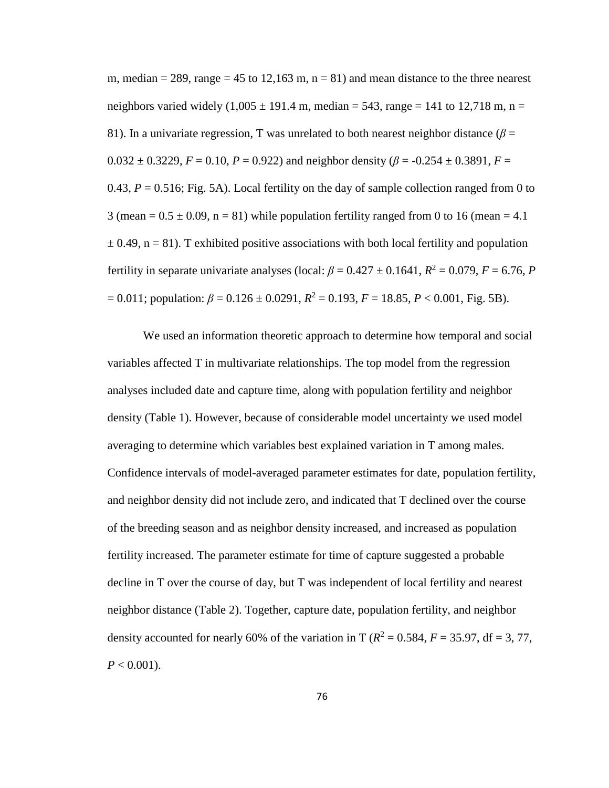m, median  $= 289$ , range  $= 45$  to 12,163 m, n  $= 81$ ) and mean distance to the three nearest neighbors varied widely  $(1,005 \pm 191.4 \text{ m}, \text{median} = 543, \text{range} = 141 \text{ to } 12,718 \text{ m}, \text{n} =$ 81). In a univariate regression, T was unrelated to both nearest neighbor distance  $(\beta =$  $0.032 \pm 0.3229$ ,  $F = 0.10$ ,  $P = 0.922$ ) and neighbor density ( $\beta = -0.254 \pm 0.3891$ ,  $F =$ 0.43,  $P = 0.516$ ; Fig. 5A). Local fertility on the day of sample collection ranged from 0 to 3 (mean =  $0.5 \pm 0.09$ , n = 81) while population fertility ranged from 0 to 16 (mean = 4.1)  $\pm$  0.49, n = 81). T exhibited positive associations with both local fertility and population fertility in separate univariate analyses (local:  $\beta = 0.427 \pm 0.1641$ ,  $R^2 = 0.079$ ,  $F = 6.76$ , *P*  $= 0.011$ ; population:  $\beta = 0.126 \pm 0.0291$ ,  $R^2 = 0.193$ ,  $F = 18.85$ ,  $P < 0.001$ , Fig. 5B).

We used an information theoretic approach to determine how temporal and social variables affected T in multivariate relationships. The top model from the regression analyses included date and capture time, along with population fertility and neighbor density (Table 1). However, because of considerable model uncertainty we used model averaging to determine which variables best explained variation in T among males. Confidence intervals of model-averaged parameter estimates for date, population fertility, and neighbor density did not include zero, and indicated that T declined over the course of the breeding season and as neighbor density increased, and increased as population fertility increased. The parameter estimate for time of capture suggested a probable decline in T over the course of day, but T was independent of local fertility and nearest neighbor distance (Table 2). Together, capture date, population fertility, and neighbor density accounted for nearly 60% of the variation in T ( $R^2 = 0.584$ ,  $F = 35.97$ , df = 3, 77,  $P < 0.001$ ).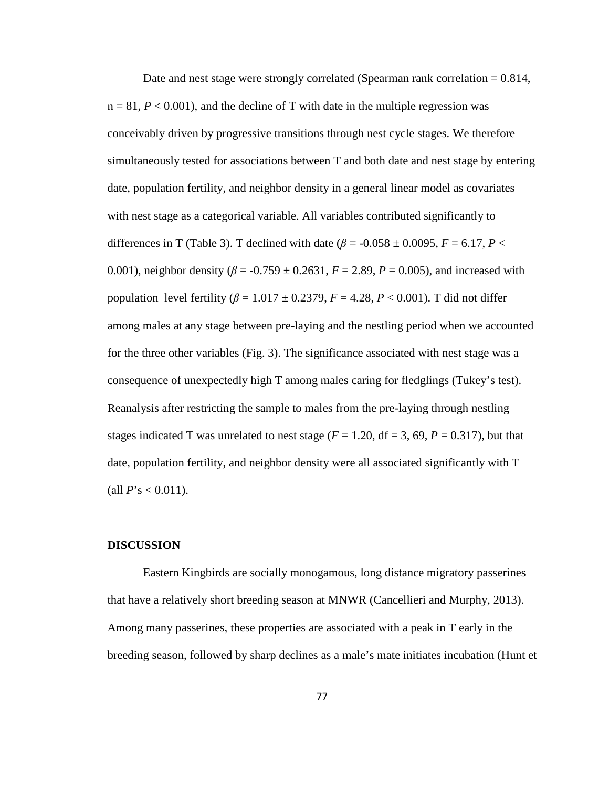Date and nest stage were strongly correlated (Spearman rank correlation  $= 0.814$ ,  $n = 81, P < 0.001$ , and the decline of T with date in the multiple regression was conceivably driven by progressive transitions through nest cycle stages. We therefore simultaneously tested for associations between T and both date and nest stage by entering date, population fertility, and neighbor density in a general linear model as covariates with nest stage as a categorical variable. All variables contributed significantly to differences in T (Table 3). T declined with date ( $\beta$  = -0.058  $\pm$  0.0095, *F* = 6.17, *P* < 0.001), neighbor density ( $\beta$  = -0.759  $\pm$  0.2631,  $F = 2.89$ ,  $P = 0.005$ ), and increased with population level fertility  $(\beta = 1.017 \pm 0.2379, F = 4.28, P < 0.001)$ . T did not differ among males at any stage between pre-laying and the nestling period when we accounted for the three other variables (Fig. 3). The significance associated with nest stage was a consequence of unexpectedly high T among males caring for fledglings (Tukey's test). Reanalysis after restricting the sample to males from the pre-laying through nestling stages indicated T was unrelated to nest stage  $(F = 1.20, df = 3, 69, P = 0.317)$ , but that date, population fertility, and neighbor density were all associated significantly with T (all  $P$ 's < 0.011).

#### **DISCUSSION**

Eastern Kingbirds are socially monogamous, long distance migratory passerines that have a relatively short breeding season at MNWR (Cancellieri and Murphy, 2013). Among many passerines, these properties are associated with a peak in T early in the breeding season, followed by sharp declines as a male's mate initiates incubation (Hunt et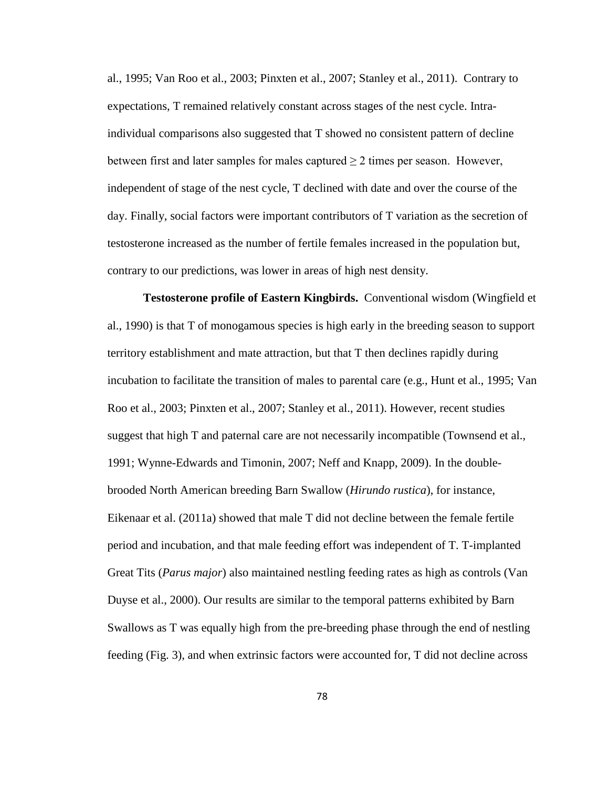al., 1995; Van Roo et al., 2003; Pinxten et al., 2007; Stanley et al., 2011). Contrary to expectations, T remained relatively constant across stages of the nest cycle. Intraindividual comparisons also suggested that T showed no consistent pattern of decline between first and later samples for males captured  $\geq 2$  times per season. However, independent of stage of the nest cycle, T declined with date and over the course of the day. Finally, social factors were important contributors of T variation as the secretion of testosterone increased as the number of fertile females increased in the population but, contrary to our predictions, was lower in areas of high nest density.

**Testosterone profile of Eastern Kingbirds.** Conventional wisdom (Wingfield et al., 1990) is that T of monogamous species is high early in the breeding season to support territory establishment and mate attraction, but that T then declines rapidly during incubation to facilitate the transition of males to parental care (e.g., Hunt et al., 1995; Van Roo et al., 2003; Pinxten et al., 2007; Stanley et al., 2011). However, recent studies suggest that high T and paternal care are not necessarily incompatible (Townsend et al., 1991; Wynne-Edwards and Timonin, 2007; Neff and Knapp, 2009). In the doublebrooded North American breeding Barn Swallow (*Hirundo rustica*), for instance, Eikenaar et al. (2011a) showed that male T did not decline between the female fertile period and incubation, and that male feeding effort was independent of T. T-implanted Great Tits (*Parus major*) also maintained nestling feeding rates as high as controls (Van Duyse et al., 2000). Our results are similar to the temporal patterns exhibited by Barn Swallows as T was equally high from the pre-breeding phase through the end of nestling feeding (Fig. 3), and when extrinsic factors were accounted for, T did not decline across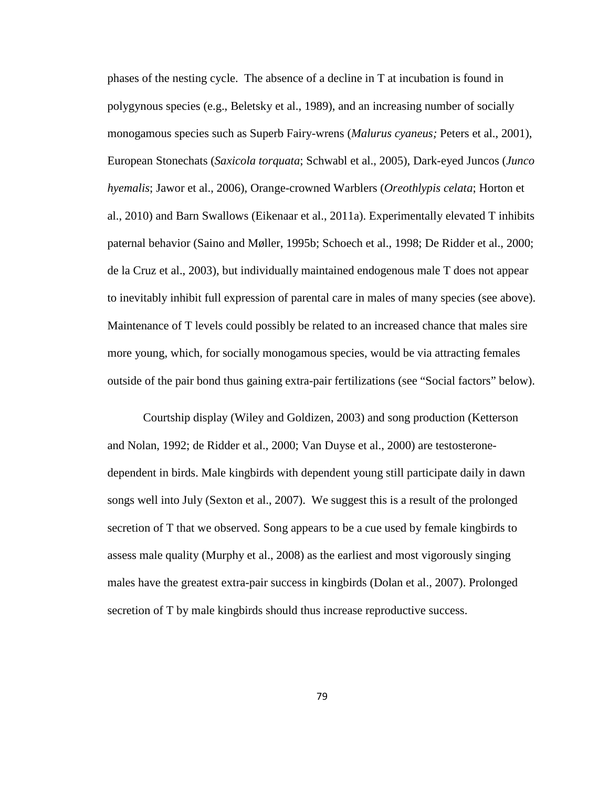phases of the nesting cycle. The absence of a decline in T at incubation is found in polygynous species (e.g., Beletsky et al., 1989), and an increasing number of socially monogamous species such as Superb Fairy-wrens (*Malurus cyaneus;* Peters et al., 2001), European Stonechats (*Saxicola torquata*; Schwabl et al., 2005), Dark-eyed Juncos (*Junco hyemalis*; Jawor et al., 2006), Orange-crowned Warblers (*Oreothlypis celata*; Horton et al., 2010) and Barn Swallows (Eikenaar et al., 2011a). Experimentally elevated T inhibits paternal behavior (Saino and Møller, 1995b; Schoech et al., 1998; De Ridder et al., 2000; de la Cruz et al., 2003), but individually maintained endogenous male T does not appear to inevitably inhibit full expression of parental care in males of many species (see above). Maintenance of T levels could possibly be related to an increased chance that males sire more young, which, for socially monogamous species, would be via attracting females outside of the pair bond thus gaining extra-pair fertilizations (see "Social factors" below).

Courtship display (Wiley and Goldizen, 2003) and song production (Ketterson and Nolan, 1992; de Ridder et al., 2000; Van Duyse et al., 2000) are testosteronedependent in birds. Male kingbirds with dependent young still participate daily in dawn songs well into July (Sexton et al., 2007). We suggest this is a result of the prolonged secretion of T that we observed. Song appears to be a cue used by female kingbirds to assess male quality (Murphy et al., 2008) as the earliest and most vigorously singing males have the greatest extra-pair success in kingbirds (Dolan et al., 2007). Prolonged secretion of T by male kingbirds should thus increase reproductive success.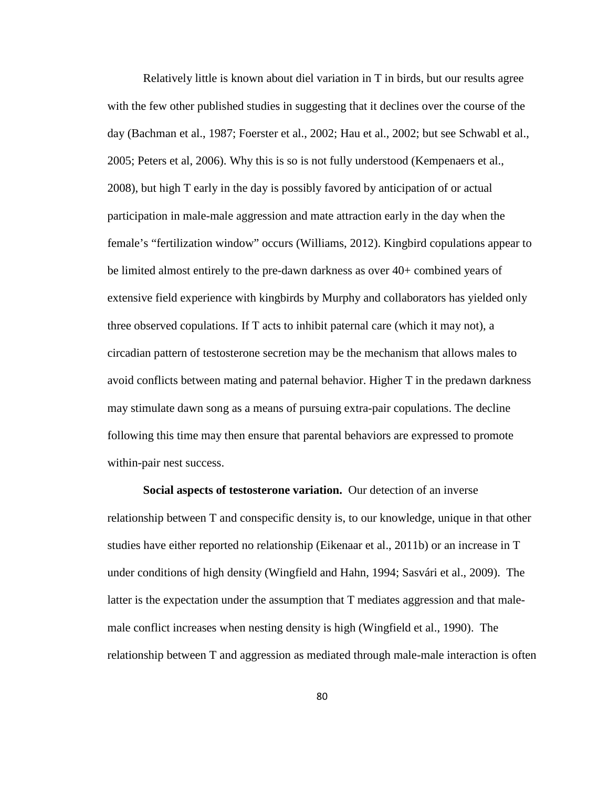Relatively little is known about diel variation in T in birds, but our results agree with the few other published studies in suggesting that it declines over the course of the day (Bachman et al., 1987; Foerster et al., 2002; Hau et al., 2002; but see Schwabl et al., 2005; Peters et al, 2006). Why this is so is not fully understood (Kempenaers et al., 2008), but high T early in the day is possibly favored by anticipation of or actual participation in male-male aggression and mate attraction early in the day when the female's "fertilization window" occurs (Williams, 2012). Kingbird copulations appear to be limited almost entirely to the pre-dawn darkness as over 40+ combined years of extensive field experience with kingbirds by Murphy and collaborators has yielded only three observed copulations. If T acts to inhibit paternal care (which it may not), a circadian pattern of testosterone secretion may be the mechanism that allows males to avoid conflicts between mating and paternal behavior. Higher T in the predawn darkness may stimulate dawn song as a means of pursuing extra-pair copulations. The decline following this time may then ensure that parental behaviors are expressed to promote within-pair nest success.

**Social aspects of testosterone variation.** Our detection of an inverse relationship between T and conspecific density is, to our knowledge, unique in that other studies have either reported no relationship (Eikenaar et al., 2011b) or an increase in T under conditions of high density (Wingfield and Hahn, 1994; Sasvári et al., 2009). The latter is the expectation under the assumption that T mediates aggression and that malemale conflict increases when nesting density is high (Wingfield et al., 1990). The relationship between T and aggression as mediated through male-male interaction is often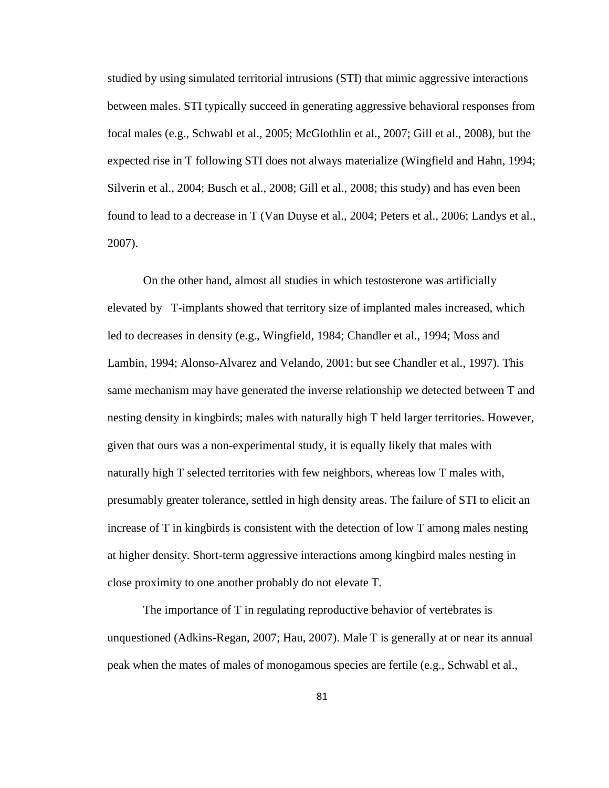studied by using simulated territorial intrusions (STI) that mimic aggressive interactions between males. STI typically succeed in generating aggressive behavioral responses from focal males (e.g., Schwabl et al., 2005; McGlothlin et al., 2007; Gill et al., 2008), but the expected rise in T following STI does not always materialize (Wingfield and Hahn, 1994; Silverin et al., 2004; Busch et al., 2008; Gill et al., 2008; this study) and has even been found to lead to a decrease in T (Van Duyse et al., 2004; Peters et al., 2006; Landys et al., 2007).

On the other hand, almost all studies in which testosterone was artificially elevated by T-implants showed that territory size of implanted males increased, which led to decreases in density (e.g., Wingfield, 1984; Chandler et al., 1994; Moss and Lambin, 1994; Alonso-Alvarez and Velando, 2001; but see Chandler et al., 1997). This same mechanism may have generated the inverse relationship we detected between T and nesting density in kingbirds; males with naturally high T held larger territories. However, given that ours was a non-experimental study, it is equally likely that males with naturally high T selected territories with few neighbors, whereas low T males with, presumably greater tolerance, settled in high density areas. The failure of STI to elicit an increase of T in kingbirds is consistent with the detection of low T among males nesting at higher density. Short-term aggressive interactions among kingbird males nesting in close proximity to one another probably do not elevate T.

The importance of T in regulating reproductive behavior of vertebrates is unquestioned (Adkins-Regan, 2007; Hau, 2007). Male T is generally at or near its annual peak when the mates of males of monogamous species are fertile (e.g., Schwabl et al.,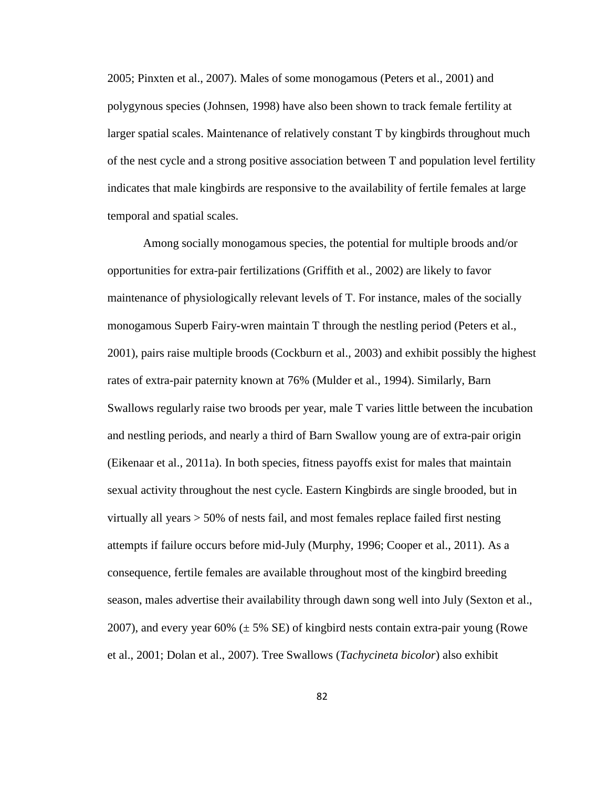2005; Pinxten et al., 2007). Males of some monogamous (Peters et al., 2001) and polygynous species (Johnsen, 1998) have also been shown to track female fertility at larger spatial scales. Maintenance of relatively constant T by kingbirds throughout much of the nest cycle and a strong positive association between T and population level fertility indicates that male kingbirds are responsive to the availability of fertile females at large temporal and spatial scales.

Among socially monogamous species, the potential for multiple broods and/or opportunities for extra-pair fertilizations (Griffith et al., 2002) are likely to favor maintenance of physiologically relevant levels of T. For instance, males of the socially monogamous Superb Fairy-wren maintain T through the nestling period (Peters et al., 2001), pairs raise multiple broods (Cockburn et al., 2003) and exhibit possibly the highest rates of extra-pair paternity known at 76% (Mulder et al., 1994). Similarly, Barn Swallows regularly raise two broods per year, male T varies little between the incubation and nestling periods, and nearly a third of Barn Swallow young are of extra-pair origin (Eikenaar et al., 2011a). In both species, fitness payoffs exist for males that maintain sexual activity throughout the nest cycle. Eastern Kingbirds are single brooded, but in virtually all years > 50% of nests fail, and most females replace failed first nesting attempts if failure occurs before mid-July (Murphy, 1996; Cooper et al., 2011). As a consequence, fertile females are available throughout most of the kingbird breeding season, males advertise their availability through dawn song well into July (Sexton et al., 2007), and every year 60%  $(\pm 5\% \text{ SE})$  of kingbird nests contain extra-pair young (Rowe et al., 2001; Dolan et al., 2007). Tree Swallows (*Tachycineta bicolor*) also exhibit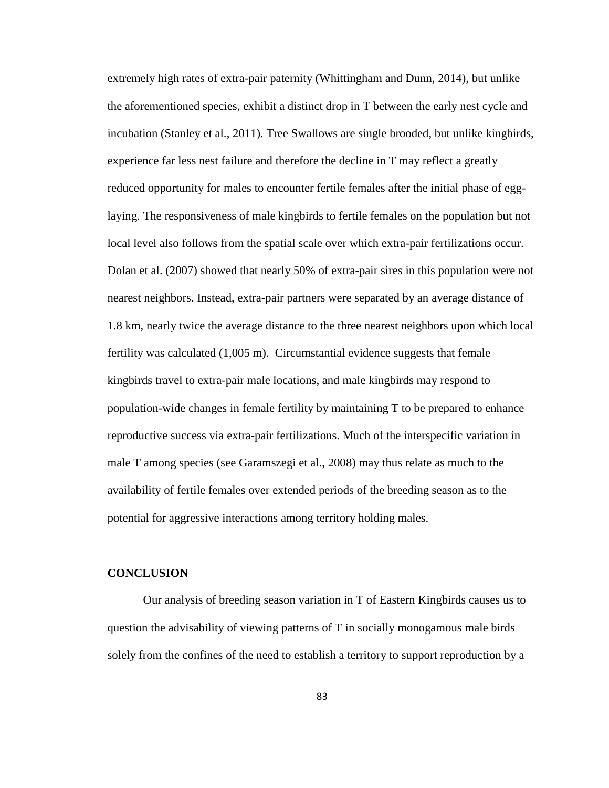extremely high rates of extra-pair paternity (Whittingham and Dunn, 2014), but unlike the aforementioned species, exhibit a distinct drop in T between the early nest cycle and incubation (Stanley et al., 2011). Tree Swallows are single brooded, but unlike kingbirds, experience far less nest failure and therefore the decline in T may reflect a greatly reduced opportunity for males to encounter fertile females after the initial phase of egglaying. The responsiveness of male kingbirds to fertile females on the population but not local level also follows from the spatial scale over which extra-pair fertilizations occur. Dolan et al. (2007) showed that nearly 50% of extra-pair sires in this population were not nearest neighbors. Instead, extra-pair partners were separated by an average distance of 1.8 km, nearly twice the average distance to the three nearest neighbors upon which local fertility was calculated (1,005 m). Circumstantial evidence suggests that female kingbirds travel to extra-pair male locations, and male kingbirds may respond to population-wide changes in female fertility by maintaining T to be prepared to enhance reproductive success via extra-pair fertilizations. Much of the interspecific variation in male T among species (see Garamszegi et al., 2008) may thus relate as much to the availability of fertile females over extended periods of the breeding season as to the potential for aggressive interactions among territory holding males.

#### **CONCLUSION**

Our analysis of breeding season variation in T of Eastern Kingbirds causes us to question the advisability of viewing patterns of T in socially monogamous male birds solely from the confines of the need to establish a territory to support reproduction by a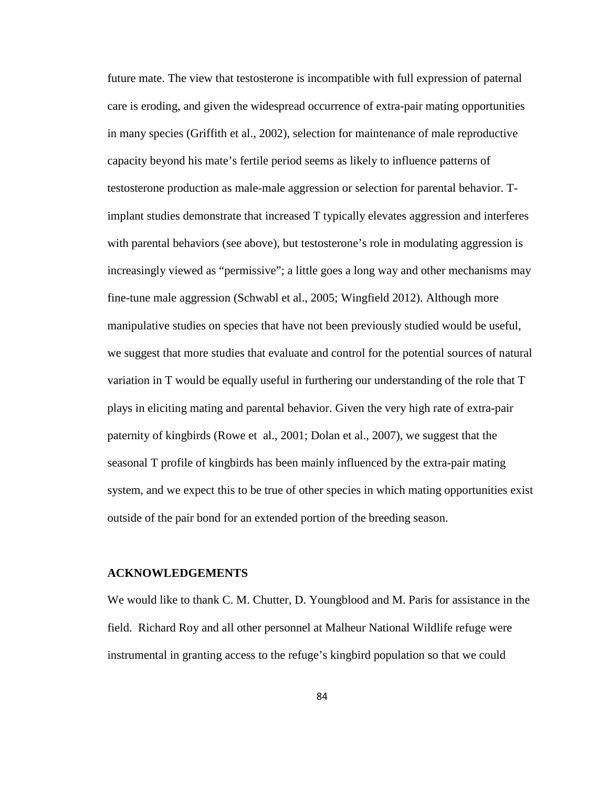future mate. The view that testosterone is incompatible with full expression of paternal care is eroding, and given the widespread occurrence of extra-pair mating opportunities in many species (Griffith et al., 2002), selection for maintenance of male reproductive capacity beyond his mate's fertile period seems as likely to influence patterns of testosterone production as male-male aggression or selection for parental behavior. Timplant studies demonstrate that increased T typically elevates aggression and interferes with parental behaviors (see above), but testosterone's role in modulating aggression is increasingly viewed as "permissive"; a little goes a long way and other mechanisms may fine-tune male aggression (Schwabl et al., 2005; Wingfield 2012). Although more manipulative studies on species that have not been previously studied would be useful, we suggest that more studies that evaluate and control for the potential sources of natural variation in T would be equally useful in furthering our understanding of the role that T plays in eliciting mating and parental behavior. Given the very high rate of extra-pair paternity of kingbirds (Rowe et al., 2001; Dolan et al., 2007), we suggest that the seasonal T profile of kingbirds has been mainly influenced by the extra-pair mating system, and we expect this to be true of other species in which mating opportunities exist outside of the pair bond for an extended portion of the breeding season.

#### **ACKNOWLEDGEMENTS**

We would like to thank C. M. Chutter, D. Youngblood and M. Paris for assistance in the field. Richard Roy and all other personnel at Malheur National Wildlife refuge were instrumental in granting access to the refuge's kingbird population so that we could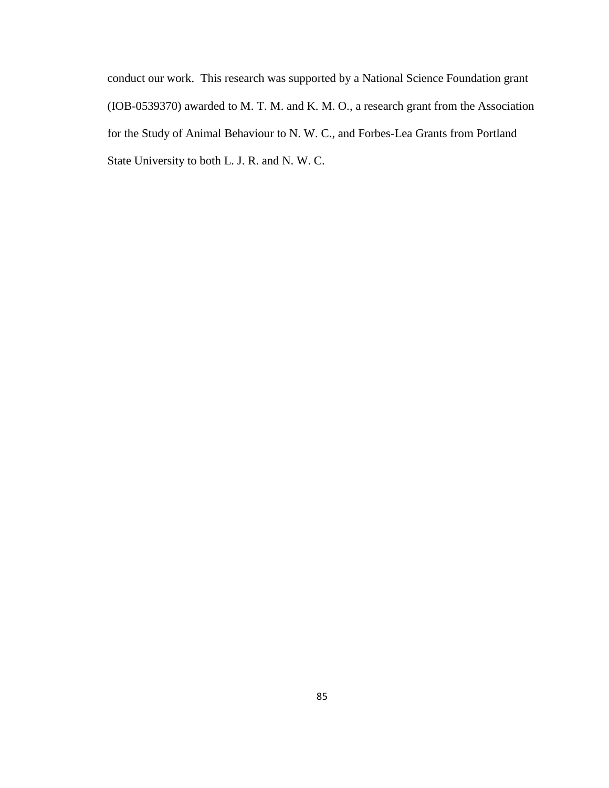conduct our work. This research was supported by a National Science Foundation grant (IOB-0539370) awarded to M. T. M. and K. M. O., a research grant from the Association for the Study of Animal Behaviour to N. W. C., and Forbes-Lea Grants from Portland State University to both L. J. R. and N. W. C.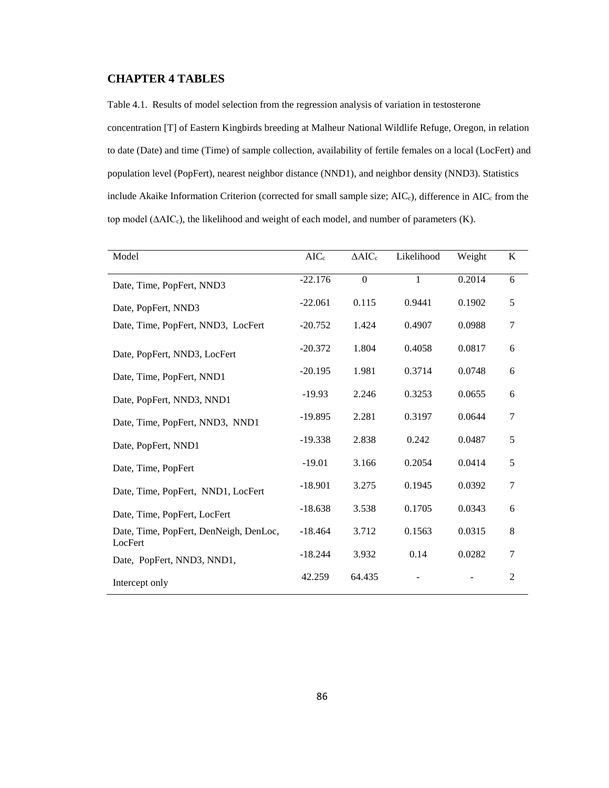#### **CHAPTER 4 TABLES**

Table 4.1. Results of model selection from the regression analysis of variation in testosterone concentration [T] of Eastern Kingbirds breeding at Malheur National Wildlife Refuge, Oregon, in relation to date (Date) and time (Time) of sample collection, availability of fertile females on a local (LocFert) and population level (PopFert), nearest neighbor distance (NND1), and neighbor density (NND3). Statistics include Akaike Information Criterion (corrected for small sample size; AIC<sub>c</sub>), difference in AIC<sub>c</sub> from the top model (ΔAIC<sub>c</sub>), the likelihood and weight of each model, and number of parameters (K).

| Model                                             | $AIC_c$   | $\Delta AIC_c$ | Likelihood   | Weight | K              |
|---------------------------------------------------|-----------|----------------|--------------|--------|----------------|
| Date, Time, PopFert, NND3                         | $-22.176$ | $\overline{0}$ | $\mathbf{1}$ | 0.2014 | 6              |
| Date, PopFert, NND3                               | $-22.061$ | 0.115          | 0.9441       | 0.1902 | 5              |
| Date, Time, PopFert, NND3, LocFert                | $-20.752$ | 1.424          | 0.4907       | 0.0988 | 7              |
| Date, PopFert, NND3, LocFert                      | $-20.372$ | 1.804          | 0.4058       | 0.0817 | 6              |
| Date, Time, PopFert, NND1                         | $-20.195$ | 1.981          | 0.3714       | 0.0748 | 6              |
| Date, PopFert, NND3, NND1                         | $-19.93$  | 2.246          | 0.3253       | 0.0655 | 6              |
| Date, Time, PopFert, NND3, NND1                   | $-19.895$ | 2.281          | 0.3197       | 0.0644 | 7              |
| Date, PopFert, NND1                               | $-19.338$ | 2.838          | 0.242        | 0.0487 | 5              |
| Date, Time, PopFert                               | $-19.01$  | 3.166          | 0.2054       | 0.0414 | 5              |
| Date, Time, PopFert, NND1, LocFert                | $-18.901$ | 3.275          | 0.1945       | 0.0392 | 7              |
| Date, Time, PopFert, LocFert                      | $-18.638$ | 3.538          | 0.1705       | 0.0343 | 6              |
| Date, Time, PopFert, DenNeigh, DenLoc,<br>LocFert | $-18.464$ | 3.712          | 0.1563       | 0.0315 | 8              |
| Date, PopFert, NND3, NND1,                        | $-18.244$ | 3.932          | 0.14         | 0.0282 | 7              |
| Intercept only                                    | 42.259    | 64.435         |              |        | $\overline{2}$ |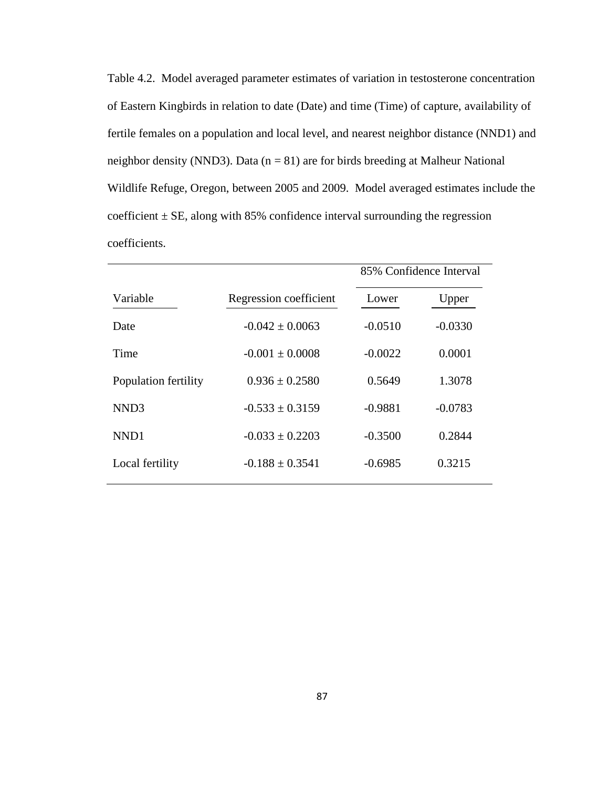Table 4.2. Model averaged parameter estimates of variation in testosterone concentration of Eastern Kingbirds in relation to date (Date) and time (Time) of capture, availability of fertile females on a population and local level, and nearest neighbor distance (NND1) and neighbor density (NND3). Data  $(n = 81)$  are for birds breeding at Malheur National Wildlife Refuge, Oregon, between 2005 and 2009. Model averaged estimates include the coefficient  $\pm$  SE, along with 85% confidence interval surrounding the regression coefficients.

|                      |                        | 85% Confidence Interval |           |
|----------------------|------------------------|-------------------------|-----------|
| Variable             | Regression coefficient | Lower                   | Upper     |
| Date                 | $-0.042 \pm 0.0063$    | $-0.0510$               | $-0.0330$ |
| Time                 | $-0.001 \pm 0.0008$    | $-0.0022$               | 0.0001    |
| Population fertility | $0.936 \pm 0.2580$     | 0.5649                  | 1.3078    |
| NND <sub>3</sub>     | $-0.533 \pm 0.3159$    | $-0.9881$               | $-0.0783$ |
| NND1                 | $-0.033 \pm 0.2203$    | $-0.3500$               | 0.2844    |
| Local fertility      | $-0.188 \pm 0.3541$    | $-0.6985$               | 0.3215    |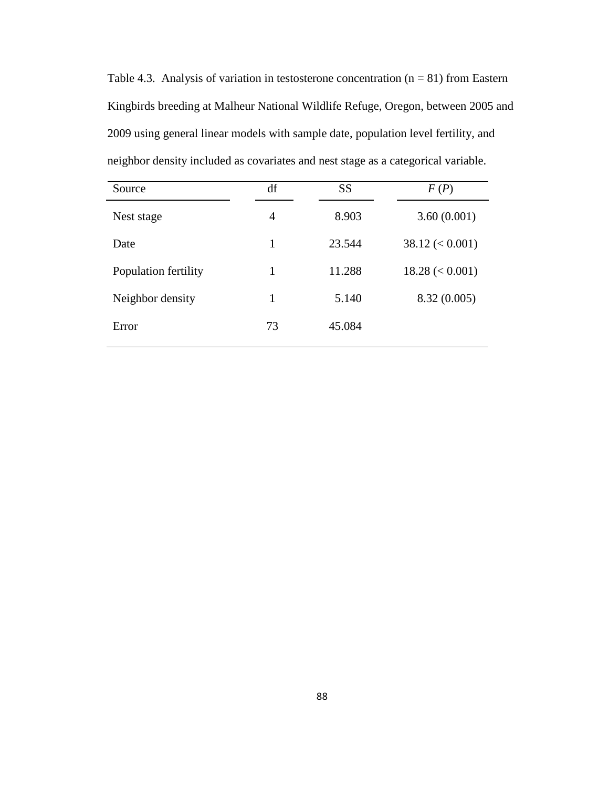Table 4.3. Analysis of variation in testosterone concentration  $(n = 81)$  from Eastern Kingbirds breeding at Malheur National Wildlife Refuge, Oregon, between 2005 and 2009 using general linear models with sample date, population level fertility, and neighbor density included as covariates and nest stage as a categorical variable.

| Source               | df | <b>SS</b> | F(P)              |
|----------------------|----|-----------|-------------------|
| Nest stage           | 4  | 8.903     | 3.60(0.001)       |
| Date                 | 1  | 23.544    | $38.12 \le 0.001$ |
| Population fertility | 1  | 11.288    | $18.28 \le 0.001$ |
| Neighbor density     | 1  | 5.140     | 8.32(0.005)       |
| Error                | 73 | 45.084    |                   |
|                      |    |           |                   |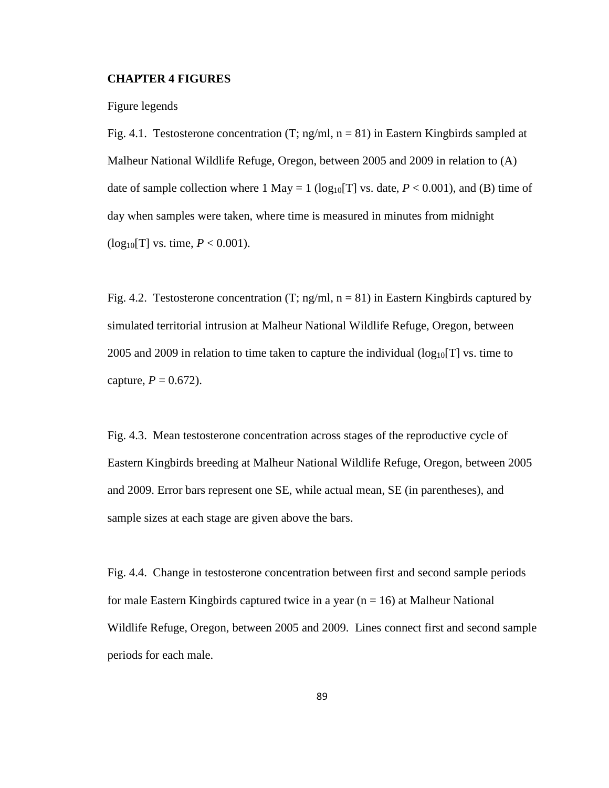#### **CHAPTER 4 FIGURES**

Figure legends

Fig. 4.1. Testosterone concentration  $(T; ng/ml, n = 81)$  in Eastern Kingbirds sampled at Malheur National Wildlife Refuge, Oregon, between 2005 and 2009 in relation to (A) date of sample collection where 1 May = 1 ( $log_{10}[T]$  vs. date,  $P < 0.001$ ), and (B) time of day when samples were taken, where time is measured in minutes from midnight  $(log_{10}[T]$  vs. time,  $P < 0.001$ ).

Fig. 4.2. Testosterone concentration (T; ng/ml,  $n = 81$ ) in Eastern Kingbirds captured by simulated territorial intrusion at Malheur National Wildlife Refuge, Oregon, between 2005 and 2009 in relation to time taken to capture the individual  $(\log_{10}[T] \text{ vs. time to})$ capture,  $P = 0.672$ ).

Fig. 4.3. Mean testosterone concentration across stages of the reproductive cycle of Eastern Kingbirds breeding at Malheur National Wildlife Refuge, Oregon, between 2005 and 2009. Error bars represent one SE, while actual mean, SE (in parentheses), and sample sizes at each stage are given above the bars.

Fig. 4.4. Change in testosterone concentration between first and second sample periods for male Eastern Kingbirds captured twice in a year  $(n = 16)$  at Malheur National Wildlife Refuge, Oregon, between 2005 and 2009. Lines connect first and second sample periods for each male.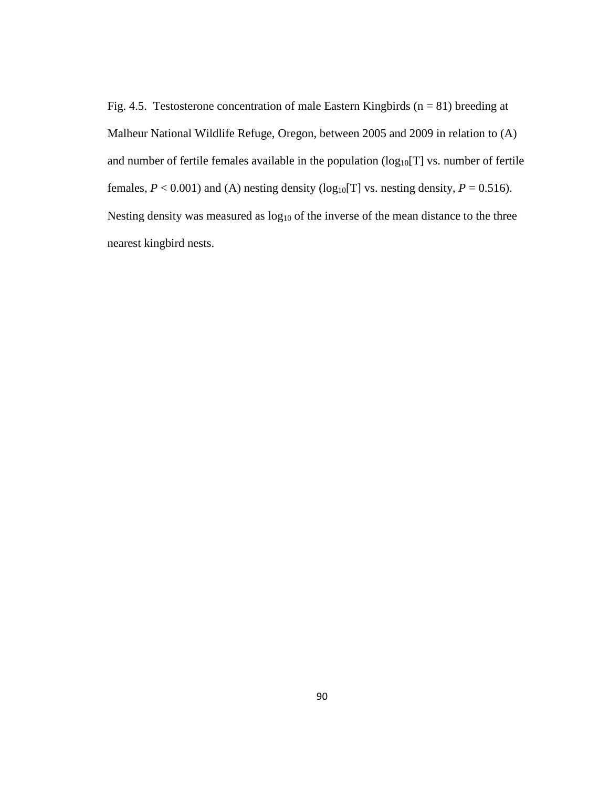Fig. 4.5. Testosterone concentration of male Eastern Kingbirds ( $n = 81$ ) breeding at Malheur National Wildlife Refuge, Oregon, between 2005 and 2009 in relation to (A) and number of fertile females available in the population  $(log_{10}[T]$  vs. number of fertile females,  $P < 0.001$ ) and (A) nesting density ( $log_{10}[T]$  vs. nesting density,  $P = 0.516$ ). Nesting density was measured as log<sub>10</sub> of the inverse of the mean distance to the three nearest kingbird nests.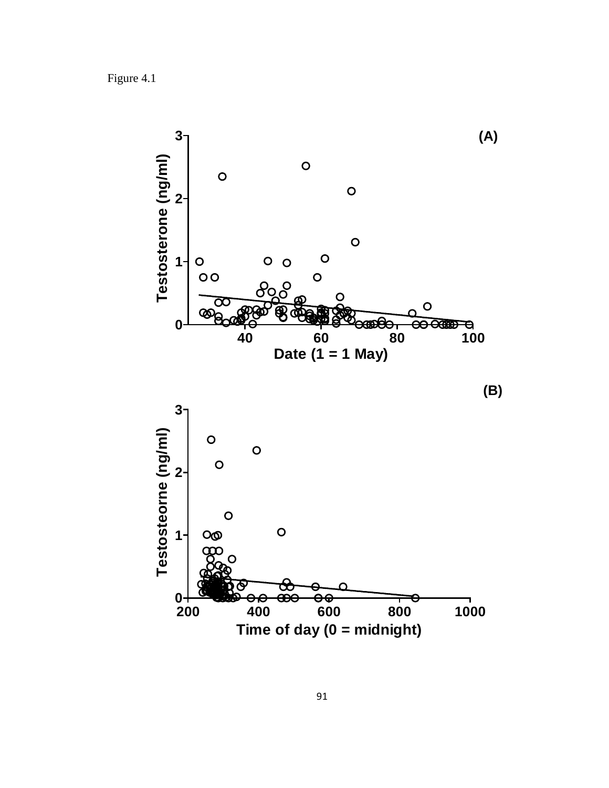Figure 4.1

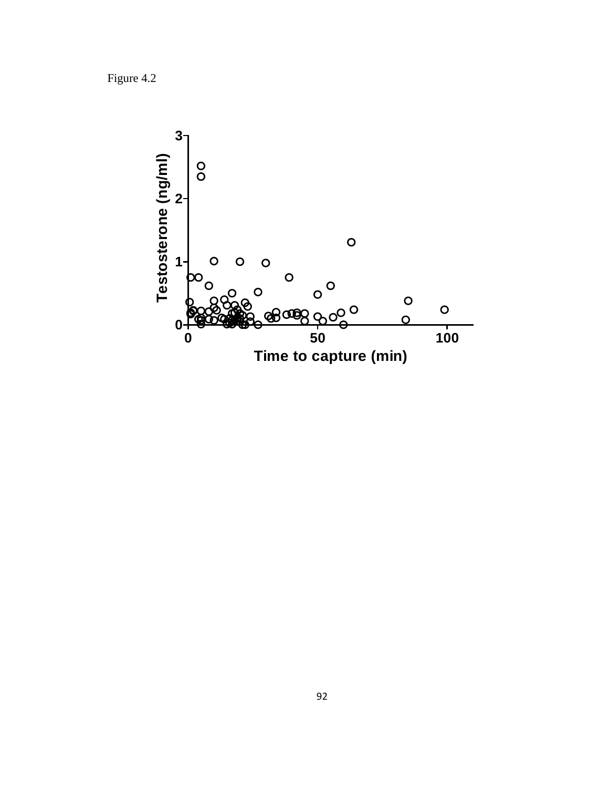Figure 4.2

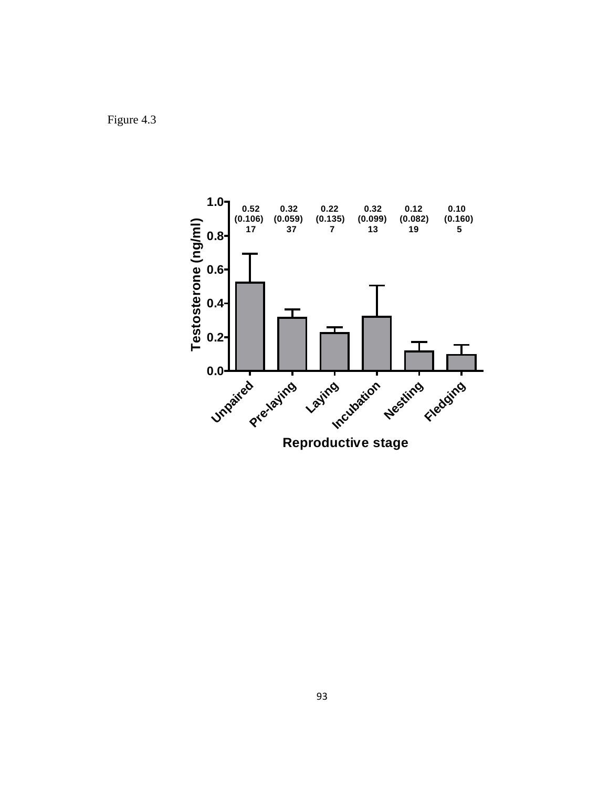Figure 4.3

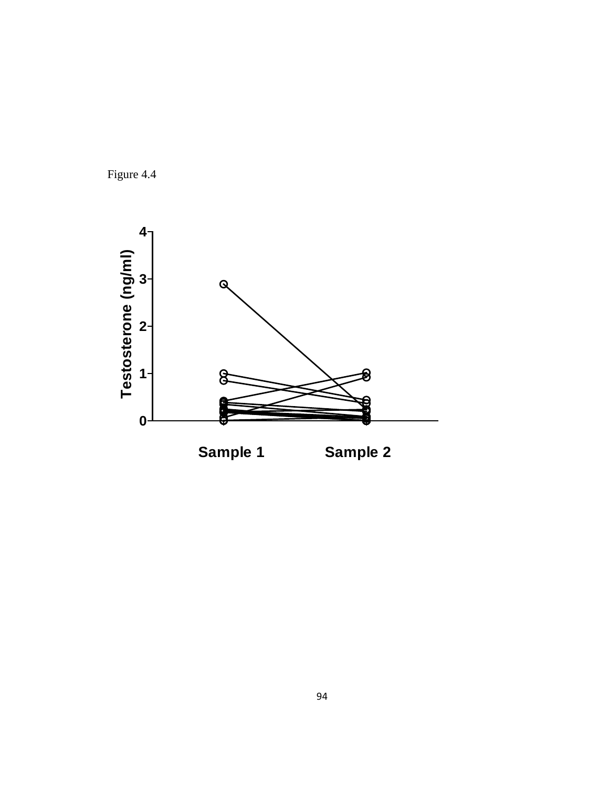

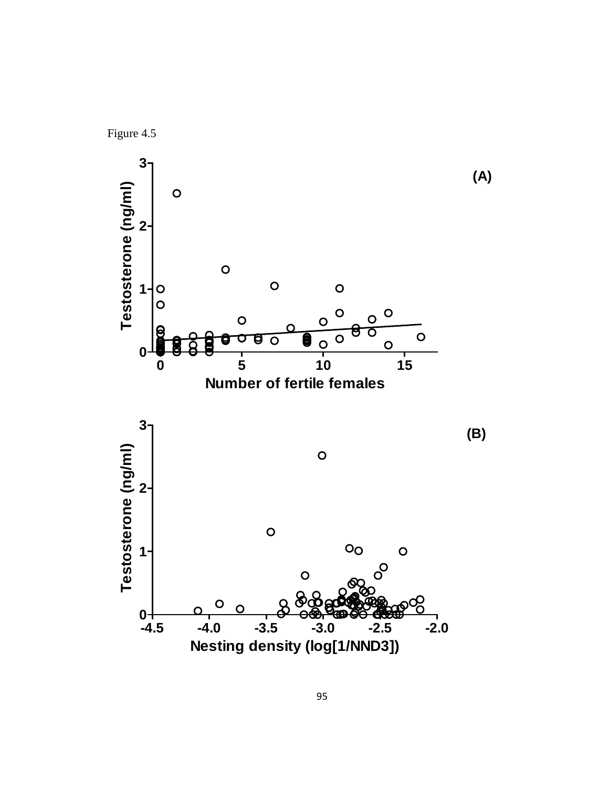

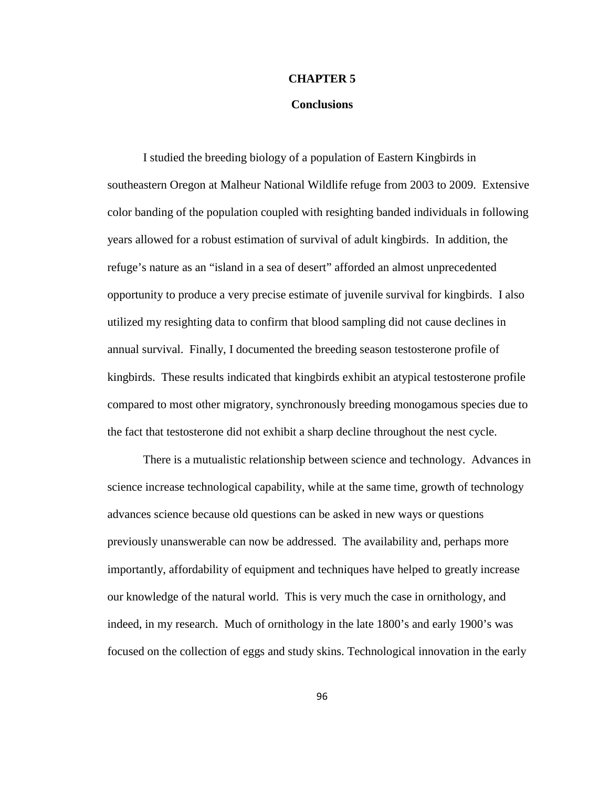## **CHAPTER 5**

## **Conclusions**

I studied the breeding biology of a population of Eastern Kingbirds in southeastern Oregon at Malheur National Wildlife refuge from 2003 to 2009. Extensive color banding of the population coupled with resighting banded individuals in following years allowed for a robust estimation of survival of adult kingbirds. In addition, the refuge's nature as an "island in a sea of desert" afforded an almost unprecedented opportunity to produce a very precise estimate of juvenile survival for kingbirds. I also utilized my resighting data to confirm that blood sampling did not cause declines in annual survival. Finally, I documented the breeding season testosterone profile of kingbirds. These results indicated that kingbirds exhibit an atypical testosterone profile compared to most other migratory, synchronously breeding monogamous species due to the fact that testosterone did not exhibit a sharp decline throughout the nest cycle.

There is a mutualistic relationship between science and technology. Advances in science increase technological capability, while at the same time, growth of technology advances science because old questions can be asked in new ways or questions previously unanswerable can now be addressed. The availability and, perhaps more importantly, affordability of equipment and techniques have helped to greatly increase our knowledge of the natural world. This is very much the case in ornithology, and indeed, in my research. Much of ornithology in the late 1800's and early 1900's was focused on the collection of eggs and study skins. Technological innovation in the early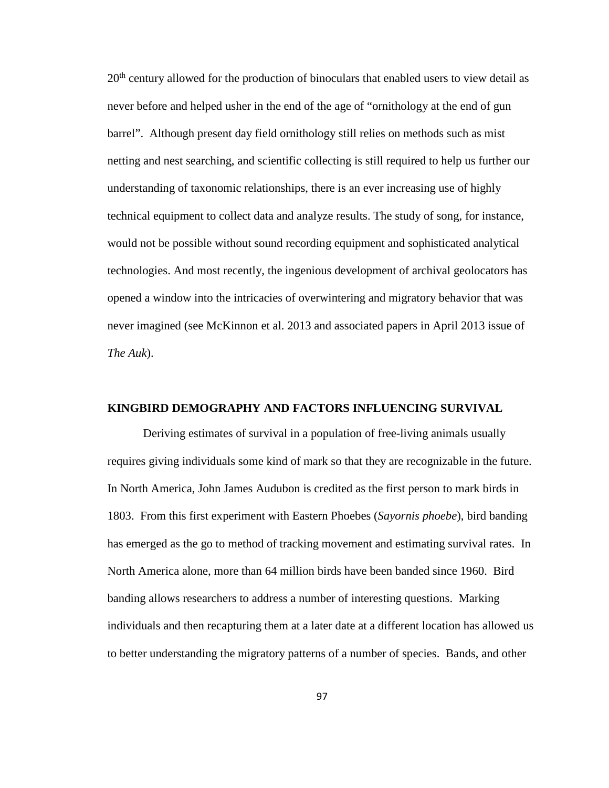$20<sup>th</sup>$  century allowed for the production of binoculars that enabled users to view detail as never before and helped usher in the end of the age of "ornithology at the end of gun barrel". Although present day field ornithology still relies on methods such as mist netting and nest searching, and scientific collecting is still required to help us further our understanding of taxonomic relationships, there is an ever increasing use of highly technical equipment to collect data and analyze results. The study of song, for instance, would not be possible without sound recording equipment and sophisticated analytical technologies. And most recently, the ingenious development of archival geolocators has opened a window into the intricacies of overwintering and migratory behavior that was never imagined (see McKinnon et al. 2013 and associated papers in April 2013 issue of *The Auk*).

# **KINGBIRD DEMOGRAPHY AND FACTORS INFLUENCING SURVIVAL**

Deriving estimates of survival in a population of free-living animals usually requires giving individuals some kind of mark so that they are recognizable in the future. In North America, John James Audubon is credited as the first person to mark birds in 1803. From this first experiment with Eastern Phoebes (*Sayornis phoebe*), bird banding has emerged as the go to method of tracking movement and estimating survival rates. In North America alone, more than 64 million birds have been banded since 1960. Bird banding allows researchers to address a number of interesting questions. Marking individuals and then recapturing them at a later date at a different location has allowed us to better understanding the migratory patterns of a number of species. Bands, and other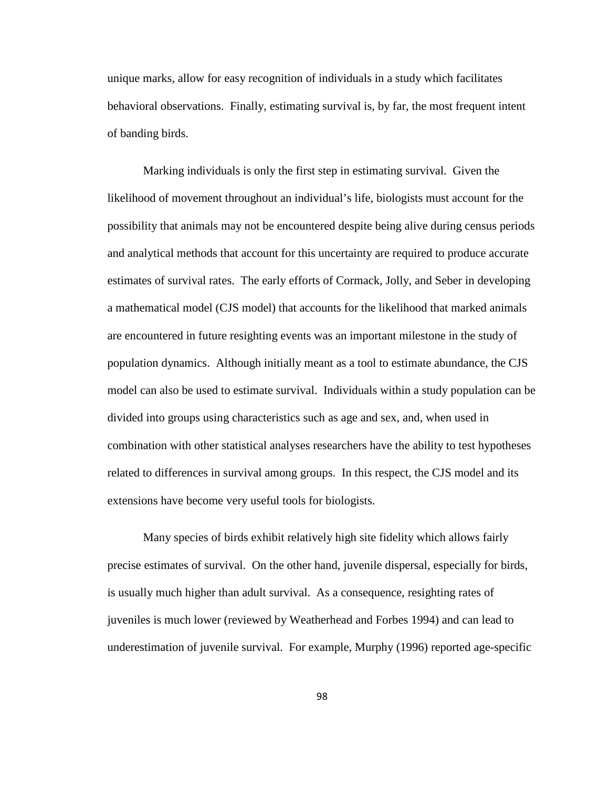unique marks, allow for easy recognition of individuals in a study which facilitates behavioral observations. Finally, estimating survival is, by far, the most frequent intent of banding birds.

Marking individuals is only the first step in estimating survival. Given the likelihood of movement throughout an individual's life, biologists must account for the possibility that animals may not be encountered despite being alive during census periods and analytical methods that account for this uncertainty are required to produce accurate estimates of survival rates. The early efforts of Cormack, Jolly, and Seber in developing a mathematical model (CJS model) that accounts for the likelihood that marked animals are encountered in future resighting events was an important milestone in the study of population dynamics. Although initially meant as a tool to estimate abundance, the CJS model can also be used to estimate survival. Individuals within a study population can be divided into groups using characteristics such as age and sex, and, when used in combination with other statistical analyses researchers have the ability to test hypotheses related to differences in survival among groups. In this respect, the CJS model and its extensions have become very useful tools for biologists.

Many species of birds exhibit relatively high site fidelity which allows fairly precise estimates of survival. On the other hand, juvenile dispersal, especially for birds, is usually much higher than adult survival. As a consequence, resighting rates of juveniles is much lower (reviewed by Weatherhead and Forbes 1994) and can lead to underestimation of juvenile survival. For example, Murphy (1996) reported age-specific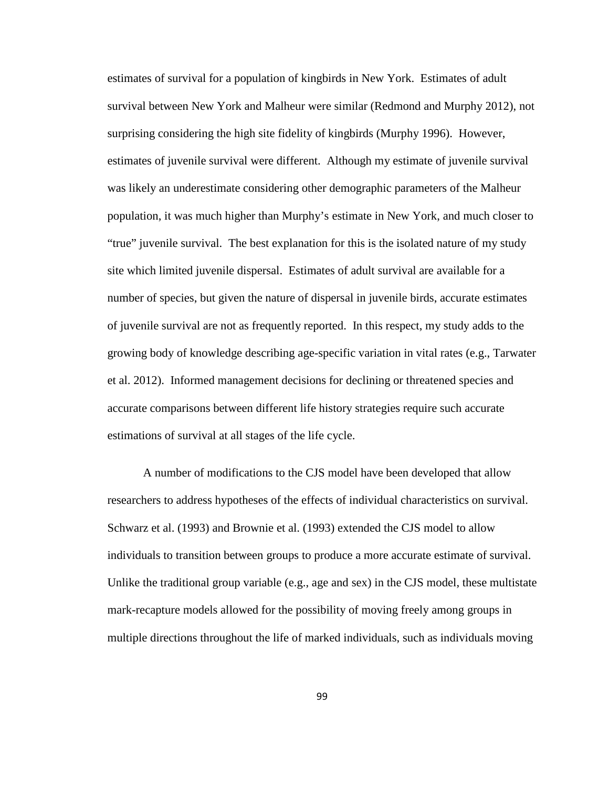estimates of survival for a population of kingbirds in New York. Estimates of adult survival between New York and Malheur were similar (Redmond and Murphy 2012), not surprising considering the high site fidelity of kingbirds (Murphy 1996). However, estimates of juvenile survival were different. Although my estimate of juvenile survival was likely an underestimate considering other demographic parameters of the Malheur population, it was much higher than Murphy's estimate in New York, and much closer to "true" juvenile survival. The best explanation for this is the isolated nature of my study site which limited juvenile dispersal. Estimates of adult survival are available for a number of species, but given the nature of dispersal in juvenile birds, accurate estimates of juvenile survival are not as frequently reported. In this respect, my study adds to the growing body of knowledge describing age-specific variation in vital rates (e.g., Tarwater et al. 2012). Informed management decisions for declining or threatened species and accurate comparisons between different life history strategies require such accurate estimations of survival at all stages of the life cycle.

A number of modifications to the CJS model have been developed that allow researchers to address hypotheses of the effects of individual characteristics on survival. Schwarz et al. (1993) and Brownie et al. (1993) extended the CJS model to allow individuals to transition between groups to produce a more accurate estimate of survival. Unlike the traditional group variable (e.g., age and sex) in the CJS model, these multistate mark-recapture models allowed for the possibility of moving freely among groups in multiple directions throughout the life of marked individuals, such as individuals moving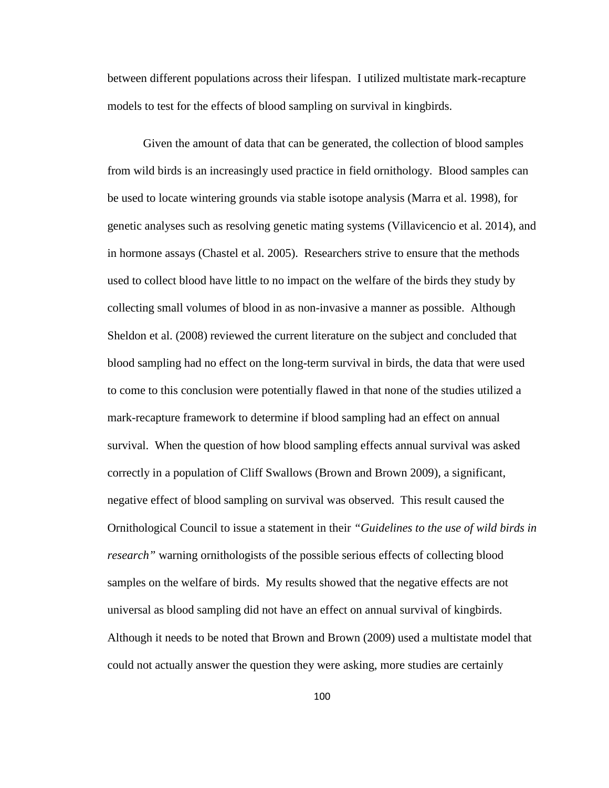between different populations across their lifespan. I utilized multistate mark-recapture models to test for the effects of blood sampling on survival in kingbirds.

Given the amount of data that can be generated, the collection of blood samples from wild birds is an increasingly used practice in field ornithology. Blood samples can be used to locate wintering grounds via stable isotope analysis (Marra et al. 1998), for genetic analyses such as resolving genetic mating systems (Villavicencio et al. 2014), and in hormone assays (Chastel et al. 2005). Researchers strive to ensure that the methods used to collect blood have little to no impact on the welfare of the birds they study by collecting small volumes of blood in as non-invasive a manner as possible. Although Sheldon et al. (2008) reviewed the current literature on the subject and concluded that blood sampling had no effect on the long-term survival in birds, the data that were used to come to this conclusion were potentially flawed in that none of the studies utilized a mark-recapture framework to determine if blood sampling had an effect on annual survival. When the question of how blood sampling effects annual survival was asked correctly in a population of Cliff Swallows (Brown and Brown 2009), a significant, negative effect of blood sampling on survival was observed. This result caused the Ornithological Council to issue a statement in their *"Guidelines to the use of wild birds in research"* warning ornithologists of the possible serious effects of collecting blood samples on the welfare of birds. My results showed that the negative effects are not universal as blood sampling did not have an effect on annual survival of kingbirds. Although it needs to be noted that Brown and Brown (2009) used a multistate model that could not actually answer the question they were asking, more studies are certainly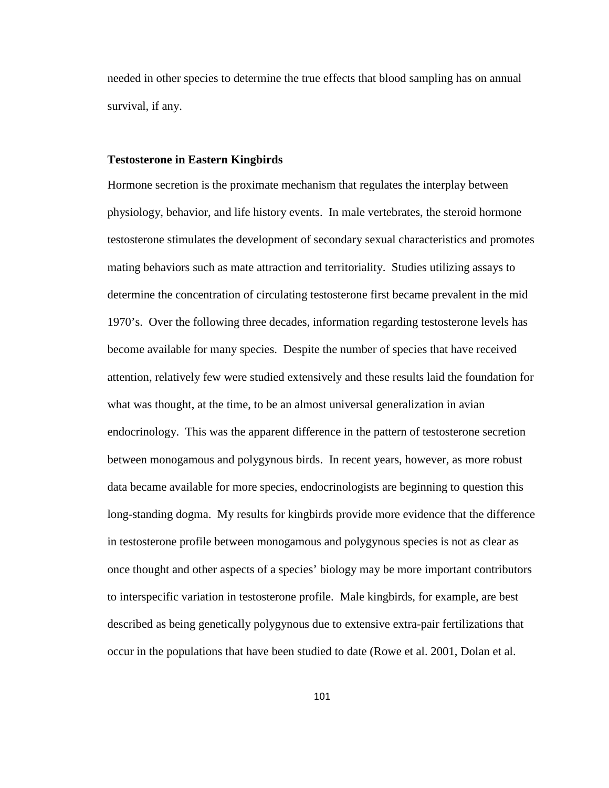needed in other species to determine the true effects that blood sampling has on annual survival, if any.

#### **Testosterone in Eastern Kingbirds**

Hormone secretion is the proximate mechanism that regulates the interplay between physiology, behavior, and life history events. In male vertebrates, the steroid hormone testosterone stimulates the development of secondary sexual characteristics and promotes mating behaviors such as mate attraction and territoriality. Studies utilizing assays to determine the concentration of circulating testosterone first became prevalent in the mid 1970's. Over the following three decades, information regarding testosterone levels has become available for many species. Despite the number of species that have received attention, relatively few were studied extensively and these results laid the foundation for what was thought, at the time, to be an almost universal generalization in avian endocrinology. This was the apparent difference in the pattern of testosterone secretion between monogamous and polygynous birds. In recent years, however, as more robust data became available for more species, endocrinologists are beginning to question this long-standing dogma. My results for kingbirds provide more evidence that the difference in testosterone profile between monogamous and polygynous species is not as clear as once thought and other aspects of a species' biology may be more important contributors to interspecific variation in testosterone profile. Male kingbirds, for example, are best described as being genetically polygynous due to extensive extra-pair fertilizations that occur in the populations that have been studied to date (Rowe et al. 2001, Dolan et al.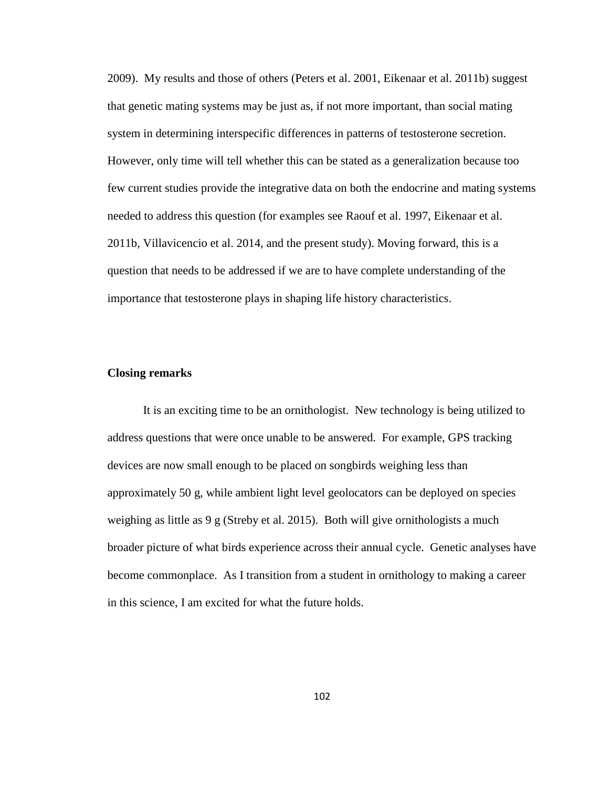2009). My results and those of others (Peters et al. 2001, Eikenaar et al. 2011b) suggest that genetic mating systems may be just as, if not more important, than social mating system in determining interspecific differences in patterns of testosterone secretion. However, only time will tell whether this can be stated as a generalization because too few current studies provide the integrative data on both the endocrine and mating systems needed to address this question (for examples see Raouf et al. 1997, Eikenaar et al. 2011b, Villavicencio et al. 2014, and the present study). Moving forward, this is a question that needs to be addressed if we are to have complete understanding of the importance that testosterone plays in shaping life history characteristics.

# **Closing remarks**

It is an exciting time to be an ornithologist. New technology is being utilized to address questions that were once unable to be answered. For example, GPS tracking devices are now small enough to be placed on songbirds weighing less than approximately 50 g, while ambient light level geolocators can be deployed on species weighing as little as 9 g (Streby et al. 2015). Both will give ornithologists a much broader picture of what birds experience across their annual cycle. Genetic analyses have become commonplace. As I transition from a student in ornithology to making a career in this science, I am excited for what the future holds.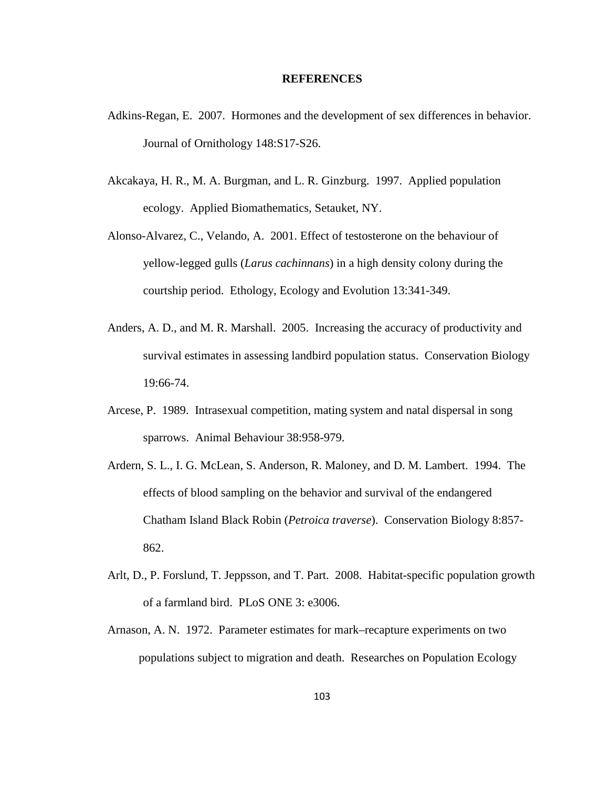#### **REFERENCES**

- Adkins-Regan, E. 2007. Hormones and the development of sex differences in behavior. Journal of Ornithology 148:S17-S26.
- Akcakaya, H. R., M. A. Burgman, and L. R. Ginzburg. 1997. Applied population ecology. Applied Biomathematics, Setauket, NY.
- Alonso-Alvarez, C., Velando, A. 2001. Effect of testosterone on the behaviour of yellow-legged gulls (*Larus cachinnans*) in a high density colony during the courtship period. Ethology, Ecology and Evolution 13:341-349.
- Anders, A. D., and M. R. Marshall. 2005. Increasing the accuracy of productivity and survival estimates in assessing landbird population status. Conservation Biology 19:66-74.
- Arcese, P. 1989. Intrasexual competition, mating system and natal dispersal in song sparrows. Animal Behaviour 38:958-979.
- Ardern, S. L., I. G. McLean, S. Anderson, R. Maloney, and D. M. Lambert. 1994. The effects of blood sampling on the behavior and survival of the endangered Chatham Island Black Robin (*Petroica traverse*). Conservation Biology 8:857- 862.
- Arlt, D., P. Forslund, T. Jeppsson, and T. Part. 2008. Habitat-specific population growth of a farmland bird. PLoS ONE 3: e3006.
- Arnason, A. N. 1972. Parameter estimates for mark–recapture experiments on two populations subject to migration and death. Researches on Population Ecology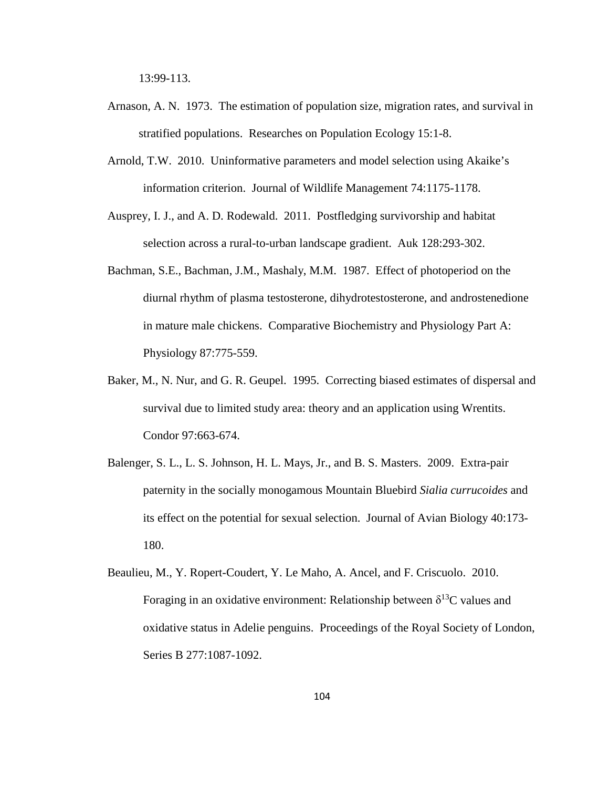13:99-113.

- Arnason, A. N. 1973. The estimation of population size, migration rates, and survival in stratified populations. Researches on Population Ecology 15:1-8.
- Arnold, T.W. 2010. Uninformative parameters and model selection using Akaike's information criterion. Journal of Wildlife Management 74:1175-1178.
- Ausprey, I. J., and A. D. Rodewald. 2011. Postfledging survivorship and habitat selection across a rural-to-urban landscape gradient. Auk 128:293-302.
- Bachman, S.E., Bachman, J.M., Mashaly, M.M. 1987. Effect of photoperiod on the diurnal rhythm of plasma testosterone, dihydrotestosterone, and androstenedione in mature male chickens. Comparative Biochemistry and Physiology Part A: Physiology 87:775-559.
- Baker, M., N. Nur, and G. R. Geupel. 1995. Correcting biased estimates of dispersal and survival due to limited study area: theory and an application using Wrentits. Condor 97:663-674.
- Balenger, S. L., L. S. Johnson, H. L. Mays, Jr., and B. S. Masters. 2009. Extra-pair paternity in the socially monogamous Mountain Bluebird *Sialia currucoides* and its effect on the potential for sexual selection. Journal of Avian Biology 40:173- 180.
- Beaulieu, M., Y. Ropert-Coudert, Y. Le Maho, A. Ancel, and F. Criscuolo. 2010. Foraging in an oxidative environment: Relationship between  $\delta^{13}$ C values and oxidative status in Adelie penguins. Proceedings of the Royal Society of London, Series B 277:1087-1092.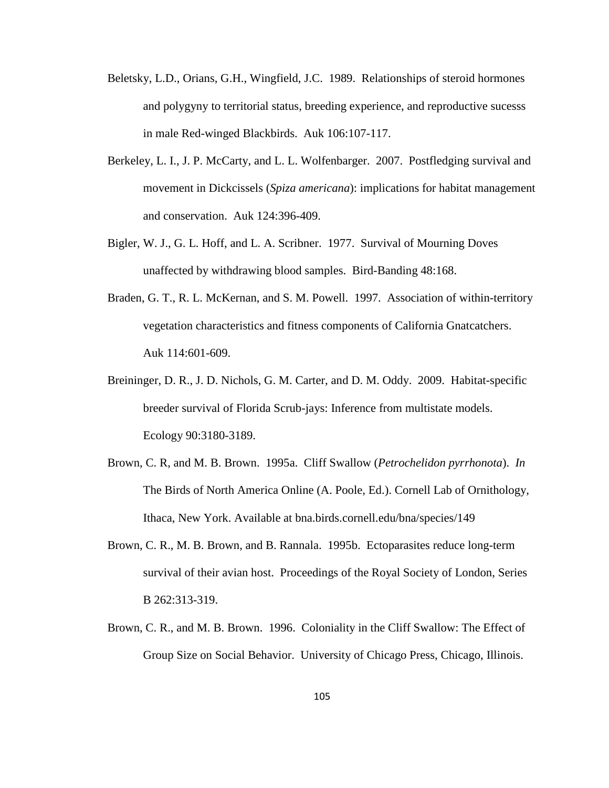- Beletsky, L.D., Orians, G.H., Wingfield, J.C. 1989. Relationships of steroid hormones and polygyny to territorial status, breeding experience, and reproductive sucesss in male Red-winged Blackbirds. Auk 106:107-117.
- Berkeley, L. I., J. P. McCarty, and L. L. Wolfenbarger. 2007. Postfledging survival and movement in Dickcissels (*Spiza americana*): implications for habitat management and conservation. Auk 124:396-409.
- Bigler, W. J., G. L. Hoff, and L. A. Scribner. 1977. Survival of Mourning Doves unaffected by withdrawing blood samples. Bird-Banding 48:168.
- Braden, G. T., R. L. McKernan, and S. M. Powell. 1997. Association of within-territory vegetation characteristics and fitness components of California Gnatcatchers. Auk 114:601-609.
- Breininger, D. R., J. D. Nichols, G. M. Carter, and D. M. Oddy. 2009. Habitat-specific breeder survival of Florida Scrub-jays: Inference from multistate models. Ecology 90:3180-3189.
- Brown, C. R, and M. B. Brown. 1995a. Cliff Swallow (*Petrochelidon pyrrhonota*). *In* The Birds of North America Online (A. Poole, Ed.). Cornell Lab of Ornithology, Ithaca, New York. Available at bna.birds.cornell.edu/bna/species/149
- Brown, C. R., M. B. Brown, and B. Rannala. 1995b. Ectoparasites reduce long-term survival of their avian host. Proceedings of the Royal Society of London, Series B 262:313-319.
- Brown, C. R., and M. B. Brown. 1996. Coloniality in the Cliff Swallow: The Effect of Group Size on Social Behavior. University of Chicago Press, Chicago, Illinois.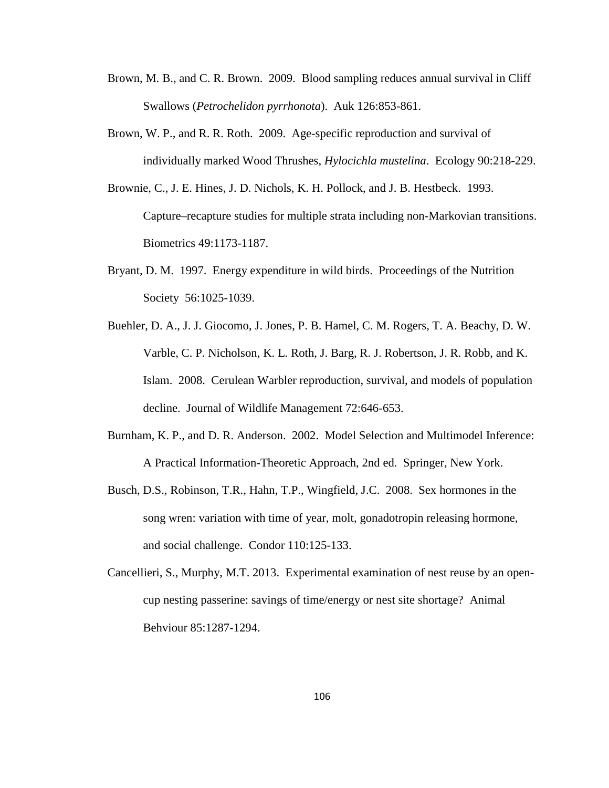- Brown, M. B., and C. R. Brown. 2009. Blood sampling reduces annual survival in Cliff Swallows (*Petrochelidon pyrrhonota*). Auk 126:853-861.
- Brown, W. P., and R. R. Roth. 2009. Age-specific reproduction and survival of individually marked Wood Thrushes, *Hylocichla mustelina*. Ecology 90:218-229.
- Brownie, C., J. E. Hines, J. D. Nichols, K. H. Pollock, and J. B. Hestbeck. 1993. Capture–recapture studies for multiple strata including non-Markovian transitions. Biometrics 49:1173-1187.
- Bryant, D. M. 1997. Energy expenditure in wild birds. Proceedings of the Nutrition Society 56:1025-1039.
- Buehler, D. A., J. J. Giocomo, J. Jones, P. B. Hamel, C. M. Rogers, T. A. Beachy, D. W. Varble, C. P. Nicholson, K. L. Roth, J. Barg, R. J. Robertson, J. R. Robb, and K. Islam. 2008. Cerulean Warbler reproduction, survival, and models of population decline. Journal of Wildlife Management 72:646-653.
- Burnham, K. P., and D. R. Anderson. 2002. Model Selection and Multimodel Inference: A Practical Information-Theoretic Approach, 2nd ed. Springer, New York.
- Busch, D.S., Robinson, T.R., Hahn, T.P., Wingfield, J.C. 2008. Sex hormones in the song wren: variation with time of year, molt, gonadotropin releasing hormone, and social challenge. Condor 110:125-133.
- Cancellieri, S., Murphy, M.T. 2013. Experimental examination of nest reuse by an opencup nesting passerine: savings of time/energy or nest site shortage? Animal Behviour 85:1287-1294.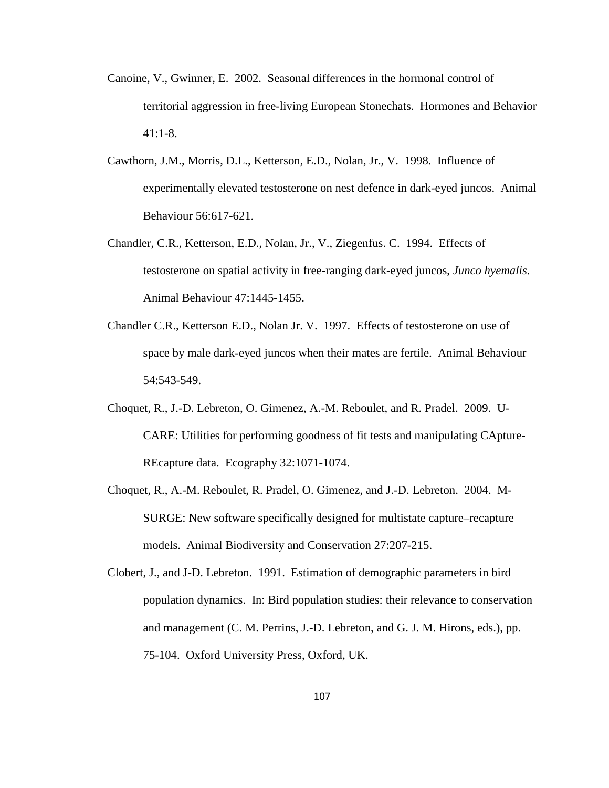- Canoine, V., Gwinner, E. 2002. Seasonal differences in the hormonal control of territorial aggression in free-living European Stonechats. Hormones and Behavior 41:1-8.
- Cawthorn, J.M., Morris, D.L., Ketterson, E.D., Nolan, Jr., V. 1998. Influence of experimentally elevated testosterone on nest defence in dark-eyed juncos. Animal Behaviour 56:617-621.
- Chandler, C.R., Ketterson, E.D., Nolan, Jr., V., Ziegenfus. C. 1994. Effects of testosterone on spatial activity in free-ranging dark-eyed juncos, *Junco hyemalis*. Animal Behaviour 47:1445-1455.
- Chandler C.R., Ketterson E.D., Nolan Jr. V. 1997. Effects of testosterone on use of space by male dark-eyed juncos when their mates are fertile. Animal Behaviour 54:543-549.
- Choquet, R., J.-D. Lebreton, O. Gimenez, A.-M. Reboulet, and R. Pradel. 2009. U-CARE: Utilities for performing goodness of fit tests and manipulating CApture-REcapture data. Ecography 32:1071-1074.
- Choquet, R., A.-M. Reboulet, R. Pradel, O. Gimenez, and J.-D. Lebreton. 2004. M-SURGE: New software specifically designed for multistate capture–recapture models. Animal Biodiversity and Conservation 27:207-215.
- Clobert, J., and J-D. Lebreton. 1991. Estimation of demographic parameters in bird population dynamics. In: Bird population studies: their relevance to conservation and management (C. M. Perrins, J.-D. Lebreton, and G. J. M. Hirons, eds.), pp. 75-104. Oxford University Press, Oxford, UK.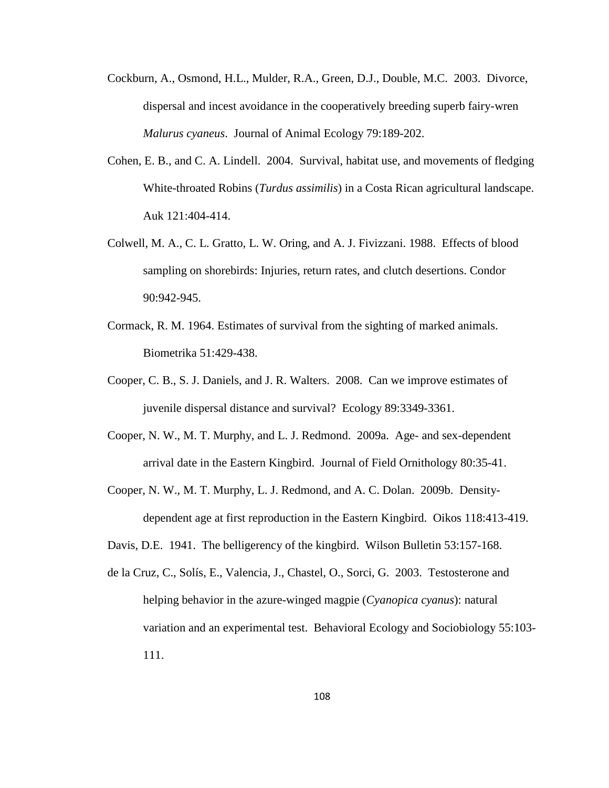- Cockburn, A., Osmond, H.L., Mulder, R.A., Green, D.J., Double, M.C. 2003. Divorce, dispersal and incest avoidance in the cooperatively breeding superb fairy-wren *Malurus cyaneus*. Journal of Animal Ecology 79:189-202.
- Cohen, E. B., and C. A. Lindell. 2004. Survival, habitat use, and movements of fledging White-throated Robins (*Turdus assimilis*) in a Costa Rican agricultural landscape. Auk 121:404-414.
- Colwell, M. A., C. L. Gratto, L. W. Oring, and A. J. Fivizzani. 1988. Effects of blood sampling on shorebirds: Injuries, return rates, and clutch desertions. Condor 90:942-945.
- Cormack, R. M. 1964. Estimates of survival from the sighting of marked animals. Biometrika 51:429-438.
- Cooper, C. B., S. J. Daniels, and J. R. Walters. 2008. Can we improve estimates of juvenile dispersal distance and survival? Ecology 89:3349-3361.
- Cooper, N. W., M. T. Murphy, and L. J. Redmond. 2009a. Age- and sex-dependent arrival date in the Eastern Kingbird. Journal of Field Ornithology 80:35-41.
- Cooper, N. W., M. T. Murphy, L. J. Redmond, and A. C. Dolan. 2009b. Densitydependent age at first reproduction in the Eastern Kingbird. Oikos 118:413-419.
- Davis, D.E. 1941. The belligerency of the kingbird. Wilson Bulletin 53:157-168.
- de la Cruz, C., Solís, E., Valencia, J., Chastel, O., Sorci, G. 2003. Testosterone and helping behavior in the azure-winged magpie (*Cyanopica cyanus*): natural variation and an experimental test. Behavioral Ecology and Sociobiology 55:103- 111.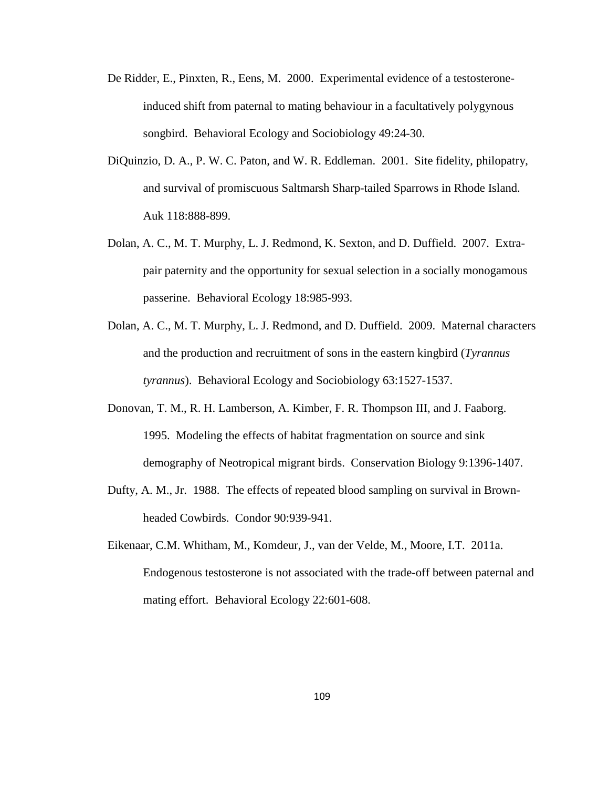- De Ridder, E., Pinxten, R., Eens, M. 2000. Experimental evidence of a testosteroneinduced shift from paternal to mating behaviour in a facultatively polygynous songbird. Behavioral Ecology and Sociobiology 49:24-30.
- DiQuinzio, D. A., P. W. C. Paton, and W. R. Eddleman. 2001. Site fidelity, philopatry, and survival of promiscuous Saltmarsh Sharp-tailed Sparrows in Rhode Island. Auk 118:888-899.
- Dolan, A. C., M. T. Murphy, L. J. Redmond, K. Sexton, and D. Duffield. 2007. Extrapair paternity and the opportunity for sexual selection in a socially monogamous passerine. Behavioral Ecology 18:985-993.
- Dolan, A. C., M. T. Murphy, L. J. Redmond, and D. Duffield. 2009. Maternal characters and the production and recruitment of sons in the eastern kingbird (*Tyrannus tyrannus*). Behavioral Ecology and Sociobiology 63:1527-1537.
- Donovan, T. M., R. H. Lamberson, A. Kimber, F. R. Thompson III, and J. Faaborg. 1995. Modeling the effects of habitat fragmentation on source and sink demography of Neotropical migrant birds. Conservation Biology 9:1396-1407.
- Dufty, A. M., Jr. 1988. The effects of repeated blood sampling on survival in Brownheaded Cowbirds. Condor 90:939-941.
- Eikenaar, C.M. Whitham, M., Komdeur, J., van der Velde, M., Moore, I.T. 2011a. Endogenous testosterone is not associated with the trade-off between paternal and mating effort. Behavioral Ecology 22:601-608.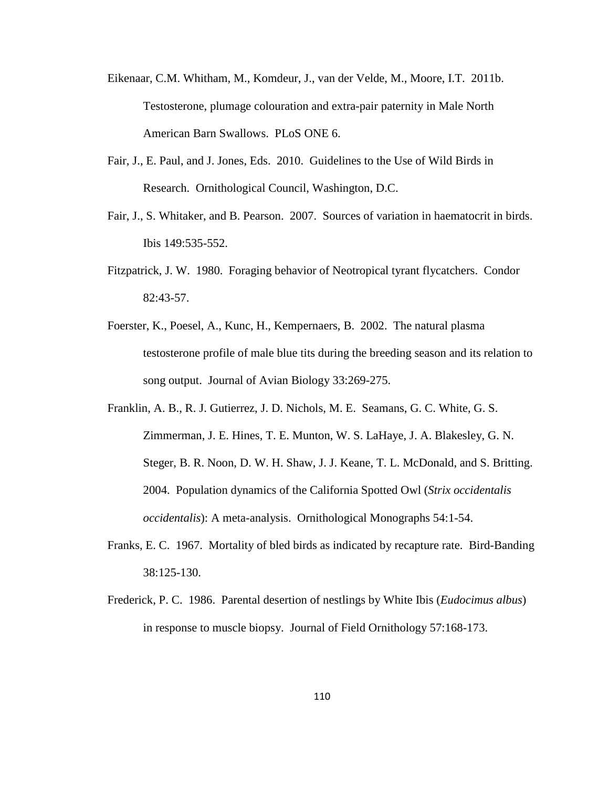- Eikenaar, C.M. Whitham, M., Komdeur, J., van der Velde, M., Moore, I.T. 2011b. Testosterone, plumage colouration and extra-pair paternity in Male North American Barn Swallows. PLoS ONE 6.
- Fair, J., E. Paul, and J. Jones, Eds. 2010. Guidelines to the Use of Wild Birds in Research. Ornithological Council, Washington, D.C.
- Fair, J., S. Whitaker, and B. Pearson. 2007. Sources of variation in haematocrit in birds. Ibis 149:535-552.
- Fitzpatrick, J. W. 1980. Foraging behavior of Neotropical tyrant flycatchers. Condor 82:43-57.
- Foerster, K., Poesel, A., Kunc, H., Kempernaers, B. 2002. The natural plasma testosterone profile of male blue tits during the breeding season and its relation to song output. Journal of Avian Biology 33:269-275.
- Franklin, A. B., R. J. Gutierrez, J. D. Nichols, M. E. Seamans, G. C. White, G. S. Zimmerman, J. E. Hines, T. E. Munton, W. S. LaHaye, J. A. Blakesley, G. N. Steger, B. R. Noon, D. W. H. Shaw, J. J. Keane, T. L. McDonald, and S. Britting. 2004. Population dynamics of the California Spotted Owl (*Strix occidentalis occidentalis*): A meta-analysis. Ornithological Monographs 54:1-54.
- Franks, E. C. 1967. Mortality of bled birds as indicated by recapture rate. Bird-Banding 38:125-130.
- Frederick, P. C. 1986. Parental desertion of nestlings by White Ibis (*Eudocimus albus*) in response to muscle biopsy. Journal of Field Ornithology 57:168-173.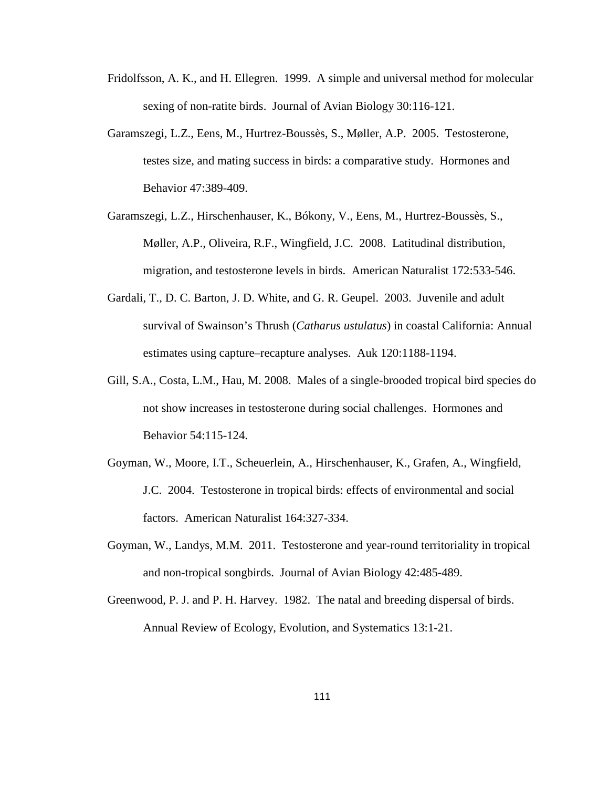- Fridolfsson, A. K., and H. Ellegren. 1999. A simple and universal method for molecular sexing of non-ratite birds. Journal of Avian Biology 30:116-121.
- Garamszegi, L.Z., Eens, M., Hurtrez-Boussès, S., Møller, A.P. 2005. Testosterone, testes size, and mating success in birds: a comparative study. Hormones and Behavior 47:389-409.
- Garamszegi, L.Z., Hirschenhauser, K., Bókony, V., Eens, M., Hurtrez-Boussès, S., Møller, A.P., Oliveira, R.F., Wingfield, J.C. 2008. Latitudinal distribution, migration, and testosterone levels in birds. American Naturalist 172:533-546.
- Gardali, T., D. C. Barton, J. D. White, and G. R. Geupel. 2003. Juvenile and adult survival of Swainson's Thrush (*Catharus ustulatus*) in coastal California: Annual estimates using capture–recapture analyses. Auk 120:1188-1194.
- Gill, S.A., Costa, L.M., Hau, M. 2008. Males of a single-brooded tropical bird species do not show increases in testosterone during social challenges. Hormones and Behavior 54:115-124.
- Goyman, W., Moore, I.T., Scheuerlein, A., Hirschenhauser, K., Grafen, A., Wingfield, J.C. 2004. Testosterone in tropical birds: effects of environmental and social factors. American Naturalist 164:327-334.
- Goyman, W., Landys, M.M. 2011. Testosterone and year-round territoriality in tropical and non-tropical songbirds. Journal of Avian Biology 42:485-489.
- Greenwood, P. J. and P. H. Harvey. 1982. The natal and breeding dispersal of birds. Annual Review of Ecology, Evolution, and Systematics 13:1-21.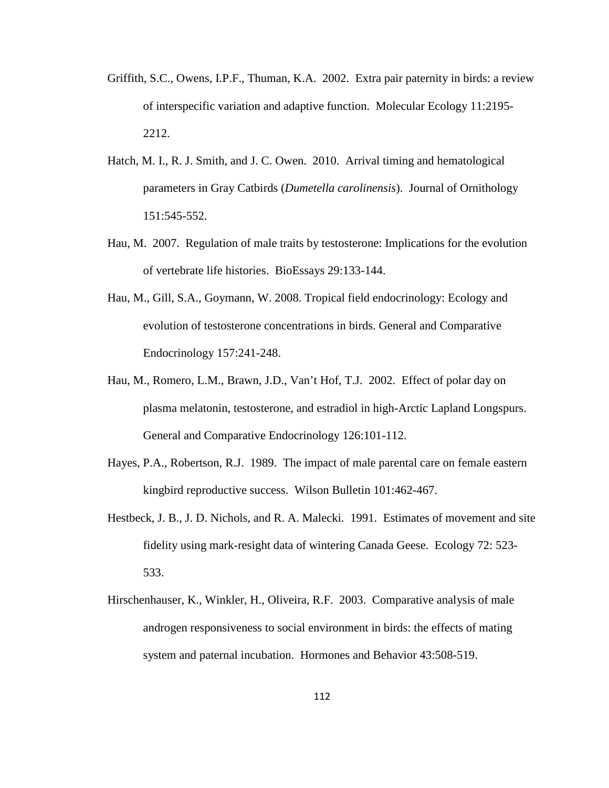- Griffith, S.C., Owens, I.P.F., Thuman, K.A. 2002. Extra pair paternity in birds: a review of interspecific variation and adaptive function. Molecular Ecology 11:2195- 2212.
- Hatch, M. I., R. J. Smith, and J. C. Owen. 2010. Arrival timing and hematological parameters in Gray Catbirds (*Dumetella carolinensis*). Journal of Ornithology 151:545-552.
- Hau, M. 2007. Regulation of male traits by testosterone: Implications for the evolution of vertebrate life histories. BioEssays 29:133-144.
- Hau, M., Gill, S.A., Goymann, W. 2008. Tropical field endocrinology: Ecology and evolution of testosterone concentrations in birds. General and Comparative Endocrinology 157:241-248.
- Hau, M., Romero, L.M., Brawn, J.D., Van't Hof, T.J. 2002. Effect of polar day on plasma melatonin, testosterone, and estradiol in high-Arctic Lapland Longspurs. General and Comparative Endocrinology 126:101-112.
- Hayes, P.A., Robertson, R.J. 1989. The impact of male parental care on female eastern kingbird reproductive success. Wilson Bulletin 101:462-467.
- Hestbeck, J. B., J. D. Nichols, and R. A. Malecki. 1991. Estimates of movement and site fidelity using mark-resight data of wintering Canada Geese. Ecology 72: 523- 533.
- Hirschenhauser, K., Winkler, H., Oliveira, R.F. 2003. Comparative analysis of male androgen responsiveness to social environment in birds: the effects of mating system and paternal incubation. Hormones and Behavior 43:508-519.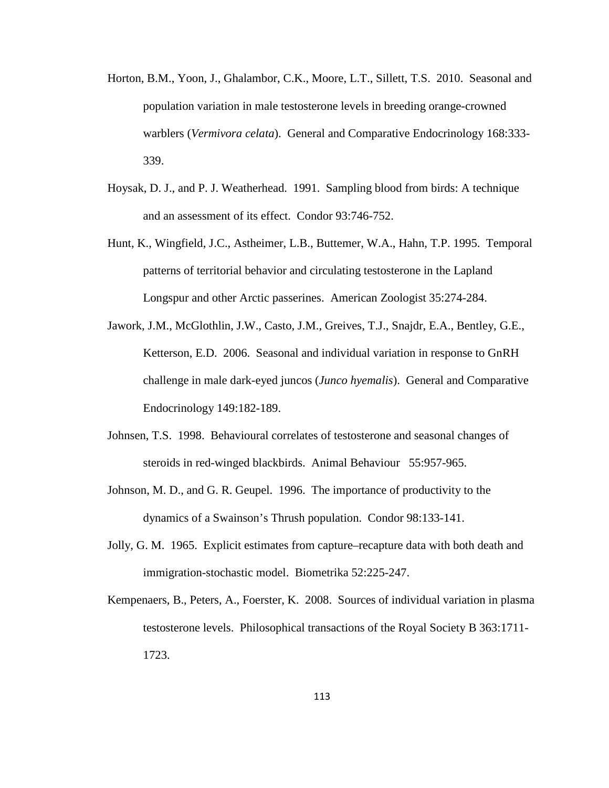- Horton, B.M., Yoon, J., Ghalambor, C.K., Moore, L.T., Sillett, T.S. 2010. Seasonal and population variation in male testosterone levels in breeding orange-crowned warblers (*Vermivora celata*). General and Comparative Endocrinology 168:333- 339.
- Hoysak, D. J., and P. J. Weatherhead. 1991. Sampling blood from birds: A technique and an assessment of its effect. Condor 93:746-752.
- Hunt, K., Wingfield, J.C., Astheimer, L.B., Buttemer, W.A., Hahn, T.P. 1995. Temporal patterns of territorial behavior and circulating testosterone in the Lapland Longspur and other Arctic passerines. American Zoologist 35:274-284.
- Jawork, J.M., McGlothlin, J.W., Casto, J.M., Greives, T.J., Snajdr, E.A., Bentley, G.E., Ketterson, E.D. 2006. Seasonal and individual variation in response to GnRH challenge in male dark-eyed juncos (*Junco hyemalis*). General and Comparative Endocrinology 149:182-189.
- Johnsen, T.S. 1998. Behavioural correlates of testosterone and seasonal changes of steroids in red-winged blackbirds. Animal Behaviour 55:957-965.
- Johnson, M. D., and G. R. Geupel. 1996. The importance of productivity to the dynamics of a Swainson's Thrush population. Condor 98:133-141.
- Jolly, G. M. 1965. Explicit estimates from capture–recapture data with both death and immigration-stochastic model. Biometrika 52:225-247.
- Kempenaers, B., Peters, A., Foerster, K. 2008. Sources of individual variation in plasma testosterone levels. Philosophical transactions of the Royal Society B 363:1711- 1723.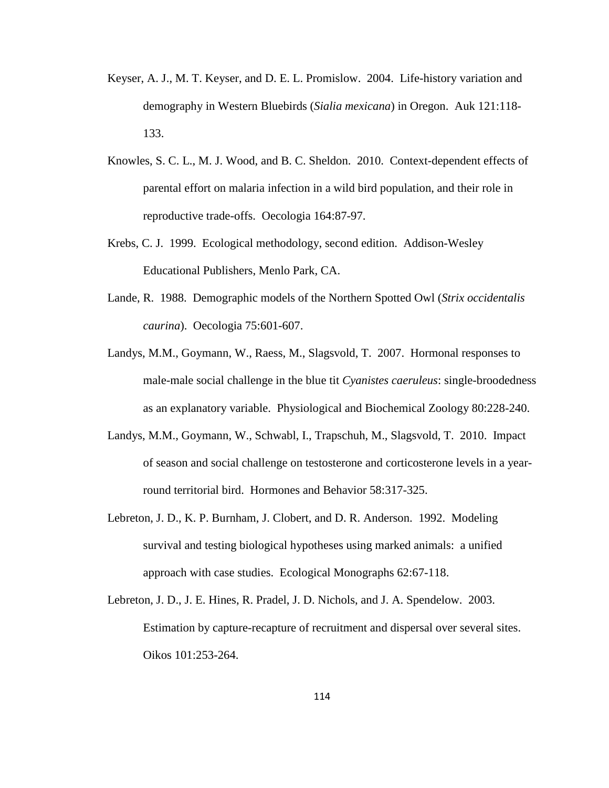- Keyser, A. J., M. T. Keyser, and D. E. L. Promislow. 2004. Life-history variation and demography in Western Bluebirds (*Sialia mexicana*) in Oregon. Auk 121:118- 133.
- Knowles, S. C. L., M. J. Wood, and B. C. Sheldon. 2010. Context-dependent effects of parental effort on malaria infection in a wild bird population, and their role in reproductive trade-offs. Oecologia 164:87-97.
- Krebs, C. J. 1999. Ecological methodology, second edition. Addison-Wesley Educational Publishers, Menlo Park, CA.
- Lande, R. 1988. Demographic models of the Northern Spotted Owl (*Strix occidentalis caurina*). Oecologia 75:601-607.
- Landys, M.M., Goymann, W., Raess, M., Slagsvold, T. 2007. Hormonal responses to male-male social challenge in the blue tit *Cyanistes caeruleus*: single-broodedness as an explanatory variable. Physiological and Biochemical Zoology 80:228-240.
- Landys, M.M., Goymann, W., Schwabl, I., Trapschuh, M., Slagsvold, T. 2010. Impact of season and social challenge on testosterone and corticosterone levels in a yearround territorial bird. Hormones and Behavior 58:317-325.
- Lebreton, J. D., K. P. Burnham, J. Clobert, and D. R. Anderson. 1992. Modeling survival and testing biological hypotheses using marked animals: a unified approach with case studies. Ecological Monographs 62:67-118.
- Lebreton, J. D., J. E. Hines, R. Pradel, J. D. Nichols, and J. A. Spendelow. 2003. Estimation by capture-recapture of recruitment and dispersal over several sites. Oikos 101:253-264.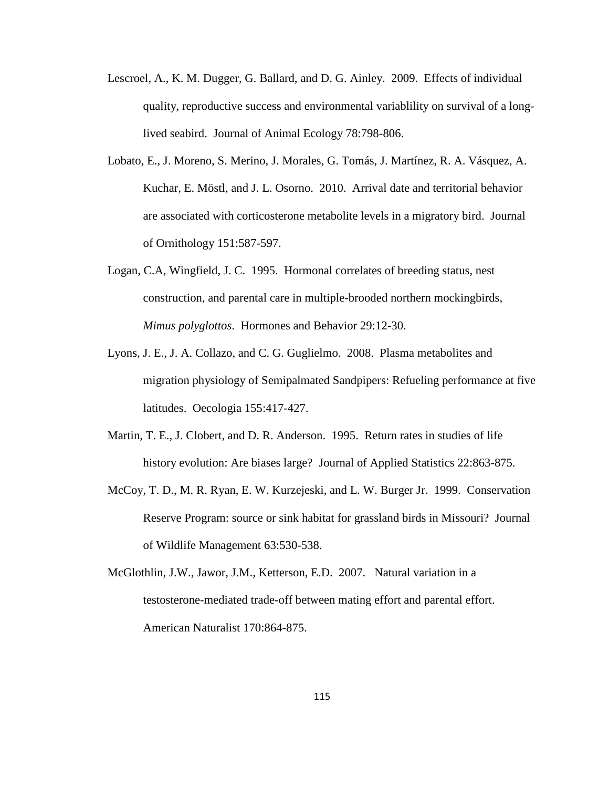- Lescroel, A., K. M. Dugger, G. Ballard, and D. G. Ainley. 2009. Effects of individual quality, reproductive success and environmental variablility on survival of a longlived seabird. Journal of Animal Ecology 78:798-806.
- Lobato, E., J. Moreno, S. Merino, J. Morales, G. Tomás, J. Martínez, R. A. Vásquez, A. Kuchar, E. Möstl, and J. L. Osorno. 2010. Arrival date and territorial behavior are associated with corticosterone metabolite levels in a migratory bird. Journal of Ornithology 151:587-597.
- Logan, C.A, Wingfield, J. C. 1995. Hormonal correlates of breeding status, nest construction, and parental care in multiple-brooded northern mockingbirds, *Mimus polyglottos*. Hormones and Behavior 29:12-30.
- Lyons, J. E., J. A. Collazo, and C. G. Guglielmo. 2008. Plasma metabolites and migration physiology of Semipalmated Sandpipers: Refueling performance at five latitudes. Oecologia 155:417-427.
- Martin, T. E., J. Clobert, and D. R. Anderson. 1995. Return rates in studies of life history evolution: Are biases large? Journal of Applied Statistics 22:863-875.
- McCoy, T. D., M. R. Ryan, E. W. Kurzejeski, and L. W. Burger Jr. 1999. Conservation Reserve Program: source or sink habitat for grassland birds in Missouri? Journal of Wildlife Management 63:530-538.
- McGlothlin, J.W., Jawor, J.M., Ketterson, E.D. 2007. Natural variation in a testosterone-mediated trade-off between mating effort and parental effort. American Naturalist 170:864-875.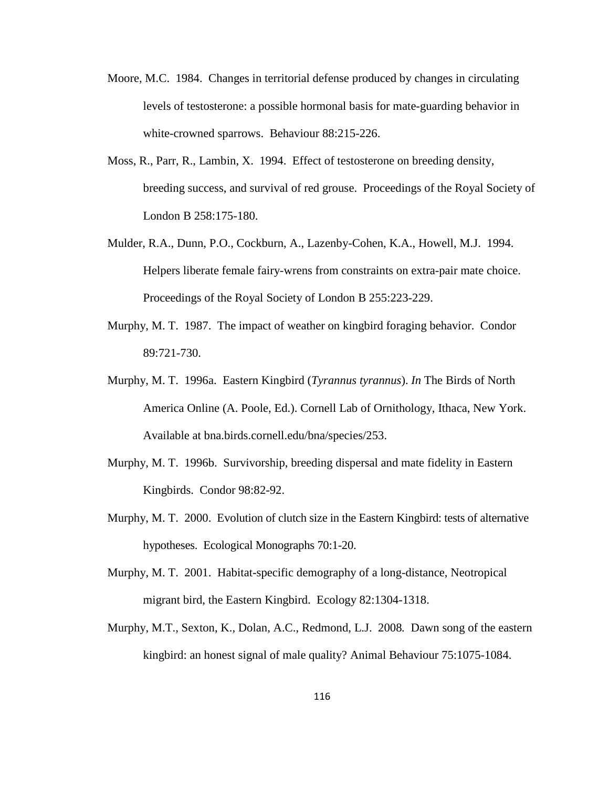- Moore, M.C. 1984. Changes in territorial defense produced by changes in circulating levels of testosterone: a possible hormonal basis for mate-guarding behavior in white-crowned sparrows. Behaviour 88:215-226.
- Moss, R., Parr, R., Lambin, X. 1994. Effect of testosterone on breeding density, breeding success, and survival of red grouse. Proceedings of the Royal Society of London B 258:175-180.
- Mulder, R.A., Dunn, P.O., Cockburn, A., Lazenby-Cohen, K.A., Howell, M.J. 1994. Helpers liberate female fairy-wrens from constraints on extra-pair mate choice. Proceedings of the Royal Society of London B 255:223-229.
- Murphy, M. T. 1987. The impact of weather on kingbird foraging behavior. Condor 89:721-730.
- Murphy, M. T. 1996a. Eastern Kingbird (*Tyrannus tyrannus*). *In* The Birds of North America Online (A. Poole, Ed.). Cornell Lab of Ornithology, Ithaca, New York. Available at bna.birds.cornell.edu/bna/species/253.
- Murphy, M. T. 1996b. Survivorship, breeding dispersal and mate fidelity in Eastern Kingbirds. Condor 98:82-92.
- Murphy, M. T. 2000. Evolution of clutch size in the Eastern Kingbird: tests of alternative hypotheses. Ecological Monographs 70:1-20.
- Murphy, M. T. 2001. Habitat-specific demography of a long-distance, Neotropical migrant bird, the Eastern Kingbird. Ecology 82:1304-1318.
- Murphy, M.T., Sexton, K., Dolan, A.C., Redmond, L.J. 2008*.* Dawn song of the eastern kingbird: an honest signal of male quality? Animal Behaviour 75:1075-1084.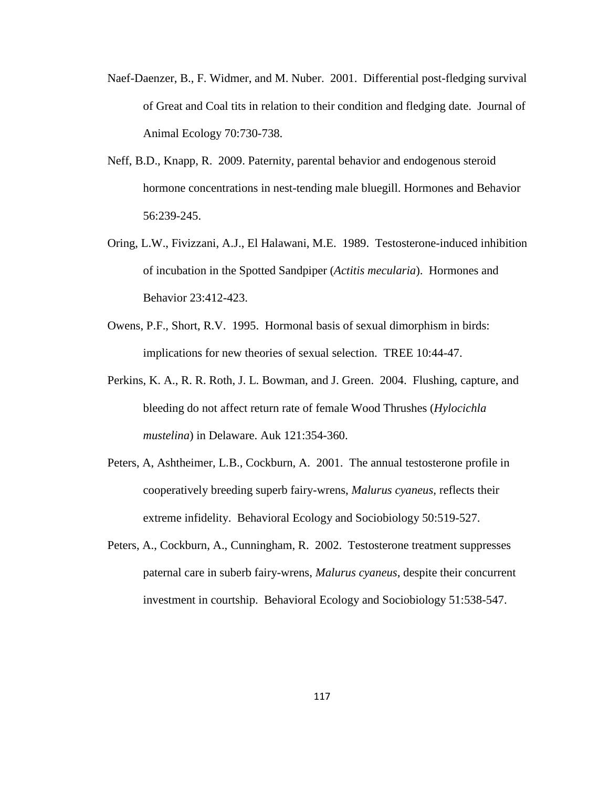- Naef-Daenzer, B., F. Widmer, and M. Nuber. 2001. Differential post-fledging survival of Great and Coal tits in relation to their condition and fledging date. Journal of Animal Ecology 70:730-738.
- Neff, B.D., Knapp, R. 2009. Paternity, parental behavior and endogenous steroid hormone concentrations in nest-tending male bluegill. Hormones and Behavior 56:239-245.
- Oring, L.W., Fivizzani, A.J., El Halawani, M.E. 1989. Testosterone-induced inhibition of incubation in the Spotted Sandpiper (*Actitis mecularia*). Hormones and Behavior 23:412-423.
- Owens, P.F., Short, R.V. 1995. Hormonal basis of sexual dimorphism in birds: implications for new theories of sexual selection. TREE 10:44-47.
- Perkins, K. A., R. R. Roth, J. L. Bowman, and J. Green. 2004. Flushing, capture, and bleeding do not affect return rate of female Wood Thrushes (*Hylocichla mustelina*) in Delaware. Auk 121:354-360.
- Peters, A, Ashtheimer, L.B., Cockburn, A. 2001. The annual testosterone profile in cooperatively breeding superb fairy-wrens, *Malurus cyaneus*, reflects their extreme infidelity. Behavioral Ecology and Sociobiology 50:519-527.
- Peters, A., Cockburn, A., Cunningham, R. 2002. Testosterone treatment suppresses paternal care in suberb fairy-wrens, *Malurus cyaneus*, despite their concurrent investment in courtship. Behavioral Ecology and Sociobiology 51:538-547.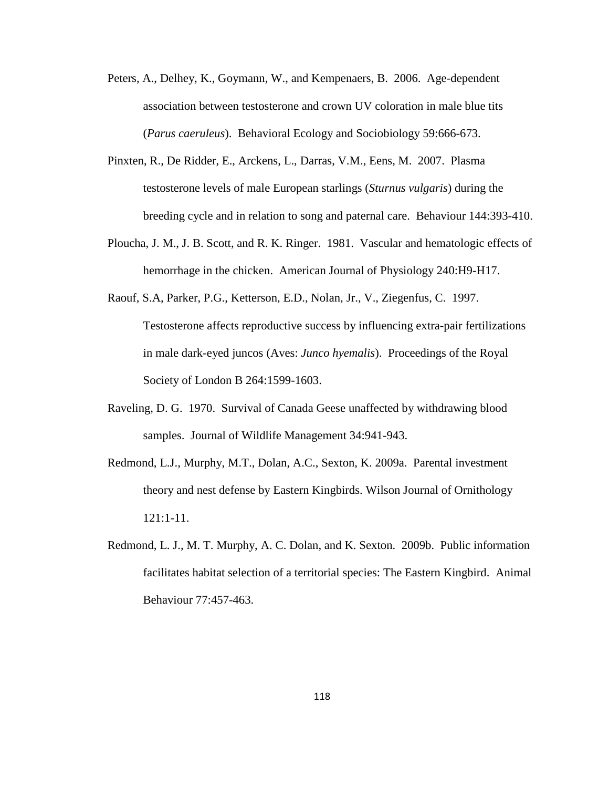- Peters, A., Delhey, K., Goymann, W., and Kempenaers, B. 2006. Age-dependent association between testosterone and crown UV coloration in male blue tits (*Parus caeruleus*). Behavioral Ecology and Sociobiology 59:666-673.
- Pinxten, R., De Ridder, E., Arckens, L., Darras, V.M., Eens, M. 2007. Plasma testosterone levels of male European starlings (*Sturnus vulgaris*) during the breeding cycle and in relation to song and paternal care. Behaviour 144:393-410.
- Ploucha, J. M., J. B. Scott, and R. K. Ringer. 1981. Vascular and hematologic effects of hemorrhage in the chicken. American Journal of Physiology 240:H9-H17.
- Raouf, S.A, Parker, P.G., Ketterson, E.D., Nolan, Jr., V., Ziegenfus, C. 1997. Testosterone affects reproductive success by influencing extra-pair fertilizations in male dark-eyed juncos (Aves: *Junco hyemalis*). Proceedings of the Royal Society of London B 264:1599-1603.
- Raveling, D. G. 1970. Survival of Canada Geese unaffected by withdrawing blood samples. Journal of Wildlife Management 34:941-943.
- Redmond, L.J., Murphy, M.T., Dolan, A.C., Sexton, K. 2009a. Parental investment theory and nest defense by Eastern Kingbirds. Wilson Journal of Ornithology 121:1-11.
- Redmond, L. J., M. T. Murphy, A. C. Dolan, and K. Sexton. 2009b. Public information facilitates habitat selection of a territorial species: The Eastern Kingbird. Animal Behaviour 77:457-463.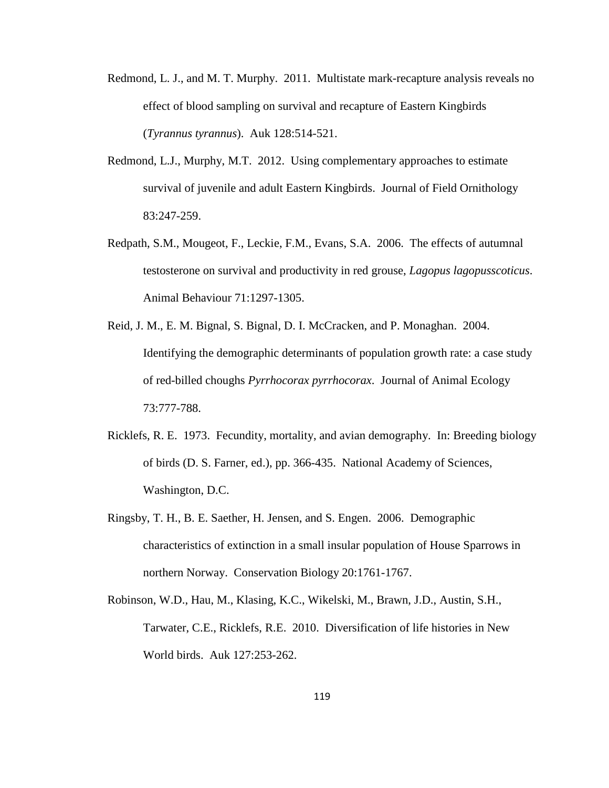- Redmond, L. J., and M. T. Murphy. 2011. Multistate mark-recapture analysis reveals no effect of blood sampling on survival and recapture of Eastern Kingbirds (*Tyrannus tyrannus*). Auk 128:514-521.
- Redmond, L.J., Murphy, M.T. 2012. Using complementary approaches to estimate survival of juvenile and adult Eastern Kingbirds. Journal of Field Ornithology 83:247-259.
- Redpath, S.M., Mougeot, F., Leckie, F.M., Evans, S.A. 2006. The effects of autumnal testosterone on survival and productivity in red grouse, *Lagopus lagopusscoticus*. Animal Behaviour 71:1297-1305.
- Reid, J. M., E. M. Bignal, S. Bignal, D. I. McCracken, and P. Monaghan. 2004. Identifying the demographic determinants of population growth rate: a case study of red-billed choughs *Pyrrhocorax pyrrhocorax*. Journal of Animal Ecology 73:777-788.
- Ricklefs, R. E. 1973. Fecundity, mortality, and avian demography. In: Breeding biology of birds (D. S. Farner, ed.), pp. 366-435. National Academy of Sciences, Washington, D.C.
- Ringsby, T. H., B. E. Saether, H. Jensen, and S. Engen. 2006. Demographic characteristics of extinction in a small insular population of House Sparrows in northern Norway. Conservation Biology 20:1761-1767.
- Robinson, W.D., Hau, M., Klasing, K.C., Wikelski, M., Brawn, J.D., Austin, S.H., Tarwater, C.E., Ricklefs, R.E. 2010. Diversification of life histories in New World birds. Auk 127:253-262.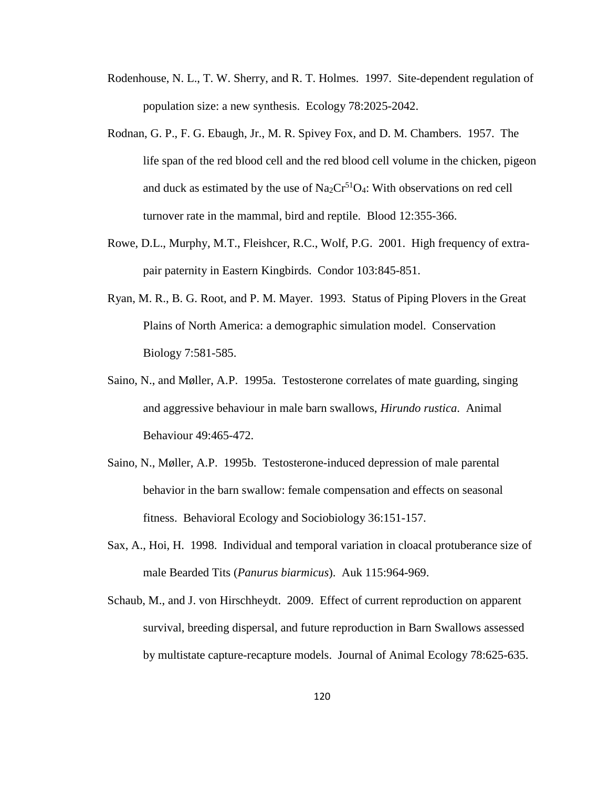- Rodenhouse, N. L., T. W. Sherry, and R. T. Holmes. 1997. Site-dependent regulation of population size: a new synthesis. Ecology 78:2025-2042.
- Rodnan, G. P., F. G. Ebaugh, Jr., M. R. Spivey Fox, and D. M. Chambers. 1957. The life span of the red blood cell and the red blood cell volume in the chicken, pigeon and duck as estimated by the use of  $Na_2Cr^{51}O_4$ : With observations on red cell turnover rate in the mammal, bird and reptile. Blood 12:355-366.
- Rowe, D.L., Murphy, M.T., Fleishcer, R.C., Wolf, P.G. 2001. High frequency of extrapair paternity in Eastern Kingbirds. Condor 103:845-851.
- Ryan, M. R., B. G. Root, and P. M. Mayer. 1993. Status of Piping Plovers in the Great Plains of North America: a demographic simulation model. Conservation Biology 7:581-585.
- Saino, N., and Møller, A.P. 1995a. Testosterone correlates of mate guarding, singing and aggressive behaviour in male barn swallows, *Hirundo rustica*. Animal Behaviour 49:465-472.
- Saino, N., Møller, A.P. 1995b. Testosterone-induced depression of male parental behavior in the barn swallow: female compensation and effects on seasonal fitness. Behavioral Ecology and Sociobiology 36:151-157.
- Sax, A., Hoi, H. 1998. Individual and temporal variation in cloacal protuberance size of male Bearded Tits (*Panurus biarmicus*). Auk 115:964-969.
- Schaub, M., and J. von Hirschheydt. 2009. Effect of current reproduction on apparent survival, breeding dispersal, and future reproduction in Barn Swallows assessed by multistate capture-recapture models. Journal of Animal Ecology 78:625-635.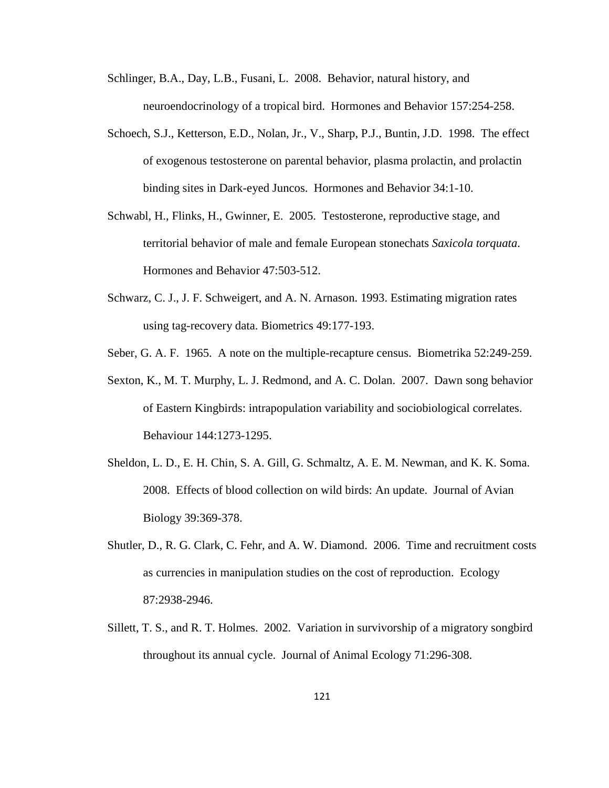- Schlinger, B.A., Day, L.B., Fusani, L. 2008. Behavior, natural history, and neuroendocrinology of a tropical bird. Hormones and Behavior 157:254-258.
- Schoech, S.J., Ketterson, E.D., Nolan, Jr., V., Sharp, P.J., Buntin, J.D. 1998. The effect of exogenous testosterone on parental behavior, plasma prolactin, and prolactin binding sites in Dark-eyed Juncos. Hormones and Behavior 34:1-10.
- Schwabl, H., Flinks, H., Gwinner, E. 2005. Testosterone, reproductive stage, and territorial behavior of male and female European stonechats *Saxicola torquata*. Hormones and Behavior 47:503-512.
- Schwarz, C. J., J. F. Schweigert, and A. N. Arnason. 1993. Estimating migration rates using tag-recovery data. Biometrics 49:177-193.
- Seber, G. A. F. 1965. A note on the multiple-recapture census. Biometrika 52:249-259.
- Sexton, K., M. T. Murphy, L. J. Redmond, and A. C. Dolan. 2007. Dawn song behavior of Eastern Kingbirds: intrapopulation variability and sociobiological correlates. Behaviour 144:1273-1295.
- Sheldon, L. D., E. H. Chin, S. A. Gill, G. Schmaltz, A. E. M. Newman, and K. K. Soma. 2008. Effects of blood collection on wild birds: An update. Journal of Avian Biology 39:369-378.
- Shutler, D., R. G. Clark, C. Fehr, and A. W. Diamond. 2006. Time and recruitment costs as currencies in manipulation studies on the cost of reproduction. Ecology 87:2938-2946.
- Sillett, T. S., and R. T. Holmes. 2002. Variation in survivorship of a migratory songbird throughout its annual cycle. Journal of Animal Ecology 71:296-308.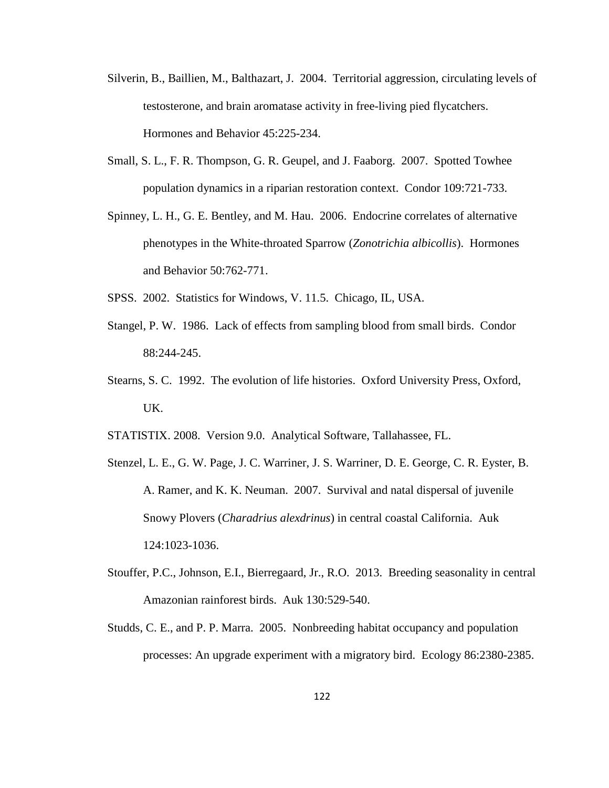- Silverin, B., Baillien, M., Balthazart, J. 2004. Territorial aggression, circulating levels of testosterone, and brain aromatase activity in free-living pied flycatchers. Hormones and Behavior 45:225-234.
- Small, S. L., F. R. Thompson, G. R. Geupel, and J. Faaborg. 2007. Spotted Towhee population dynamics in a riparian restoration context. Condor 109:721-733.
- Spinney, L. H., G. E. Bentley, and M. Hau. 2006. Endocrine correlates of alternative phenotypes in the White-throated Sparrow (*Zonotrichia albicollis*). Hormones and Behavior 50:762-771.
- SPSS. 2002. Statistics for Windows, V. 11.5. Chicago, IL, USA.
- Stangel, P. W. 1986. Lack of effects from sampling blood from small birds. Condor 88:244-245.
- Stearns, S. C. 1992. The evolution of life histories. Oxford University Press, Oxford, UK.
- STATISTIX. 2008. Version 9.0. Analytical Software, Tallahassee, FL.
- Stenzel, L. E., G. W. Page, J. C. Warriner, J. S. Warriner, D. E. George, C. R. Eyster, B. A. Ramer, and K. K. Neuman. 2007. Survival and natal dispersal of juvenile Snowy Plovers (*Charadrius alexdrinus*) in central coastal California. Auk 124:1023-1036.
- Stouffer, P.C., Johnson, E.I., Bierregaard, Jr., R.O. 2013. Breeding seasonality in central Amazonian rainforest birds. Auk 130:529-540.
- Studds, C. E., and P. P. Marra. 2005. Nonbreeding habitat occupancy and population processes: An upgrade experiment with a migratory bird. Ecology 86:2380-2385.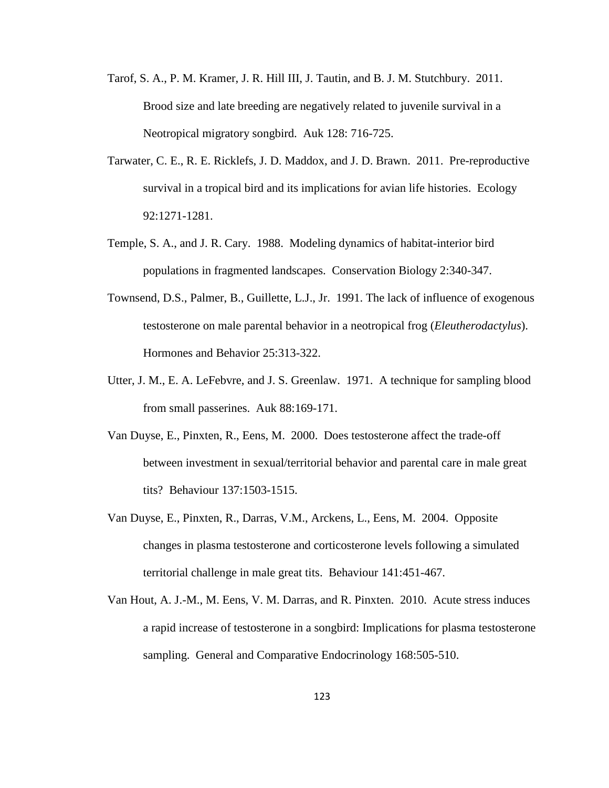- Tarof, S. A., P. M. Kramer, J. R. Hill III, J. Tautin, and B. J. M. Stutchbury. 2011. Brood size and late breeding are negatively related to juvenile survival in a Neotropical migratory songbird. Auk 128: 716-725.
- Tarwater, C. E., R. E. Ricklefs, J. D. Maddox, and J. D. Brawn. 2011. Pre-reproductive survival in a tropical bird and its implications for avian life histories. Ecology 92:1271-1281.
- Temple, S. A., and J. R. Cary. 1988. Modeling dynamics of habitat-interior bird populations in fragmented landscapes. Conservation Biology 2:340-347.
- Townsend, D.S., Palmer, B., Guillette, L.J., Jr. 1991. The lack of influence of exogenous testosterone on male parental behavior in a neotropical frog (*Eleutherodactylus*). Hormones and Behavior 25:313-322.
- Utter, J. M., E. A. LeFebvre, and J. S. Greenlaw. 1971. A technique for sampling blood from small passerines. Auk 88:169-171.
- Van Duyse, E., Pinxten, R., Eens, M. 2000. Does testosterone affect the trade-off between investment in sexual/territorial behavior and parental care in male great tits? Behaviour 137:1503-1515.
- Van Duyse, E., Pinxten, R., Darras, V.M., Arckens, L., Eens, M. 2004. Opposite changes in plasma testosterone and corticosterone levels following a simulated territorial challenge in male great tits. Behaviour 141:451-467.
- Van Hout, A. J.-M., M. Eens, V. M. Darras, and R. Pinxten. 2010. Acute stress induces a rapid increase of testosterone in a songbird: Implications for plasma testosterone sampling. General and Comparative Endocrinology 168:505-510.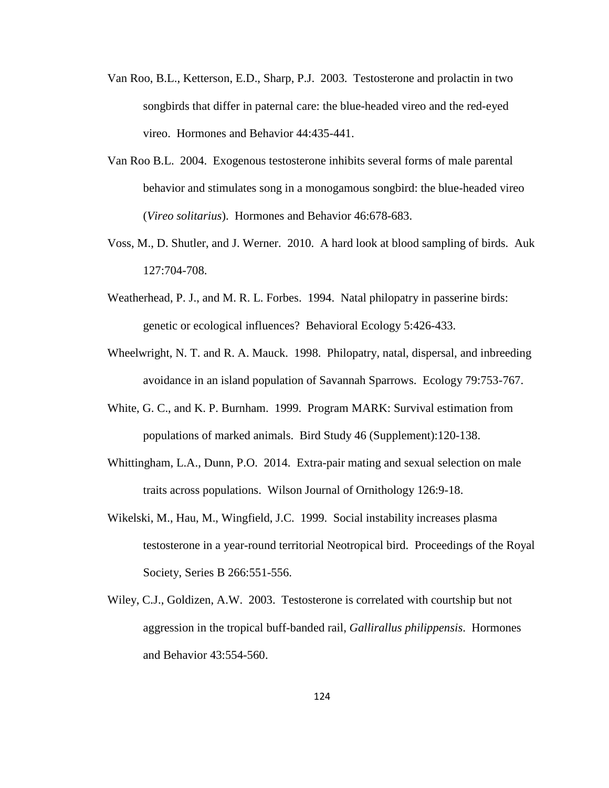- Van Roo, B.L., Ketterson, E.D., Sharp, P.J. 2003. Testosterone and prolactin in two songbirds that differ in paternal care: the blue-headed vireo and the red-eyed vireo. Hormones and Behavior 44:435-441.
- Van Roo B.L. 2004. Exogenous testosterone inhibits several forms of male parental behavior and stimulates song in a monogamous songbird: the blue-headed vireo (*Vireo solitarius*). Hormones and Behavior 46:678-683.
- Voss, M., D. Shutler, and J. Werner. 2010. A hard look at blood sampling of birds. Auk 127:704-708.
- Weatherhead, P. J., and M. R. L. Forbes. 1994. Natal philopatry in passerine birds: genetic or ecological influences? Behavioral Ecology 5:426-433.
- Wheelwright, N. T. and R. A. Mauck. 1998. Philopatry, natal, dispersal, and inbreeding avoidance in an island population of Savannah Sparrows. Ecology 79:753-767.
- White, G. C., and K. P. Burnham. 1999. Program MARK: Survival estimation from populations of marked animals. Bird Study 46 (Supplement):120-138.
- Whittingham, L.A., Dunn, P.O. 2014. Extra-pair mating and sexual selection on male traits across populations. Wilson Journal of Ornithology 126:9-18.
- Wikelski, M., Hau, M., Wingfield, J.C. 1999. Social instability increases plasma testosterone in a year-round territorial Neotropical bird. Proceedings of the Royal Society, Series B 266:551-556.
- Wiley, C.J., Goldizen, A.W. 2003. Testosterone is correlated with courtship but not aggression in the tropical buff-banded rail, *Gallirallus philippensis*. Hormones and Behavior 43:554-560.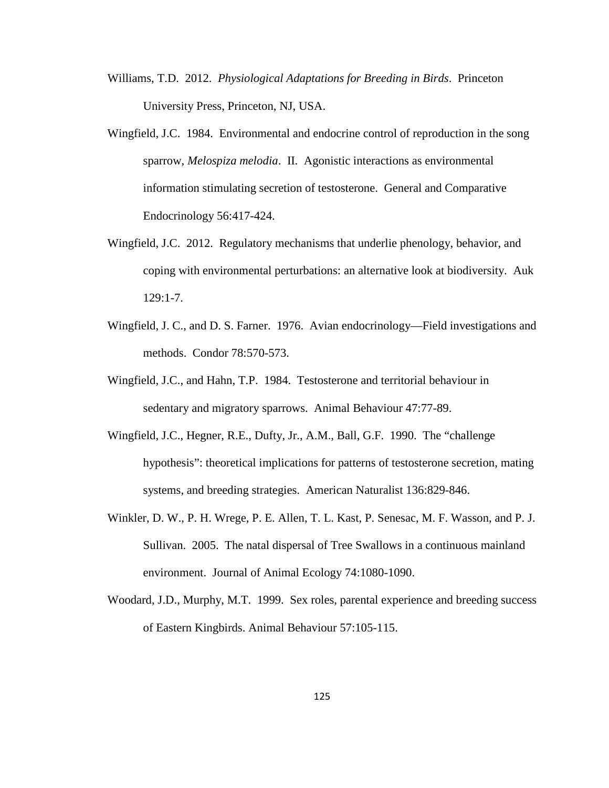- Williams, T.D. 2012. *Physiological Adaptations for Breeding in Birds*. Princeton University Press, Princeton, NJ, USA.
- Wingfield, J.C. 1984. Environmental and endocrine control of reproduction in the song sparrow, *Melospiza melodia*. II. Agonistic interactions as environmental information stimulating secretion of testosterone. General and Comparative Endocrinology 56:417-424.
- Wingfield, J.C. 2012. Regulatory mechanisms that underlie phenology, behavior, and coping with environmental perturbations: an alternative look at biodiversity. Auk 129:1-7.
- Wingfield, J. C., and D. S. Farner. 1976. Avian endocrinology—Field investigations and methods. Condor 78:570-573.
- Wingfield, J.C., and Hahn, T.P. 1984. Testosterone and territorial behaviour in sedentary and migratory sparrows. Animal Behaviour 47:77-89.
- Wingfield, J.C., Hegner, R.E., Dufty, Jr., A.M., Ball, G.F. 1990. The "challenge hypothesis": theoretical implications for patterns of testosterone secretion, mating systems, and breeding strategies. American Naturalist 136:829-846.
- Winkler, D. W., P. H. Wrege, P. E. Allen, T. L. Kast, P. Senesac, M. F. Wasson, and P. J. Sullivan. 2005. The natal dispersal of Tree Swallows in a continuous mainland environment. Journal of Animal Ecology 74:1080-1090.
- Woodard, J.D., Murphy, M.T. 1999. Sex roles, parental experience and breeding success of Eastern Kingbirds. Animal Behaviour 57:105-115.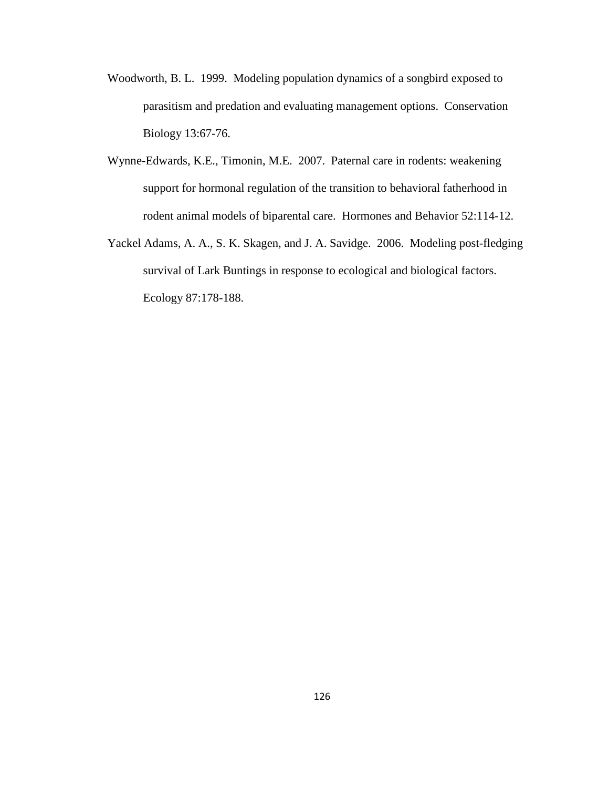- Woodworth, B. L. 1999. Modeling population dynamics of a songbird exposed to parasitism and predation and evaluating management options. Conservation Biology 13:67-76.
- Wynne-Edwards, K.E., Timonin, M.E. 2007. Paternal care in rodents: weakening support for hormonal regulation of the transition to behavioral fatherhood in rodent animal models of biparental care. Hormones and Behavior 52:114-12.
- Yackel Adams, A. A., S. K. Skagen, and J. A. Savidge. 2006. Modeling post-fledging survival of Lark Buntings in response to ecological and biological factors. Ecology 87:178-188.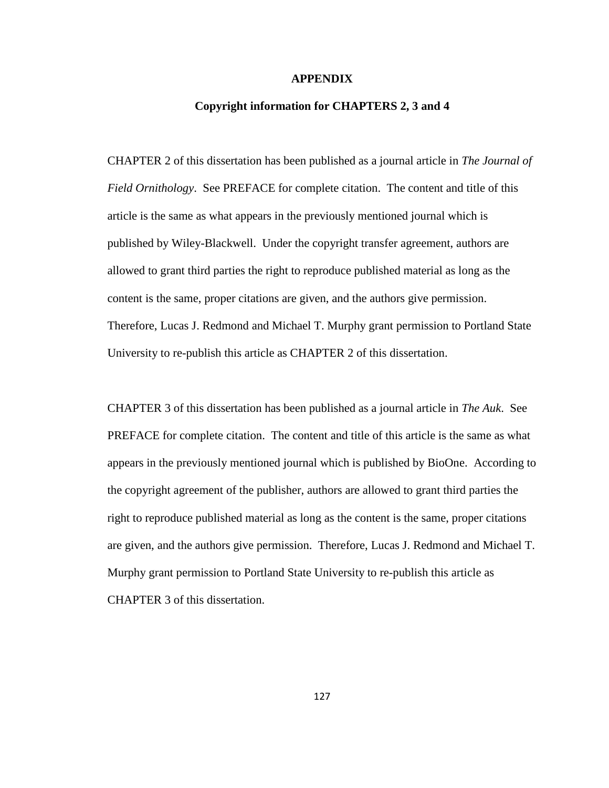#### **APPENDIX**

### **Copyright information for CHAPTERS 2, 3 and 4**

CHAPTER 2 of this dissertation has been published as a journal article in *The Journal of Field Ornithology*. See PREFACE for complete citation. The content and title of this article is the same as what appears in the previously mentioned journal which is published by Wiley-Blackwell. Under the copyright transfer agreement, authors are allowed to grant third parties the right to reproduce published material as long as the content is the same, proper citations are given, and the authors give permission. Therefore, Lucas J. Redmond and Michael T. Murphy grant permission to Portland State University to re-publish this article as CHAPTER 2 of this dissertation.

CHAPTER 3 of this dissertation has been published as a journal article in *The Auk*. See PREFACE for complete citation. The content and title of this article is the same as what appears in the previously mentioned journal which is published by BioOne. According to the copyright agreement of the publisher, authors are allowed to grant third parties the right to reproduce published material as long as the content is the same, proper citations are given, and the authors give permission. Therefore, Lucas J. Redmond and Michael T. Murphy grant permission to Portland State University to re-publish this article as CHAPTER 3 of this dissertation.